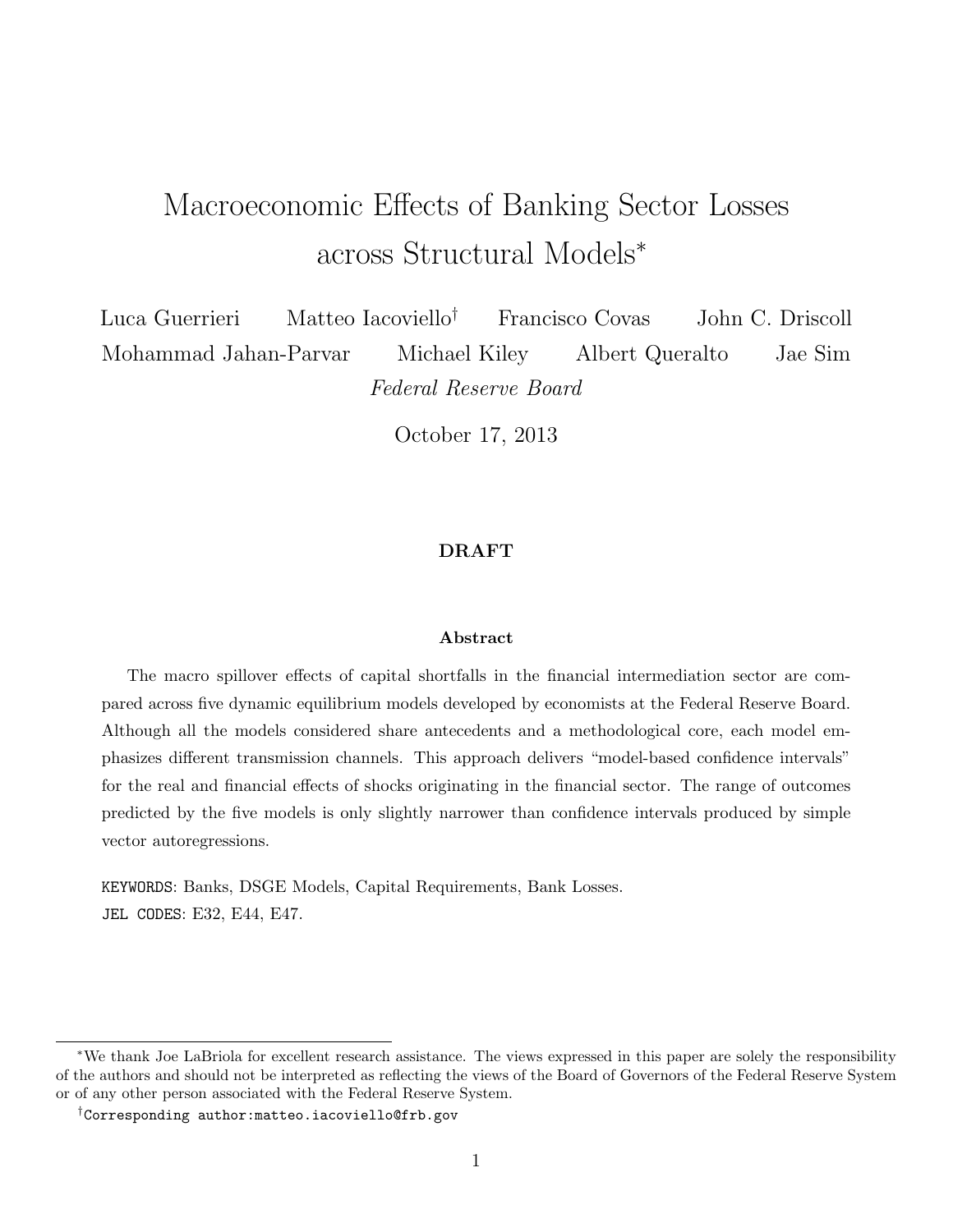# Macroeconomic Effects of Banking Sector Losses across Structural Models*<sup>∗</sup>*

Luca Guerrieri Matteo Iacoviello*†* Francisco Covas John C. Driscoll Mohammad Jahan-Parvar Michael Kiley Albert Queralto Jae Sim *Federal Reserve Board*

October 17, 2013

#### **DRAFT**

#### **Abstract**

The macro spillover effects of capital shortfalls in the financial intermediation sector are compared across five dynamic equilibrium models developed by economists at the Federal Reserve Board. Although all the models considered share antecedents and a methodological core, each model emphasizes different transmission channels. This approach delivers "model-based confidence intervals" for the real and financial effects of shocks originating in the financial sector. The range of outcomes predicted by the five models is only slightly narrower than confidence intervals produced by simple vector autoregressions.

KEYWORDS: Banks, DSGE Models, Capital Requirements, Bank Losses. JEL CODES: E32, E44, E47.

*<sup>∗</sup>*We thank Joe LaBriola for excellent research assistance. The views expressed in this paper are solely the responsibility of the authors and should not be interpreted as reflecting the views of the Board of Governors of the Federal Reserve System or of any other person associated with the Federal Reserve System.

*<sup>†</sup>*Corresponding author:matteo.iacoviello@frb.gov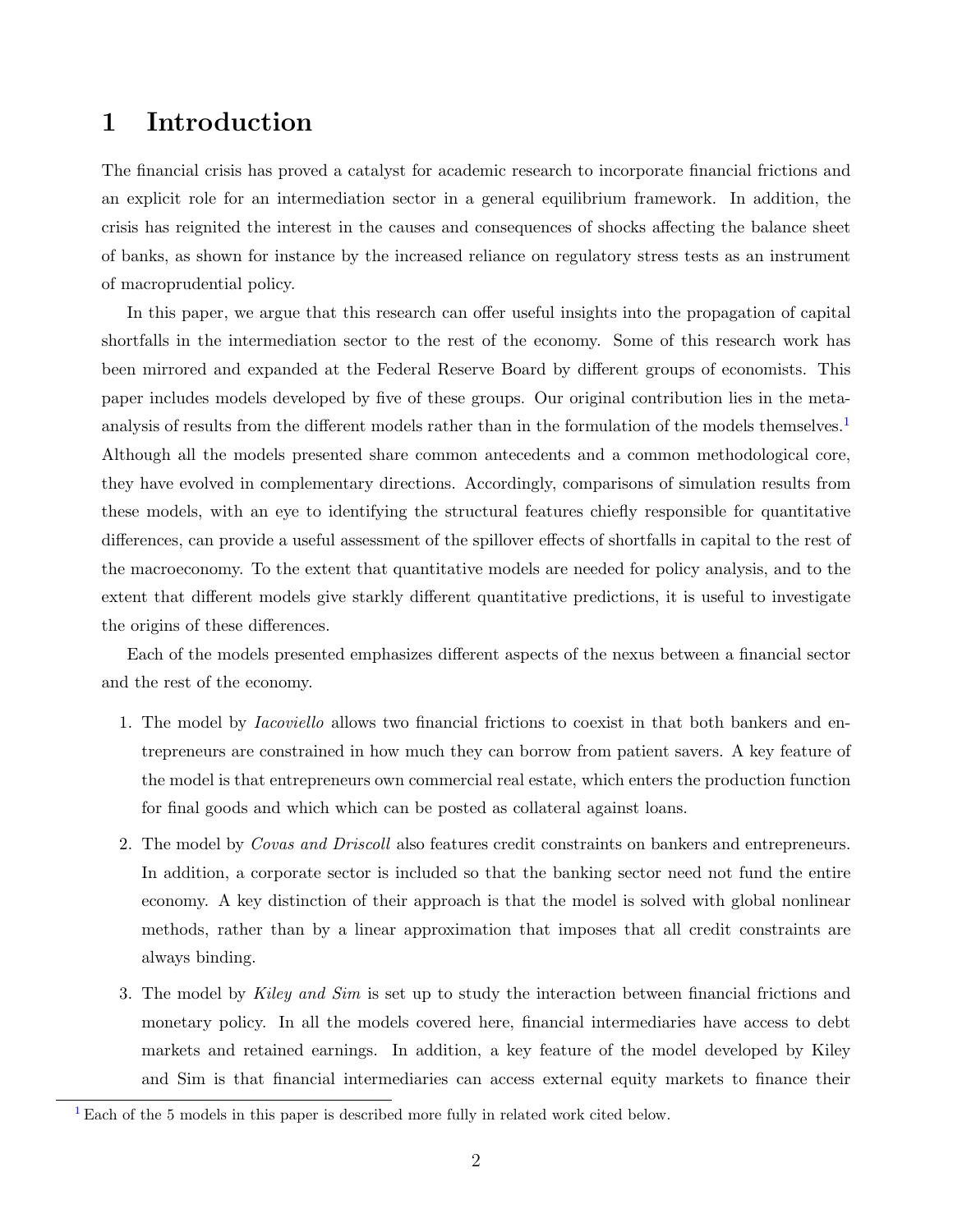## **1 Introduction**

The financial crisis has proved a catalyst for academic research to incorporate financial frictions and an explicit role for an intermediation sector in a general equilibrium framework. In addition, the crisis has reignited the interest in the causes and consequences of shocks affecting the balance sheet of banks, as shown for instance by the increased reliance on regulatory stress tests as an instrument of macroprudential policy.

<span id="page-1-1"></span>In this paper, we argue that this research can offer useful insights into the propagation of capital shortfalls in the intermediation sector to the rest of the economy. Some of this research work has been mirrored and expanded at the Federal Reserve Board by different groups of economists. This paper includes models developed by five of these groups. Our original contribution lies in the meta-analysis of results from the different models rather than in the formulation of the models themselves.<sup>[1](#page-1-0)</sup> Although all the models presented share common antecedents and a common methodological core, they have evolved in complementary directions. Accordingly, comparisons of simulation results from these models, with an eye to identifying the structural features chiefly responsible for quantitative differences, can provide a useful assessment of the spillover effects of shortfalls in capital to the rest of the macroeconomy. To the extent that quantitative models are needed for policy analysis, and to the extent that different models give starkly different quantitative predictions, it is useful to investigate the origins of these differences.

Each of the models presented emphasizes different aspects of the nexus between a financial sector and the rest of the economy.

- 1. The model by *Iacoviello* allows two financial frictions to coexist in that both bankers and entrepreneurs are constrained in how much they can borrow from patient savers. A key feature of the model is that entrepreneurs own commercial real estate, which enters the production function for final goods and which which can be posted as collateral against loans.
- 2. The model by *Covas and Driscoll* also features credit constraints on bankers and entrepreneurs. In addition, a corporate sector is included so that the banking sector need not fund the entire economy. A key distinction of their approach is that the model is solved with global nonlinear methods, rather than by a linear approximation that imposes that all credit constraints are always binding.
- 3. The model by *Kiley and Sim* is set up to study the interaction between financial frictions and monetary policy. In all the models covered here, financial intermediaries have access to debt markets and retained earnings. In addition, a key feature of the model developed by Kiley and Sim is that financial intermediaries can access external equity markets to finance their

<span id="page-1-0"></span><sup>&</sup>lt;sup>[1](#page-1-1)</sup> Each of the 5 models in this paper is described more fully in related work cited below.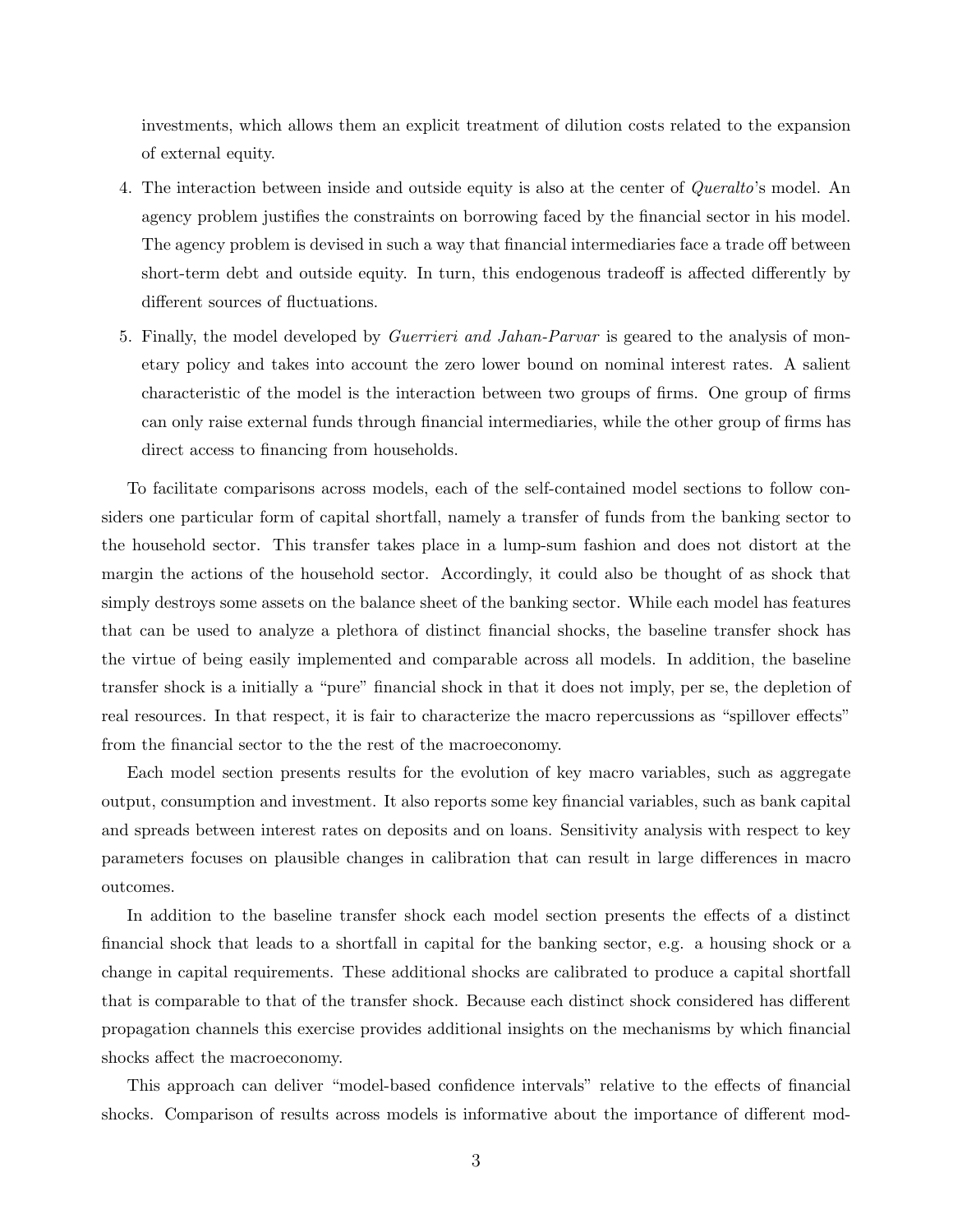investments, which allows them an explicit treatment of dilution costs related to the expansion of external equity.

- 4. The interaction between inside and outside equity is also at the center of *Queralto*'s model. An agency problem justifies the constraints on borrowing faced by the financial sector in his model. The agency problem is devised in such a way that financial intermediaries face a trade off between short-term debt and outside equity. In turn, this endogenous tradeoff is affected differently by different sources of fluctuations.
- 5. Finally, the model developed by *Guerrieri and Jahan-Parvar* is geared to the analysis of monetary policy and takes into account the zero lower bound on nominal interest rates. A salient characteristic of the model is the interaction between two groups of firms. One group of firms can only raise external funds through financial intermediaries, while the other group of firms has direct access to financing from households.

To facilitate comparisons across models, each of the self-contained model sections to follow considers one particular form of capital shortfall, namely a transfer of funds from the banking sector to the household sector. This transfer takes place in a lump-sum fashion and does not distort at the margin the actions of the household sector. Accordingly, it could also be thought of as shock that simply destroys some assets on the balance sheet of the banking sector. While each model has features that can be used to analyze a plethora of distinct financial shocks, the baseline transfer shock has the virtue of being easily implemented and comparable across all models. In addition, the baseline transfer shock is a initially a "pure" financial shock in that it does not imply, per se, the depletion of real resources. In that respect, it is fair to characterize the macro repercussions as "spillover effects" from the financial sector to the the rest of the macroeconomy.

Each model section presents results for the evolution of key macro variables, such as aggregate output, consumption and investment. It also reports some key financial variables, such as bank capital and spreads between interest rates on deposits and on loans. Sensitivity analysis with respect to key parameters focuses on plausible changes in calibration that can result in large differences in macro outcomes.

In addition to the baseline transfer shock each model section presents the effects of a distinct financial shock that leads to a shortfall in capital for the banking sector, e.g. a housing shock or a change in capital requirements. These additional shocks are calibrated to produce a capital shortfall that is comparable to that of the transfer shock. Because each distinct shock considered has different propagation channels this exercise provides additional insights on the mechanisms by which financial shocks affect the macroeconomy.

This approach can deliver "model-based confidence intervals" relative to the effects of financial shocks. Comparison of results across models is informative about the importance of different mod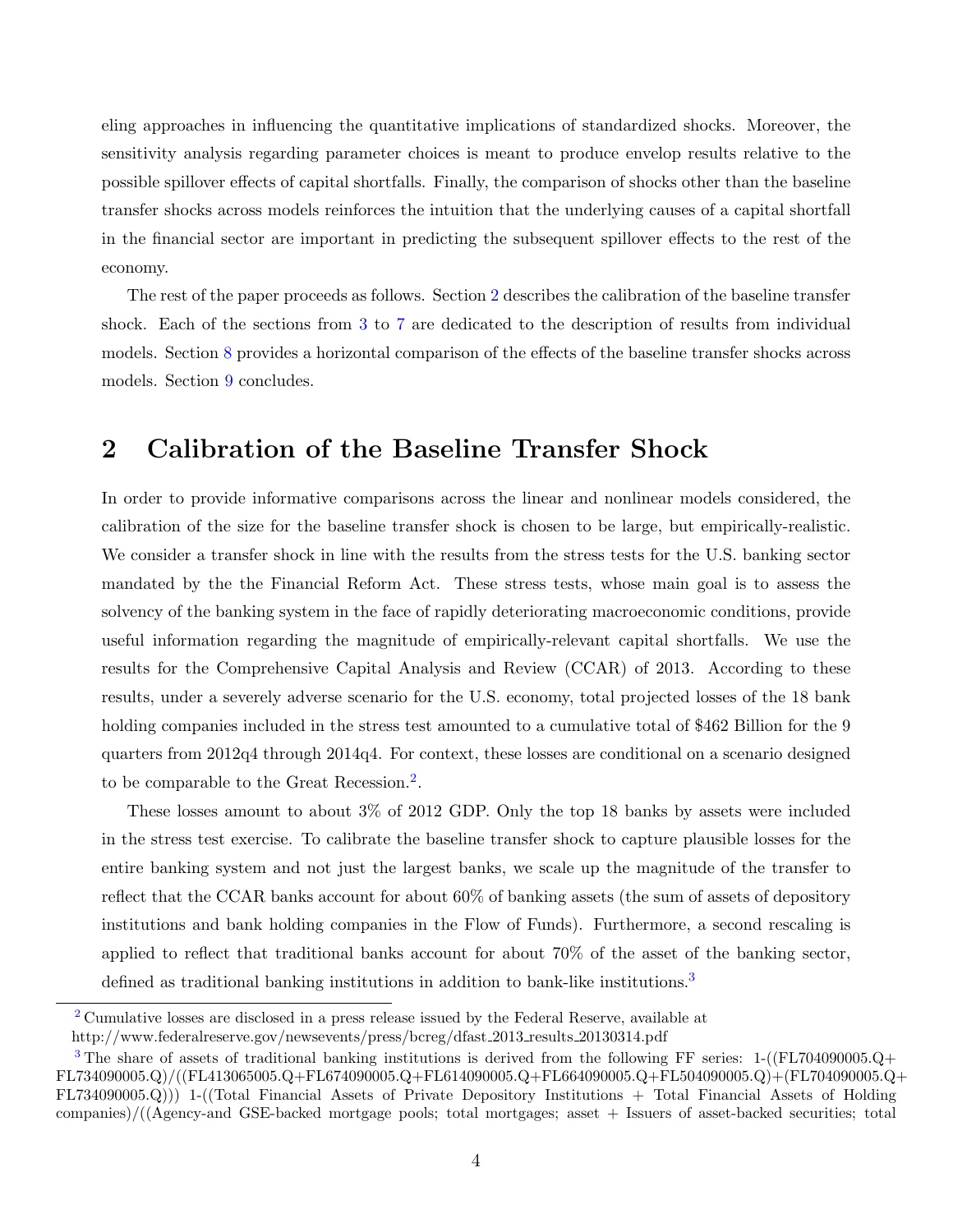eling approaches in influencing the quantitative implications of standardized shocks. Moreover, the sensitivity analysis regarding parameter choices is meant to produce envelop results relative to the possible spillover effects of capital shortfalls. Finally, the comparison of shocks other than the baseline transfer shocks across models reinforces the intuition that the underlying causes of a capital shortfall in the financial sector are important in predicting the subsequent spillover effects to the rest of the economy.

The rest of the paper proceeds as follows. Section [2](#page-3-0) describes the calibration of the baseline transfer shock. Each of the sections from [3](#page-4-0) to [7](#page-22-0) are dedicated to the description of results from individual models. Section [8](#page-26-0) provides a horizontal comparison of the effects of the baseline transfer shocks across models. Section [9](#page-29-0) concludes.

## <span id="page-3-0"></span>**2 Calibration of the Baseline Transfer Shock**

In order to provide informative comparisons across the linear and nonlinear models considered, the calibration of the size for the baseline transfer shock is chosen to be large, but empirically-realistic. We consider a transfer shock in line with the results from the stress tests for the U.S. banking sector mandated by the the Financial Reform Act. These stress tests, whose main goal is to assess the solvency of the banking system in the face of rapidly deteriorating macroeconomic conditions, provide useful information regarding the magnitude of empirically-relevant capital shortfalls. We use the results for the Comprehensive Capital Analysis and Review (CCAR) of 2013. According to these results, under a severely adverse scenario for the U.S. economy, total projected losses of the 18 bank holding companies included in the stress test amounted to a cumulative total of \$462 Billion for the 9 quarters from 2012q4 through 2014q4. For context, these losses are conditional on a scenario designed to be comparable to the Great Recession.<sup>[2](#page-3-1)</sup>.

<span id="page-3-4"></span><span id="page-3-3"></span>These losses amount to about 3% of 2012 GDP. Only the top 18 banks by assets were included in the stress test exercise. To calibrate the baseline transfer shock to capture plausible losses for the entire banking system and not just the largest banks, we scale up the magnitude of the transfer to reflect that the CCAR banks account for about 60% of banking assets (the sum of assets of depository institutions and bank holding companies in the Flow of Funds). Furthermore, a second rescaling is applied to reflect that traditional banks account for about 70% of the asset of the banking sector, defined as traditional banking institutions in addition to bank-like institutions.<sup>[3](#page-3-2)</sup>

<span id="page-3-1"></span>[<sup>2</sup>](#page-3-3) Cumulative losses are disclosed in a press release issued by the Federal Reserve, available at http://www.federalreserve.gov/newsevents/press/bcreg/dfast\_2013\_results\_20130314.pdf

<span id="page-3-2"></span><sup>&</sup>lt;sup>[3](#page-3-4)</sup> The share of assets of traditional banking institutions is derived from the following FF series:  $1-(\text{[FL704090005.Q+})$ FL734090005.Q)/((FL413065005.Q+FL674090005.Q+FL614090005.Q+FL664090005.Q+FL504090005.Q)+(FL704090005.Q+ FL734090005.Q))) 1-((Total Financial Assets of Private Depository Institutions + Total Financial Assets of Holding companies)/((Agency-and GSE-backed mortgage pools; total mortgages; asset + Issuers of asset-backed securities; total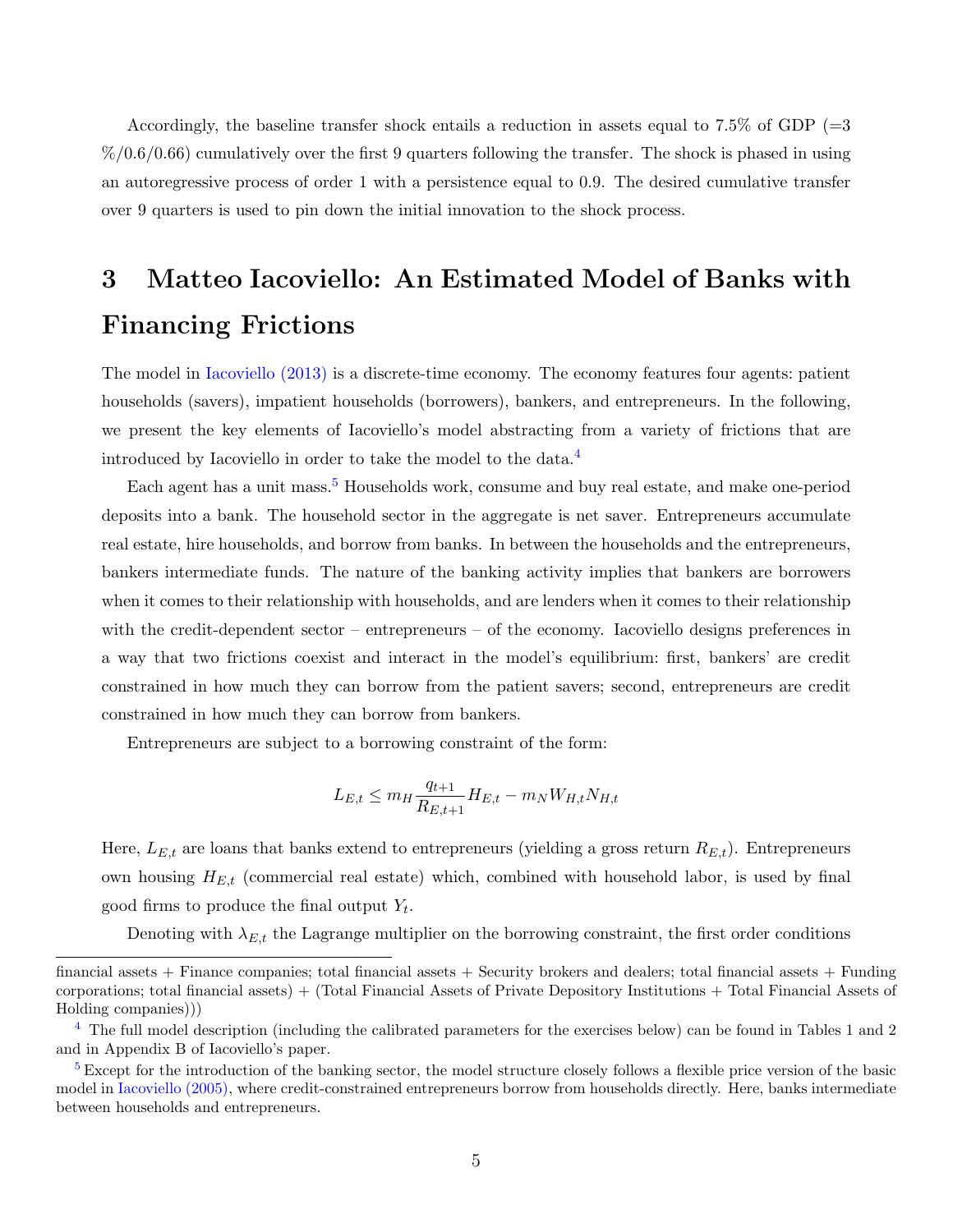<span id="page-4-5"></span>Accordingly, the baseline transfer shock entails a reduction in assets equal to  $7.5\%$  of GDP (=3)  $\%/0.6/0.66)$  cumulatively over the first 9 quarters following the transfer. The shock is phased in using an autoregressive process of order 1 with a persistence equal to 0.9. The desired cumulative transfer over 9 quarters is used to pin down the initial innovation to the shock process.

## <span id="page-4-0"></span>**3 Matteo Iacoviello: An Estimated Model of Banks with Financing Frictions**

The model in [Iacoviello \(2013\)](#page-50-0) is a discrete-time economy. The economy features four agents: patient households (savers), impatient households (borrowers), bankers, and entrepreneurs. In the following, we present the key elements of Iacoviello's model abstracting from a variety of frictions that are introduced by Iacoviello in order to take the model to the data.[4](#page-4-1)

<span id="page-4-4"></span>Each agent has a unit mass.<sup>[5](#page-4-2)</sup> Households work, consume and buy real estate, and make one-period deposits into a bank. The household sector in the aggregate is net saver. Entrepreneurs accumulate real estate, hire households, and borrow from banks. In between the households and the entrepreneurs, bankers intermediate funds. The nature of the banking activity implies that bankers are borrowers when it comes to their relationship with households, and are lenders when it comes to their relationship with the credit-dependent sector – entrepreneurs – of the economy. Iacoviello designs preferences in a way that two frictions coexist and interact in the model's equilibrium: first, bankers' are credit constrained in how much they can borrow from the patient savers; second, entrepreneurs are credit constrained in how much they can borrow from bankers.

Entrepreneurs are subject to a borrowing constraint of the form:

<span id="page-4-3"></span>
$$
L_{E,t} \le m_H \frac{q_{t+1}}{R_{E,t+1}} H_{E,t} - m_N W_{H,t} N_{H,t}
$$

Here, *LE,t* are loans that banks extend to entrepreneurs (yielding a gross return *RE,t*). Entrepreneurs own housing *HE,t* (commercial real estate) which, combined with household labor, is used by final good firms to produce the final output *Y<sup>t</sup>* .

Denoting with  $\lambda_{E,t}$  the Lagrange multiplier on the borrowing constraint, the first order conditions

financial assets  $+$  Finance companies; total financial assets  $+$  Security brokers and dealers; total financial assets  $+$  Funding corporations; total financial assets) + (Total Financial Assets of Private Depository Institutions + Total Financial Assets of Holding companies)))

<span id="page-4-1"></span><sup>&</sup>lt;sup>[4](#page-4-3)</sup> The full model description (including the calibrated parameters for the exercises below) can be found in Tables 1 and 2 and in Appendix B of Iacoviello's paper.

<span id="page-4-2"></span><sup>&</sup>lt;sup>[5](#page-4-4)</sup> Except for the introduction of the banking sector, the model structure closely follows a flexible price version of the basic model in [Iacoviello \(2005\),](#page-50-1) where credit-constrained entrepreneurs borrow from households directly. Here, banks intermediate between households and entrepreneurs.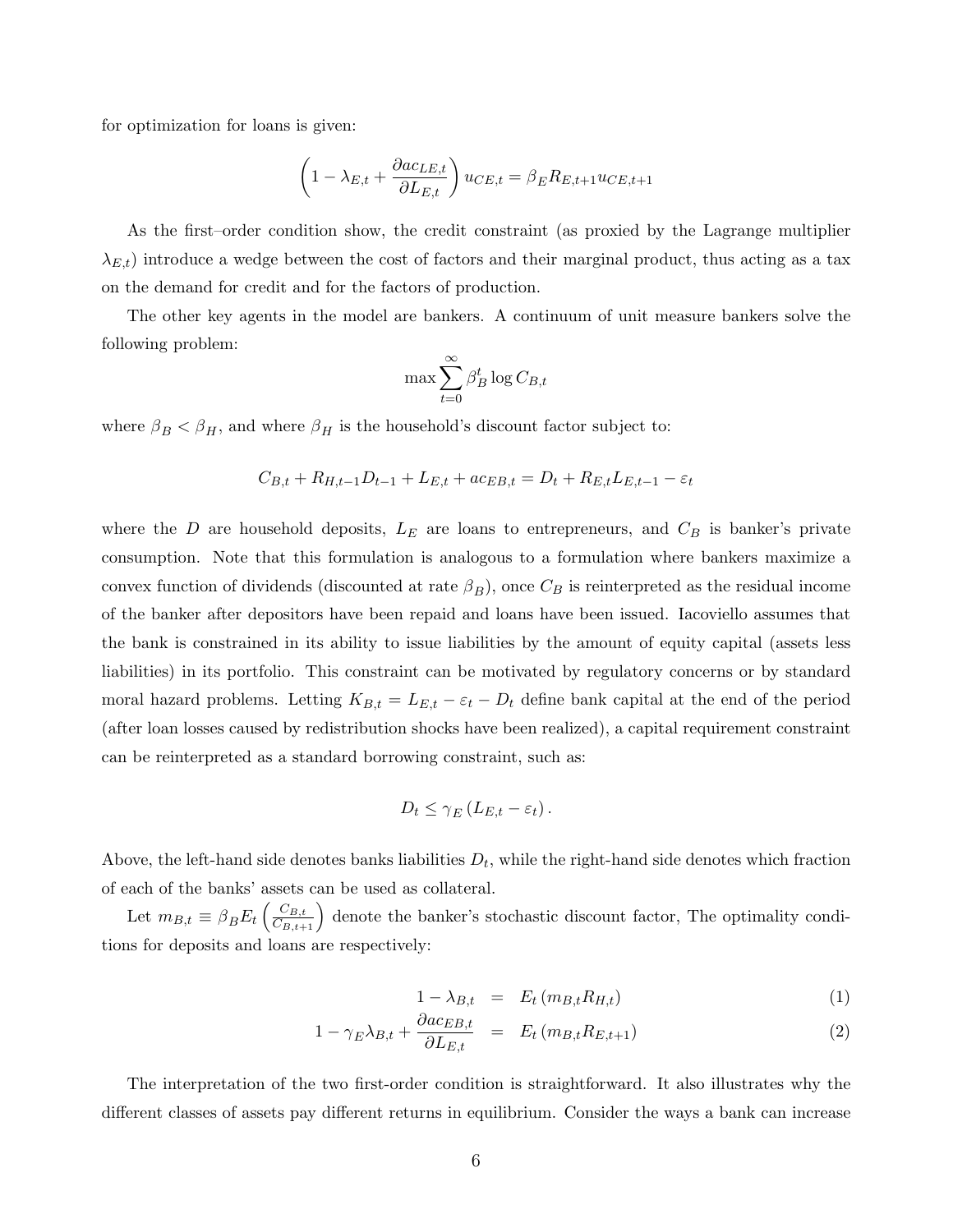for optimization for loans is given:

$$
\left(1 - \lambda_{E,t} + \frac{\partial ac_{LE,t}}{\partial L_{E,t}}\right)u_{CE,t} = \beta_E R_{E,t+1} u_{CE,t+1}
$$

As the first–order condition show, the credit constraint (as proxied by the Lagrange multiplier  $\lambda_{E,t}$ ) introduce a wedge between the cost of factors and their marginal product, thus acting as a tax on the demand for credit and for the factors of production.

The other key agents in the model are bankers. A continuum of unit measure bankers solve the following problem:

$$
\max \sum_{t=0}^{\infty} \beta_B^t \log C_{B,t}
$$

where  $\beta_B < \beta_H$ , and where  $\beta_H$  is the household's discount factor subject to:

$$
C_{B,t} + R_{H,t-1}D_{t-1} + L_{E,t} + ac_{EB,t} = D_t + R_{E,t}L_{E,t-1} - \varepsilon_t
$$

where the *D* are household deposits,  $L<sub>E</sub>$  are loans to entrepreneurs, and  $C<sub>B</sub>$  is banker's private consumption. Note that this formulation is analogous to a formulation where bankers maximize a convex function of dividends (discounted at rate  $\beta_B$ ), once  $C_B$  is reinterpreted as the residual income of the banker after depositors have been repaid and loans have been issued. Iacoviello assumes that the bank is constrained in its ability to issue liabilities by the amount of equity capital (assets less liabilities) in its portfolio. This constraint can be motivated by regulatory concerns or by standard moral hazard problems. Letting  $K_{B,t} = L_{E,t} - \varepsilon_t - D_t$  define bank capital at the end of the period (after loan losses caused by redistribution shocks have been realized), a capital requirement constraint can be reinterpreted as a standard borrowing constraint, such as:

$$
D_t \leq \gamma_E \left( L_{E,t} - \varepsilon_t \right).
$$

Above, the left-hand side denotes banks liabilities  $D_t$ , while the right-hand side denotes which fraction of each of the banks' assets can be used as collateral.

Let  $m_{B,t} \equiv \beta_B E_t \left( \frac{C_{B,t}}{C_{B,t+1}} \right)$  denote the banker's stochastic discount factor, The optimality conditions for deposits and loans are respectively:

$$
1 - \lambda_{B,t} = E_t(m_{B,t}R_{H,t}) \tag{1}
$$

$$
1 - \gamma_E \lambda_{B,t} + \frac{\partial ac_{EB,t}}{\partial L_{E,t}} = E_t \left( m_{B,t} R_{E,t+1} \right) \tag{2}
$$

The interpretation of the two first-order condition is straightforward. It also illustrates why the different classes of assets pay different returns in equilibrium. Consider the ways a bank can increase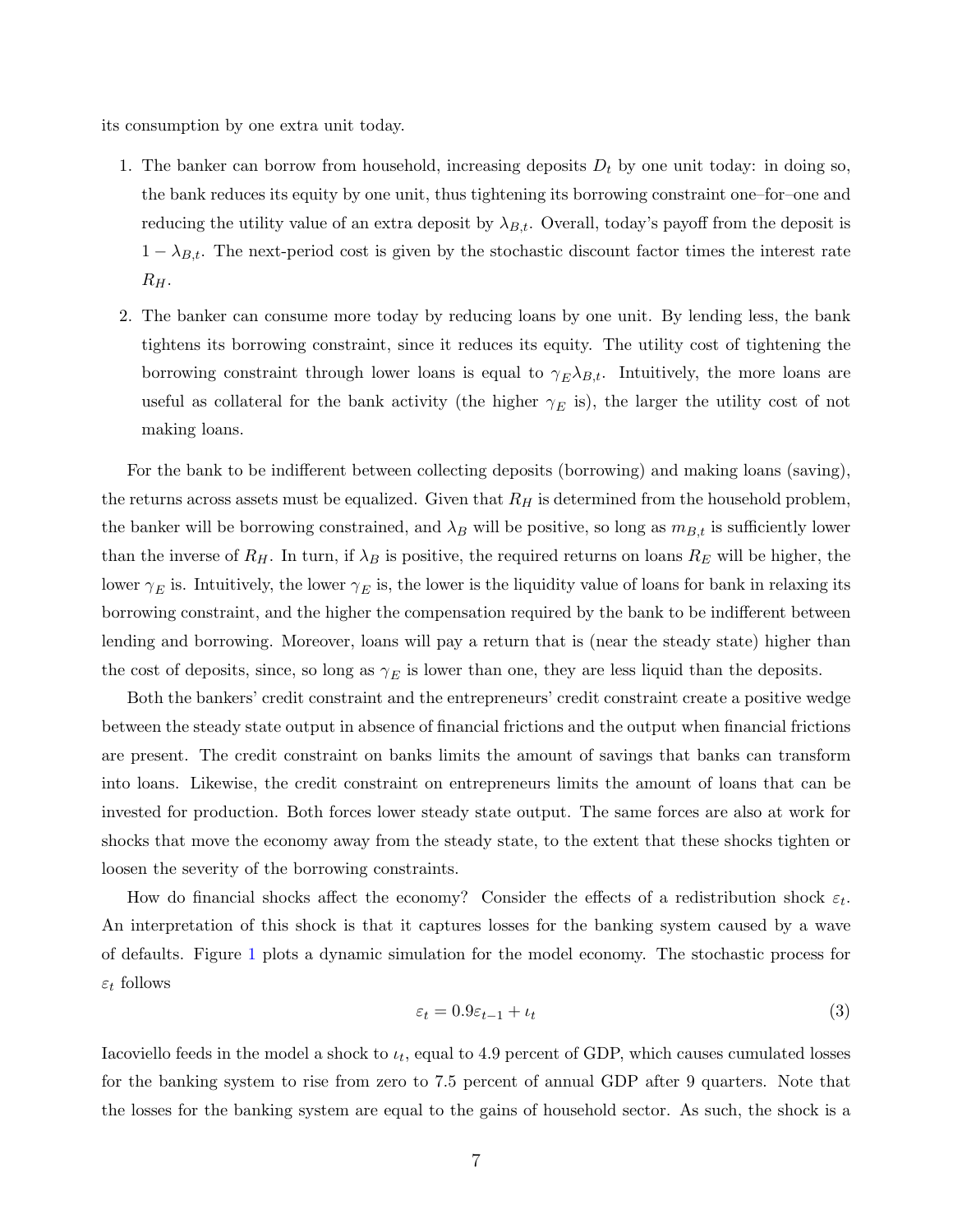its consumption by one extra unit today.

- 1. The banker can borrow from household, increasing deposits  $D_t$  by one unit today: in doing so, the bank reduces its equity by one unit, thus tightening its borrowing constraint one–for–one and reducing the utility value of an extra deposit by  $\lambda_{B,t}$ . Overall, today's payoff from the deposit is  $1 - \lambda_{B,t}$ . The next-period cost is given by the stochastic discount factor times the interest rate  $R_H$ .
- 2. The banker can consume more today by reducing loans by one unit. By lending less, the bank tightens its borrowing constraint, since it reduces its equity. The utility cost of tightening the borrowing constraint through lower loans is equal to  $\gamma_E \lambda_{B,t}$ . Intuitively, the more loans are useful as collateral for the bank activity (the higher  $\gamma_E$  is), the larger the utility cost of not making loans.

For the bank to be indifferent between collecting deposits (borrowing) and making loans (saving), the returns across assets must be equalized. Given that  $R<sub>H</sub>$  is determined from the household problem, the banker will be borrowing constrained, and  $\lambda_B$  will be positive, so long as  $m_{B,t}$  is sufficiently lower than the inverse of  $R_H$ . In turn, if  $\lambda_B$  is positive, the required returns on loans  $R_E$  will be higher, the lower  $\gamma_E$  is. Intuitively, the lower  $\gamma_E$  is, the lower is the liquidity value of loans for bank in relaxing its borrowing constraint, and the higher the compensation required by the bank to be indifferent between lending and borrowing. Moreover, loans will pay a return that is (near the steady state) higher than the cost of deposits, since, so long as  $\gamma_E$  is lower than one, they are less liquid than the deposits.

Both the bankers' credit constraint and the entrepreneurs' credit constraint create a positive wedge between the steady state output in absence of financial frictions and the output when financial frictions are present. The credit constraint on banks limits the amount of savings that banks can transform into loans. Likewise, the credit constraint on entrepreneurs limits the amount of loans that can be invested for production. Both forces lower steady state output. The same forces are also at work for shocks that move the economy away from the steady state, to the extent that these shocks tighten or loosen the severity of the borrowing constraints.

How do financial shocks affect the economy? Consider the effects of a redistribution shock  $\varepsilon_t$ . An interpretation of this shock is that it captures losses for the banking system caused by a wave of defaults. Figure [1](#page-31-0) plots a dynamic simulation for the model economy. The stochastic process for *ε<sup>t</sup>* follows

$$
\varepsilon_t = 0.9\varepsilon_{t-1} + \iota_t \tag{3}
$$

Iacoviello feeds in the model a shock to  $\iota_t$ , equal to 4.9 percent of GDP, which causes cumulated losses for the banking system to rise from zero to 7*.*5 percent of annual GDP after 9 quarters. Note that the losses for the banking system are equal to the gains of household sector. As such, the shock is a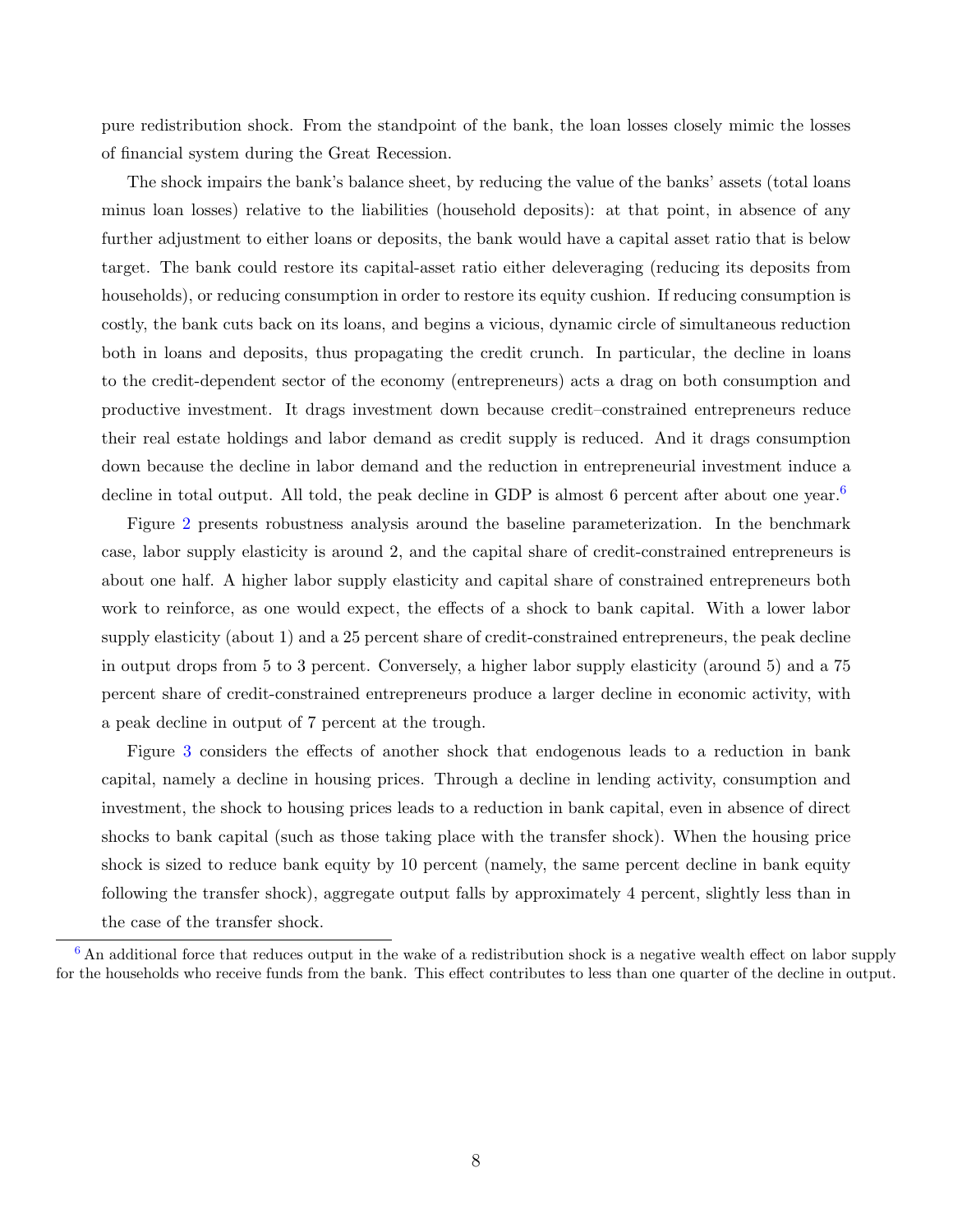pure redistribution shock. From the standpoint of the bank, the loan losses closely mimic the losses of financial system during the Great Recession.

The shock impairs the bank's balance sheet, by reducing the value of the banks' assets (total loans minus loan losses) relative to the liabilities (household deposits): at that point, in absence of any further adjustment to either loans or deposits, the bank would have a capital asset ratio that is below target. The bank could restore its capital-asset ratio either deleveraging (reducing its deposits from households), or reducing consumption in order to restore its equity cushion. If reducing consumption is costly, the bank cuts back on its loans, and begins a vicious, dynamic circle of simultaneous reduction both in loans and deposits, thus propagating the credit crunch. In particular, the decline in loans to the credit-dependent sector of the economy (entrepreneurs) acts a drag on both consumption and productive investment. It drags investment down because credit–constrained entrepreneurs reduce their real estate holdings and labor demand as credit supply is reduced. And it drags consumption down because the decline in labor demand and the reduction in entrepreneurial investment induce a decline in total output. All told, the peak decline in GDP is almost [6](#page-7-0) percent after about one year.<sup>6</sup>

<span id="page-7-1"></span>Figure [2](#page-32-0) presents robustness analysis around the baseline parameterization. In the benchmark case, labor supply elasticity is around 2, and the capital share of credit-constrained entrepreneurs is about one half. A higher labor supply elasticity and capital share of constrained entrepreneurs both work to reinforce, as one would expect, the effects of a shock to bank capital. With a lower labor supply elasticity (about 1) and a 25 percent share of credit-constrained entrepreneurs, the peak decline in output drops from 5 to 3 percent. Conversely, a higher labor supply elasticity (around 5) and a 75 percent share of credit-constrained entrepreneurs produce a larger decline in economic activity, with a peak decline in output of 7 percent at the trough.

Figure [3](#page-33-0) considers the effects of another shock that endogenous leads to a reduction in bank capital, namely a decline in housing prices. Through a decline in lending activity, consumption and investment, the shock to housing prices leads to a reduction in bank capital, even in absence of direct shocks to bank capital (such as those taking place with the transfer shock). When the housing price shock is sized to reduce bank equity by 10 percent (namely, the same percent decline in bank equity following the transfer shock), aggregate output falls by approximately 4 percent, slightly less than in the case of the transfer shock.

<span id="page-7-0"></span> $6$  An additional force that reduces output in the wake of a redistribution shock is a negative wealth effect on labor supply for the households who receive funds from the bank. This effect contributes to less than one quarter of the decline in output.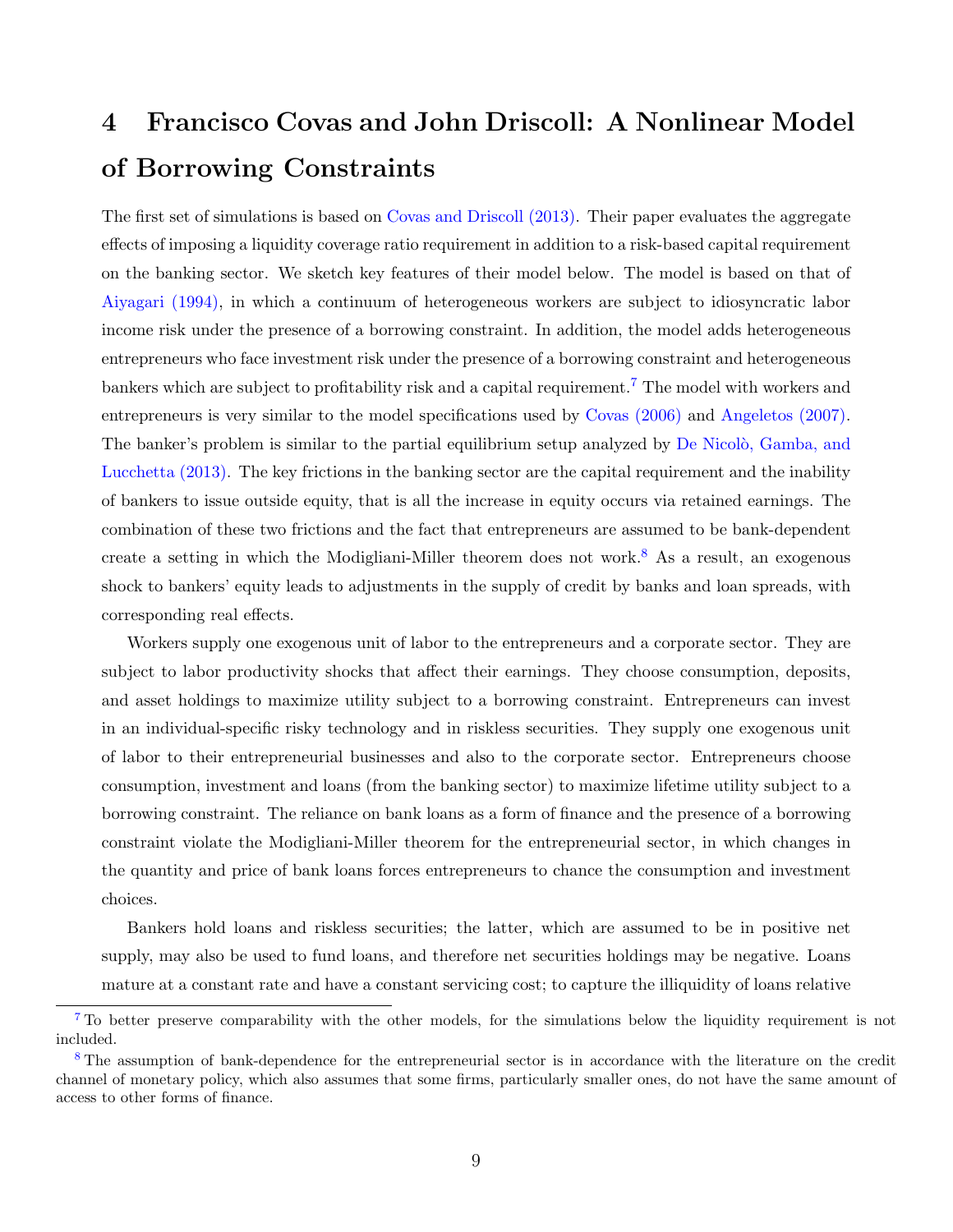# <span id="page-8-4"></span>**4 Francisco Covas and John Driscoll: A Nonlinear Model of Borrowing Constraints**

<span id="page-8-2"></span>The first set of simulations is based on [Covas and Driscoll \(2013\).](#page-49-0) Their paper evaluates the aggregate effects of imposing a liquidity coverage ratio requirement in addition to a risk-based capital requirement on the banking sector. We sketch key features of their model below. The model is based on that of [Aiyagari \(1994\),](#page-49-1) in which a continuum of heterogeneous workers are subject to idiosyncratic labor income risk under the presence of a borrowing constraint. In addition, the model adds heterogeneous entrepreneurs who face investment risk under the presence of a borrowing constraint and heterogeneous bankers which are subject to profitability risk and a capital requirement.[7](#page-8-0) The model with workers and entrepreneurs is very similar to the model specifications used by [Covas \(2006\)](#page-49-2) and [Angeletos \(2007\).](#page-49-3) The banker's problem is similar to the partial equilibrium setup analyzed by De Nicolò, Gamba, and [Lucchetta \(2013\).](#page-49-4) The key frictions in the banking sector are the capital requirement and the inability of bankers to issue outside equity, that is all the increase in equity occurs via retained earnings. The combination of these two frictions and the fact that entrepreneurs are assumed to be bank-dependent create a setting in which the Modigliani-Miller theorem does not work.<sup>[8](#page-8-1)</sup> As a result, an exogenous shock to bankers' equity leads to adjustments in the supply of credit by banks and loan spreads, with corresponding real effects.

<span id="page-8-3"></span>Workers supply one exogenous unit of labor to the entrepreneurs and a corporate sector. They are subject to labor productivity shocks that affect their earnings. They choose consumption, deposits, and asset holdings to maximize utility subject to a borrowing constraint. Entrepreneurs can invest in an individual-specific risky technology and in riskless securities. They supply one exogenous unit of labor to their entrepreneurial businesses and also to the corporate sector. Entrepreneurs choose consumption, investment and loans (from the banking sector) to maximize lifetime utility subject to a borrowing constraint. The reliance on bank loans as a form of finance and the presence of a borrowing constraint violate the Modigliani-Miller theorem for the entrepreneurial sector, in which changes in the quantity and price of bank loans forces entrepreneurs to chance the consumption and investment choices.

Bankers hold loans and riskless securities; the latter, which are assumed to be in positive net supply, may also be used to fund loans, and therefore net securities holdings may be negative. Loans mature at a constant rate and have a constant servicing cost; to capture the illiquidity of loans relative

<span id="page-8-0"></span><sup>&</sup>lt;sup>[7](#page-8-2)</sup> To better preserve comparability with the other models, for the simulations below the liquidity requirement is not included.

<span id="page-8-1"></span><sup>&</sup>lt;sup>[8](#page-8-3)</sup> The assumption of bank-dependence for the entrepreneurial sector is in accordance with the literature on the credit channel of monetary policy, which also assumes that some firms, particularly smaller ones, do not have the same amount of access to other forms of finance.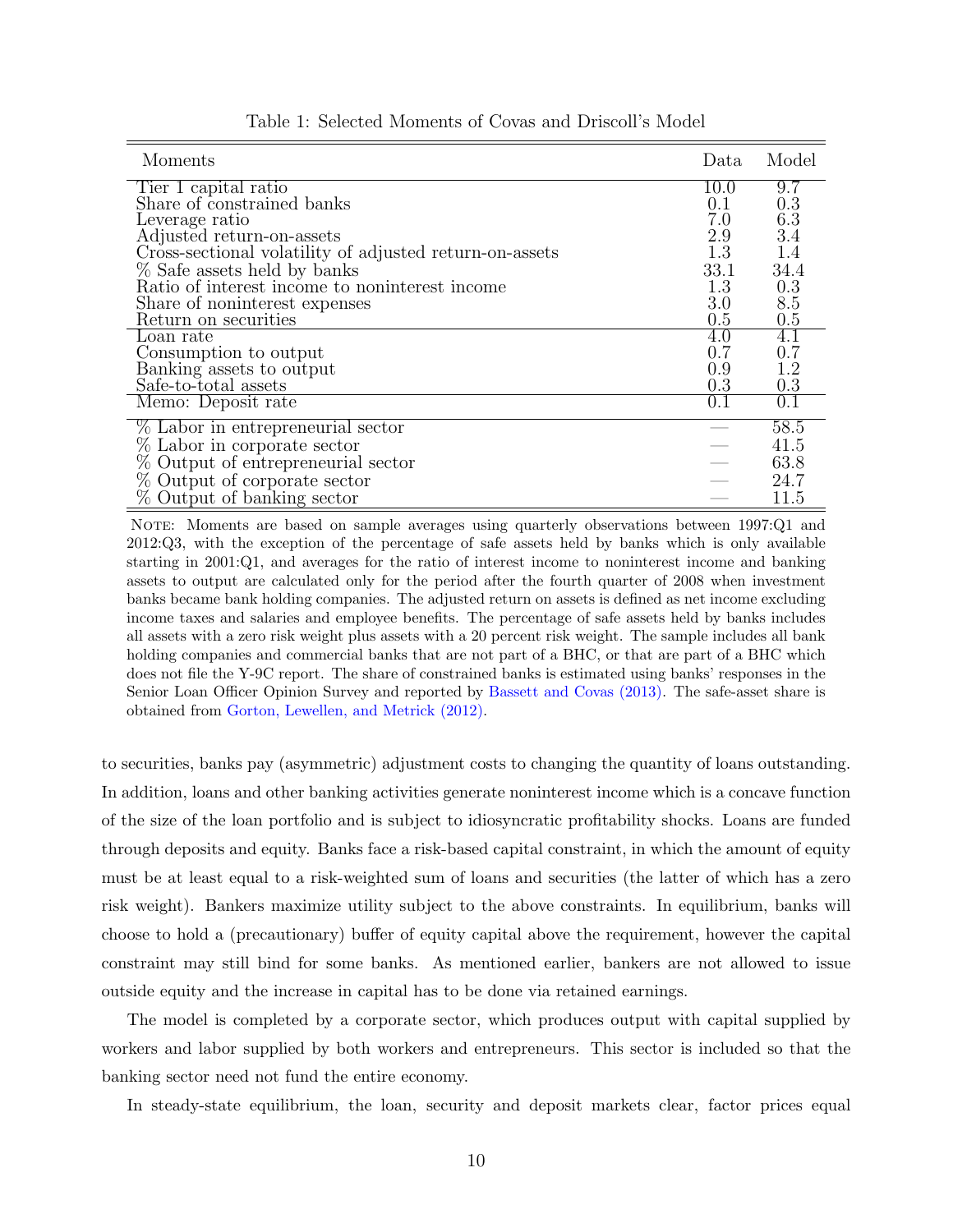<span id="page-9-1"></span>

| Moments                                                 | Data | Model |
|---------------------------------------------------------|------|-------|
| Tier 1 capital ratio                                    | 10.0 | 9.7   |
| Share of constrained banks                              | 0.1  | 0.3   |
| Leverage ratio                                          | 7.0  | 6.3   |
| Adjusted return-on-assets                               | 2.9  | 3.4   |
| Cross-sectional volatility of adjusted return-on-assets | 1.3  | 1.4   |
| % Safe assets held by banks                             | 33.1 | 34.4  |
| Ratio of interest income to noninterest income          | 1.3  | 0.3   |
| Share of noninterest expenses                           | 3.0  | 8.5   |
| Return on securities                                    | 0.5  | 0.5   |
| Loan rate                                               | 4.0  | 4.1   |
| Consumption to output                                   | 0.7  | 0.7   |
| Banking assets to output                                | 0.9  | 1.2   |
| Safe-to-total assets                                    | 0.3  | 0.3   |
| Memo: Deposit rate                                      | 0.1  | 0.1   |
| % Labor in entrepreneurial sector                       |      | 58.5  |
| % Labor in corporate sector                             |      | 41.5  |
| $\%$ Output of entrepreneurial sector                   |      | 63.8  |
| % Output of corporate sector                            |      | 24.7  |
| % Output of banking sector                              |      | 11.5  |

<span id="page-9-0"></span>Table 1: Selected Moments of Covas and Driscoll's Model

NOTE: Moments are based on sample averages using quarterly observations between 1997:Q1 and 2012:Q3, with the exception of the percentage of safe assets held by banks which is only available starting in 2001:Q1, and averages for the ratio of interest income to noninterest income and banking assets to output are calculated only for the period after the fourth quarter of 2008 when investment banks became bank holding companies. The adjusted return on assets is defined as net income excluding income taxes and salaries and employee benefits. The percentage of safe assets held by banks includes all assets with a zero risk weight plus assets with a 20 percent risk weight. The sample includes all bank holding companies and commercial banks that are not part of a BHC, or that are part of a BHC which does not file the Y-9C report. The share of constrained banks is estimated using banks' responses in the Senior Loan Officer Opinion Survey and reported by [Bassett and Covas \(2013\).](#page-49-5) The safe-asset share is obtained from [Gorton, Lewellen, and Metrick \(2012\).](#page-50-2)

to securities, banks pay (asymmetric) adjustment costs to changing the quantity of loans outstanding. In addition, loans and other banking activities generate noninterest income which is a concave function of the size of the loan portfolio and is subject to idiosyncratic profitability shocks. Loans are funded through deposits and equity. Banks face a risk-based capital constraint, in which the amount of equity must be at least equal to a risk-weighted sum of loans and securities (the latter of which has a zero risk weight). Bankers maximize utility subject to the above constraints. In equilibrium, banks will choose to hold a (precautionary) buffer of equity capital above the requirement, however the capital constraint may still bind for some banks. As mentioned earlier, bankers are not allowed to issue outside equity and the increase in capital has to be done via retained earnings.

The model is completed by a corporate sector, which produces output with capital supplied by workers and labor supplied by both workers and entrepreneurs. This sector is included so that the banking sector need not fund the entire economy.

In steady-state equilibrium, the loan, security and deposit markets clear, factor prices equal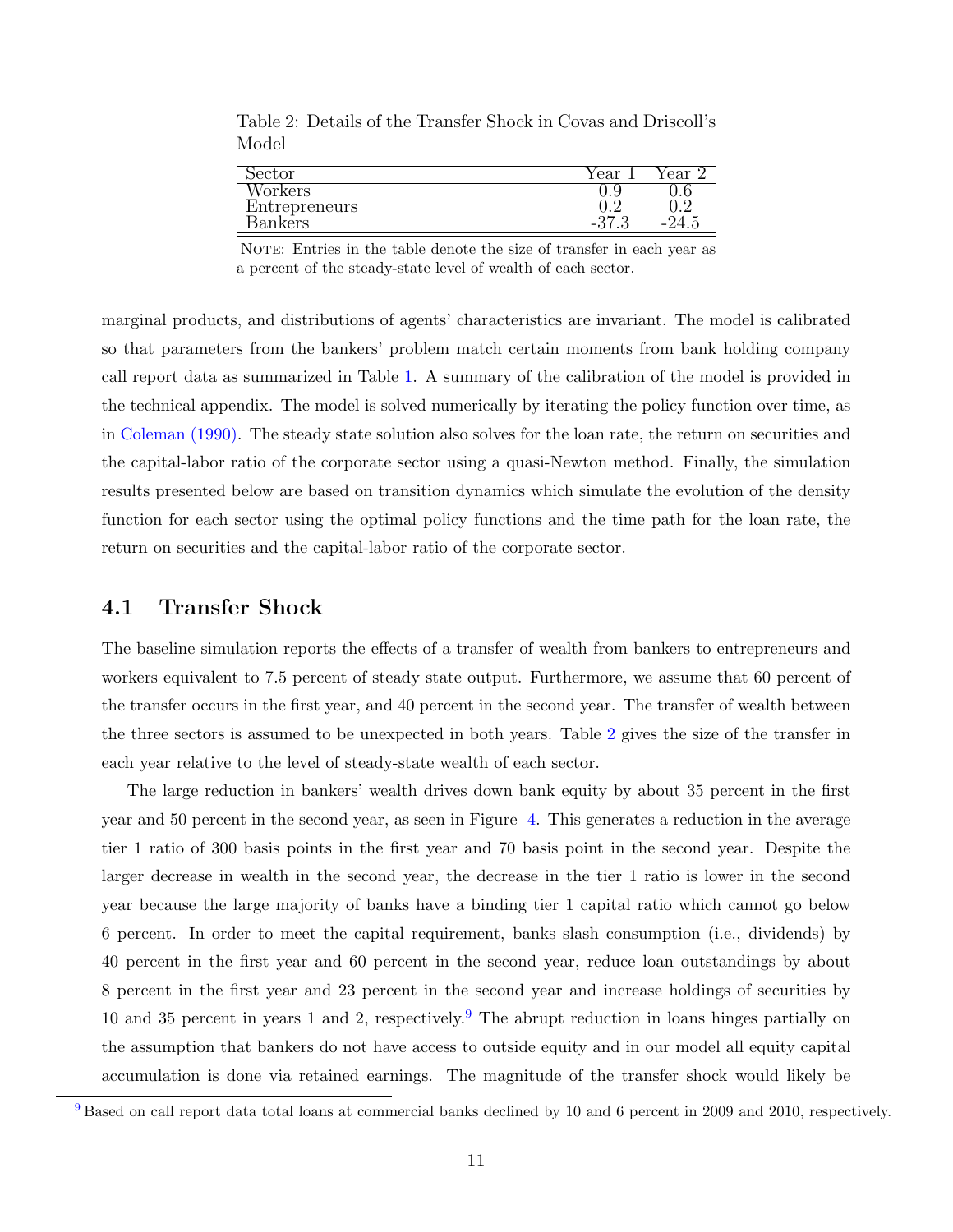| sector        | rear  | rear |
|---------------|-------|------|
| Workers       | U.J   |      |
| Entrepreneurs |       |      |
| Bankers       | $-01$ |      |

<span id="page-10-3"></span><span id="page-10-0"></span>Table 2: Details of the Transfer Shock in Covas and Driscoll's Model

NOTE: Entries in the table denote the size of transfer in each year as a percent of the steady-state level of wealth of each sector.

marginal products, and distributions of agents' characteristics are invariant. The model is calibrated so that parameters from the bankers' problem match certain moments from bank holding company call report data as summarized in Table [1](#page-9-0). A summary of the calibration of the model is provided in the technical appendix. The model is solved numerically by iterating the policy function over time, as in [Coleman \(1990\).](#page-49-6) The steady state solution also solves for the loan rate, the return on securities and the capital-labor ratio of the corporate sector using a quasi-Newton method. Finally, the simulation results presented below are based on transition dynamics which simulate the evolution of the density function for each sector using the optimal policy functions and the time path for the loan rate, the return on securities and the capital-labor ratio of the corporate sector.

### **4.1 Transfer Shock**

The baseline simulation reports the effects of a transfer of wealth from bankers to entrepreneurs and workers equivalent to 7.5 percent of steady state output. Furthermore, we assume that 60 percent of the transfer occurs in the first year, and 40 percent in the second year. The transfer of wealth between the three sectors is assumed to be unexpected in both years. Table [2](#page-10-0) gives the size of the transfer in each year relative to the level of steady-state wealth of each sector.

The large reduction in bankers' wealth drives down bank equity by about 35 percent in the first year and 50 percent in the second year, as seen in Figure [4](#page-34-0). This generates a reduction in the average tier 1 ratio of 300 basis points in the first year and 70 basis point in the second year. Despite the larger decrease in wealth in the second year, the decrease in the tier 1 ratio is lower in the second year because the large majority of banks have a binding tier 1 capital ratio which cannot go below 6 percent. In order to meet the capital requirement, banks slash consumption (i.e., dividends) by 40 percent in the first year and 60 percent in the second year, reduce loan outstandings by about 8 percent in the first year and 23 percent in the second year and increase holdings of securities by 10 and 35 percent in years 1 and 2, respectively.<sup>[9](#page-10-1)</sup> The abrupt reduction in loans hinges partially on the assumption that bankers do not have access to outside equity and in our model all equity capital accumulation is done via retained earnings. The magnitude of the transfer shock would likely be

<span id="page-10-2"></span><span id="page-10-1"></span><sup>&</sup>lt;sup>[9](#page-10-2)</sup> Based on call report data total loans at commercial banks declined by 10 and 6 percent in 2009 and 2010, respectively.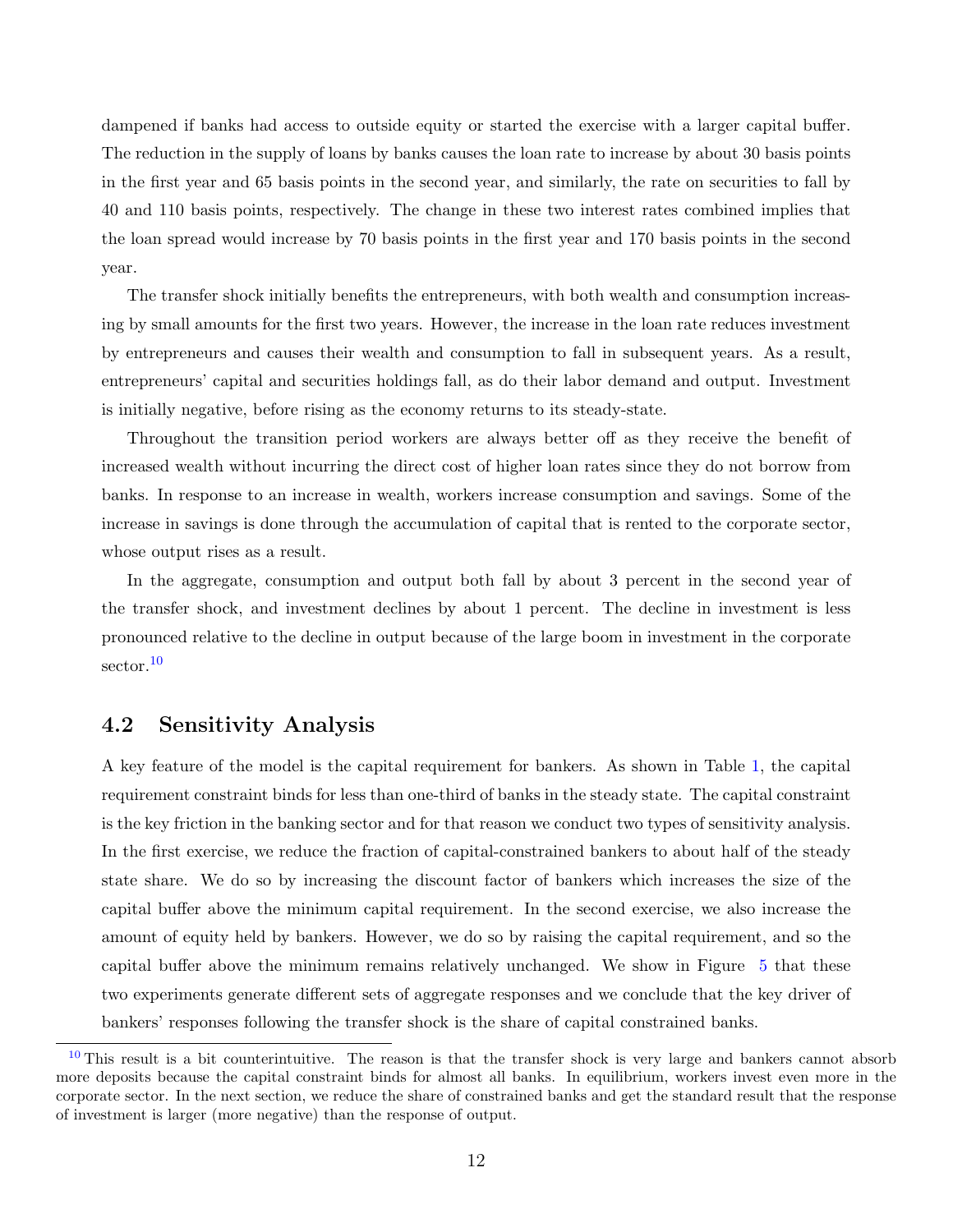dampened if banks had access to outside equity or started the exercise with a larger capital buffer. The reduction in the supply of loans by banks causes the loan rate to increase by about 30 basis points in the first year and 65 basis points in the second year, and similarly, the rate on securities to fall by 40 and 110 basis points, respectively. The change in these two interest rates combined implies that the loan spread would increase by 70 basis points in the first year and 170 basis points in the second year.

The transfer shock initially benefits the entrepreneurs, with both wealth and consumption increasing by small amounts for the first two years. However, the increase in the loan rate reduces investment by entrepreneurs and causes their wealth and consumption to fall in subsequent years. As a result, entrepreneurs' capital and securities holdings fall, as do their labor demand and output. Investment is initially negative, before rising as the economy returns to its steady-state.

Throughout the transition period workers are always better off as they receive the benefit of increased wealth without incurring the direct cost of higher loan rates since they do not borrow from banks. In response to an increase in wealth, workers increase consumption and savings. Some of the increase in savings is done through the accumulation of capital that is rented to the corporate sector, whose output rises as a result.

<span id="page-11-1"></span>In the aggregate, consumption and output both fall by about 3 percent in the second year of the transfer shock, and investment declines by about 1 percent. The decline in investment is less pronounced relative to the decline in output because of the large boom in investment in the corporate sector.<sup>[10](#page-11-0)</sup>

## **4.2 Sensitivity Analysis**

A key feature of the model is the capital requirement for bankers. As shown in Table [1](#page-9-0), the capital requirement constraint binds for less than one-third of banks in the steady state. The capital constraint is the key friction in the banking sector and for that reason we conduct two types of sensitivity analysis. In the first exercise, we reduce the fraction of capital-constrained bankers to about half of the steady state share. We do so by increasing the discount factor of bankers which increases the size of the capital buffer above the minimum capital requirement. In the second exercise, we also increase the amount of equity held by bankers. However, we do so by raising the capital requirement, and so the capital buffer above the minimum remains relatively unchanged. We show in Figure [5](#page-35-0) that these two experiments generate different sets of aggregate responses and we conclude that the key driver of bankers' responses following the transfer shock is the share of capital constrained banks.

<span id="page-11-0"></span> $10$  This result is a bit counterintuitive. The reason is that the transfer shock is very large and bankers cannot absorb more deposits because the capital constraint binds for almost all banks. In equilibrium, workers invest even more in the corporate sector. In the next section, we reduce the share of constrained banks and get the standard result that the response of investment is larger (more negative) than the response of output.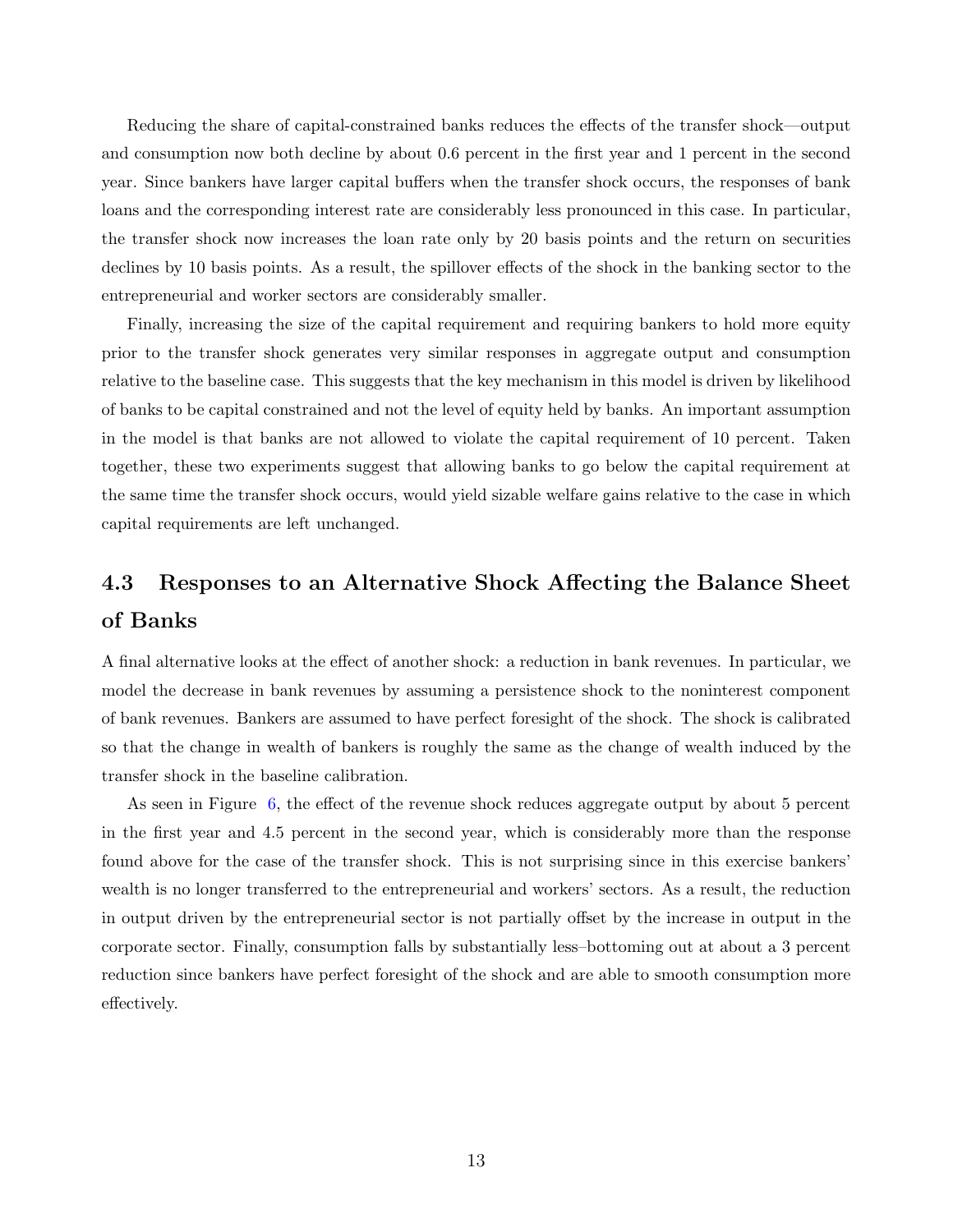Reducing the share of capital-constrained banks reduces the effects of the transfer shock—output and consumption now both decline by about 0.6 percent in the first year and 1 percent in the second year. Since bankers have larger capital buffers when the transfer shock occurs, the responses of bank loans and the corresponding interest rate are considerably less pronounced in this case. In particular, the transfer shock now increases the loan rate only by 20 basis points and the return on securities declines by 10 basis points. As a result, the spillover effects of the shock in the banking sector to the entrepreneurial and worker sectors are considerably smaller.

Finally, increasing the size of the capital requirement and requiring bankers to hold more equity prior to the transfer shock generates very similar responses in aggregate output and consumption relative to the baseline case. This suggests that the key mechanism in this model is driven by likelihood of banks to be capital constrained and not the level of equity held by banks. An important assumption in the model is that banks are not allowed to violate the capital requirement of 10 percent. Taken together, these two experiments suggest that allowing banks to go below the capital requirement at the same time the transfer shock occurs, would yield sizable welfare gains relative to the case in which capital requirements are left unchanged.

## **4.3 Responses to an Alternative Shock Affecting the Balance Sheet of Banks**

A final alternative looks at the effect of another shock: a reduction in bank revenues. In particular, we model the decrease in bank revenues by assuming a persistence shock to the noninterest component of bank revenues. Bankers are assumed to have perfect foresight of the shock. The shock is calibrated so that the change in wealth of bankers is roughly the same as the change of wealth induced by the transfer shock in the baseline calibration.

As seen in Figure [6,](#page-36-0) the effect of the revenue shock reduces aggregate output by about 5 percent in the first year and 4.5 percent in the second year, which is considerably more than the response found above for the case of the transfer shock. This is not surprising since in this exercise bankers' wealth is no longer transferred to the entrepreneurial and workers' sectors. As a result, the reduction in output driven by the entrepreneurial sector is not partially offset by the increase in output in the corporate sector. Finally, consumption falls by substantially less–bottoming out at about a 3 percent reduction since bankers have perfect foresight of the shock and are able to smooth consumption more effectively.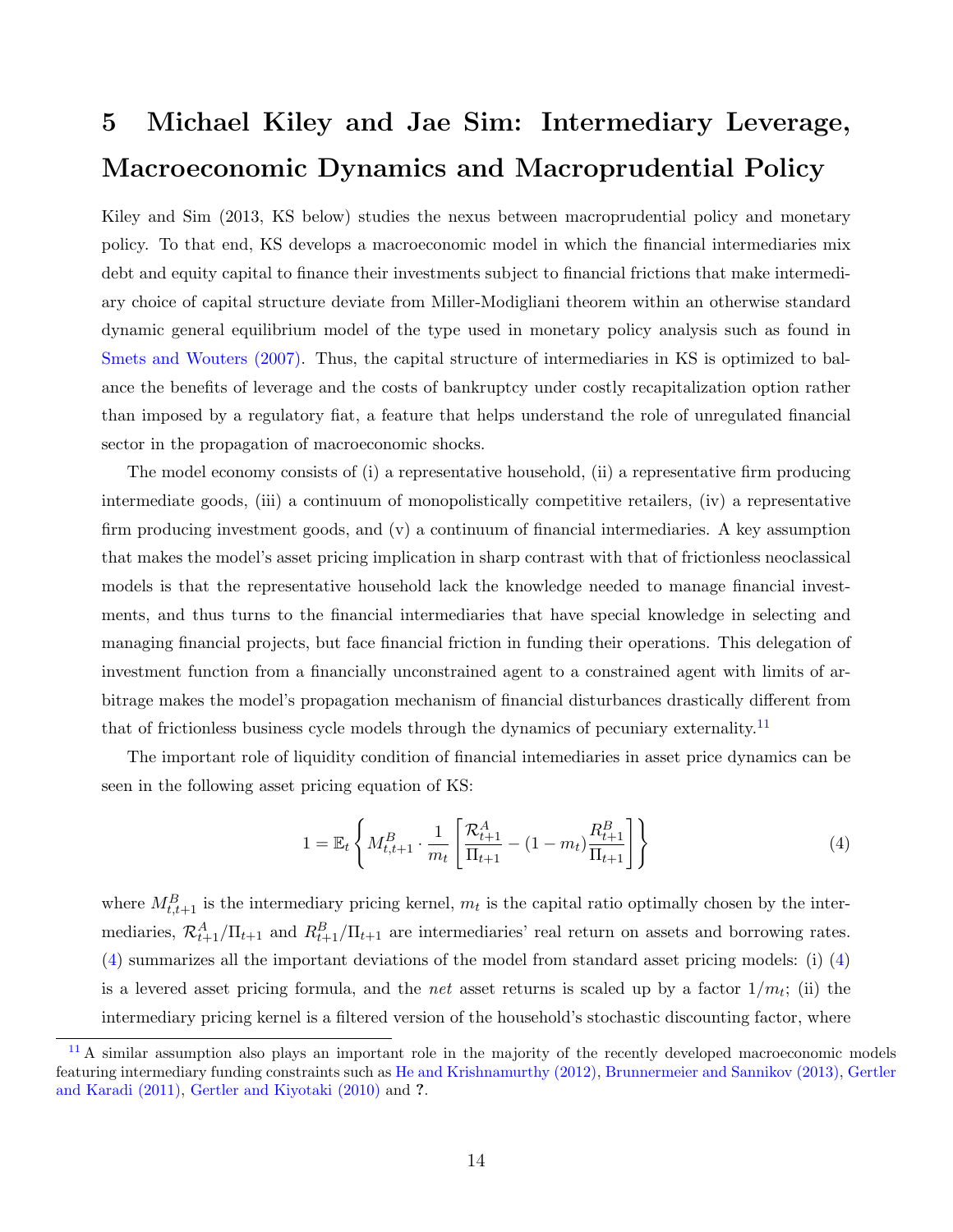# <span id="page-13-3"></span>**5 Michael Kiley and Jae Sim: Intermediary Leverage, Macroeconomic Dynamics and Macroprudential Policy**

Kiley and Sim (2013, KS below) studies the nexus between macroprudential policy and monetary policy. To that end, KS develops a macroeconomic model in which the financial intermediaries mix debt and equity capital to finance their investments subject to financial frictions that make intermediary choice of capital structure deviate from Miller-Modigliani theorem within an otherwise standard dynamic general equilibrium model of the type used in monetary policy analysis such as found in [Smets and Wouters \(2007\)](#page-50-3). Thus, the capital structure of intermediaries in KS is optimized to balance the benefits of leverage and the costs of bankruptcy under costly recapitalization option rather than imposed by a regulatory fiat, a feature that helps understand the role of unregulated financial sector in the propagation of macroeconomic shocks.

The model economy consists of (i) a representative household, (ii) a representative firm producing intermediate goods, (iii) a continuum of monopolistically competitive retailers, (iv) a representative firm producing investment goods, and (v) a continuum of financial intermediaries. A key assumption that makes the model's asset pricing implication in sharp contrast with that of frictionless neoclassical models is that the representative household lack the knowledge needed to manage financial investments, and thus turns to the financial intermediaries that have special knowledge in selecting and managing financial projects, but face financial friction in funding their operations. This delegation of investment function from a financially unconstrained agent to a constrained agent with limits of arbitrage makes the model's propagation mechanism of financial disturbances drastically different from that of frictionless business cycle models through the dynamics of pecuniary externality.<sup>[11](#page-13-0)</sup>

The important role of liquidity condition of financial intemediaries in asset price dynamics can be seen in the following asset pricing equation of KS:

<span id="page-13-2"></span><span id="page-13-1"></span>
$$
1 = \mathbb{E}_t \left\{ M_{t,t+1}^B \cdot \frac{1}{m_t} \left[ \frac{\mathcal{R}_{t+1}^A}{\Pi_{t+1}} - (1 - m_t) \frac{R_{t+1}^B}{\Pi_{t+1}} \right] \right\}
$$
(4)

where  $M_{t,t+1}^B$  is the intermediary pricing kernel,  $m_t$  is the capital ratio optimally chosen by the intermediaries,  $\mathcal{R}_{t+1}^A/\Pi_{t+1}$  and  $R_{t+1}^B/\Pi_{t+1}$  are intermediaries' real return on assets and borrowing rates. ([4\)](#page-13-1) summarizes all the important deviations of the model from standard asset pricing models: (i) [\(4](#page-13-1)) is a levered asset pricing formula, and the *net* asset returns is scaled up by a factor 1*/m<sup>t</sup>* ; (ii) the intermediary pricing kernel is a filtered version of the household's stochastic discounting factor, where

<span id="page-13-0"></span> $11$  A similar assumption also plays an important role in the majority of the recently developed macroeconomic models featuring intermediary funding constraints such as [He and Krishnamurthy \(2012\),](#page-50-4) [Brunnermeier and Sannikov \(2013\)](#page-49-7), [Gertler](#page-49-8) [and Karadi \(2011\)](#page-49-8), [Gertler and Kiyotaki \(2010\)](#page-49-9) and **?**.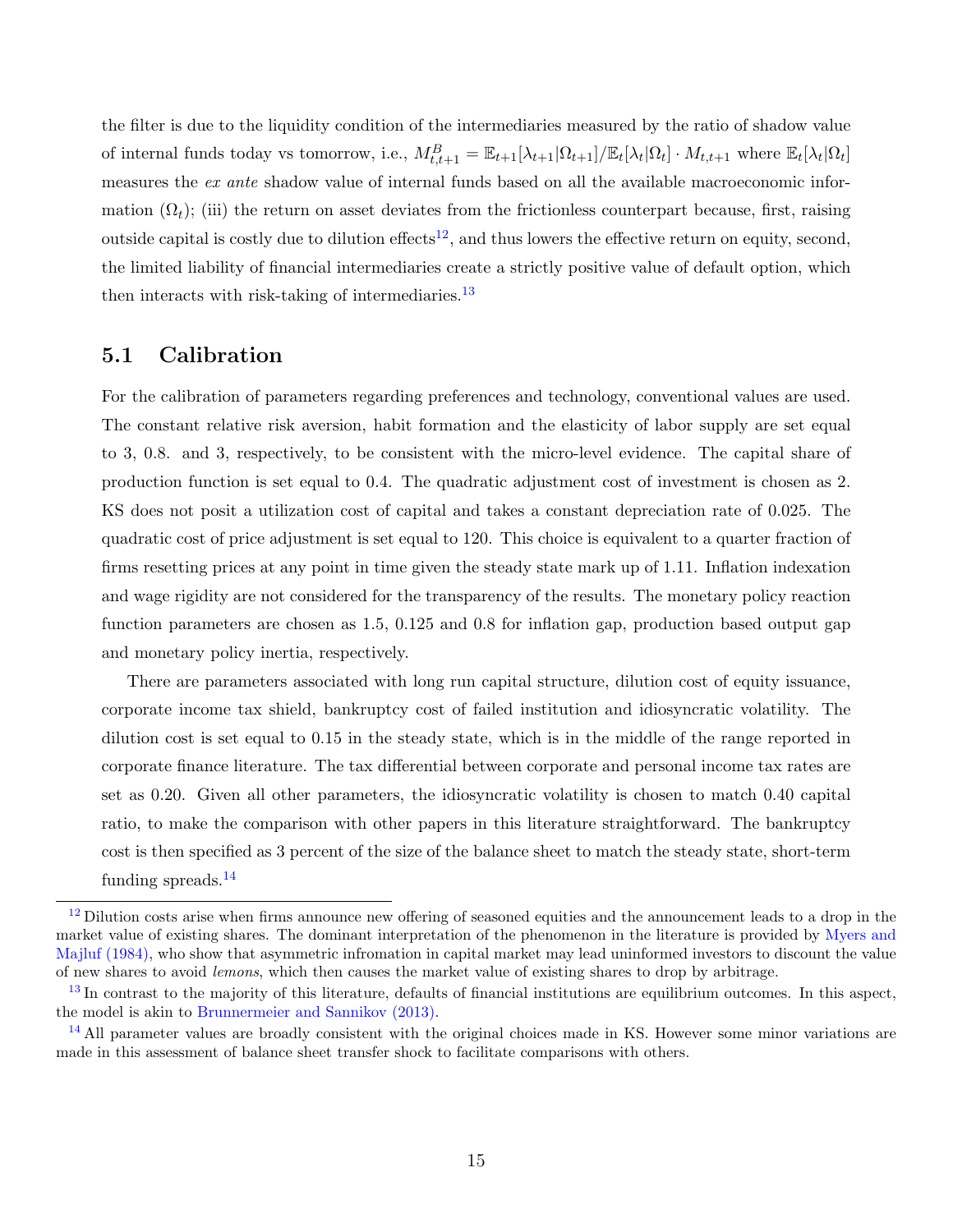<span id="page-14-6"></span><span id="page-14-3"></span>the filter is due to the liquidity condition of the intermediaries measured by the ratio of shadow value of internal funds today vs tomorrow, i.e.,  $M_{t,t+1}^B = \mathbb{E}_{t+1}[\lambda_{t+1}|\Omega_{t+1}]/\mathbb{E}_t[\lambda_t|\Omega_t] \cdot M_{t,t+1}$  where  $\mathbb{E}_t[\lambda_t|\Omega_t]$ measures the *ex ante* shadow value of internal funds based on all the available macroeconomic information  $(\Omega_t)$ ; (iii) the return on asset deviates from the frictionless counterpart because, first, raising outside capital is costly due to dilution effects<sup>[12](#page-14-0)</sup>, and thus lowers the effective return on equity, second, the limited liability of financial intermediaries create a strictly positive value of default option, which then interacts with risk-taking of intermediaries.<sup>[13](#page-14-1)</sup>

### <span id="page-14-4"></span>**5.1 Calibration**

For the calibration of parameters regarding preferences and technology, conventional values are used. The constant relative risk aversion, habit formation and the elasticity of labor supply are set equal to 3, 0.8. and 3, respectively, to be consistent with the micro-level evidence. The capital share of production function is set equal to 0.4. The quadratic adjustment cost of investment is chosen as 2. KS does not posit a utilization cost of capital and takes a constant depreciation rate of 0.025. The quadratic cost of price adjustment is set equal to 120. This choice is equivalent to a quarter fraction of firms resetting prices at any point in time given the steady state mark up of 1.11. Inflation indexation and wage rigidity are not considered for the transparency of the results. The monetary policy reaction function parameters are chosen as 1.5, 0.125 and 0.8 for inflation gap, production based output gap and monetary policy inertia, respectively.

There are parameters associated with long run capital structure, dilution cost of equity issuance, corporate income tax shield, bankruptcy cost of failed institution and idiosyncratic volatility. The dilution cost is set equal to 0.15 in the steady state, which is in the middle of the range reported in corporate finance literature. The tax differential between corporate and personal income tax rates are set as 0.20. Given all other parameters, the idiosyncratic volatility is chosen to match 0.40 capital ratio, to make the comparison with other papers in this literature straightforward. The bankruptcy cost is then specified as 3 percent of the size of the balance sheet to match the steady state, short-term funding spreads.<sup>[14](#page-14-2)</sup>

<span id="page-14-5"></span><span id="page-14-0"></span><sup>&</sup>lt;sup>[12](#page-14-3)</sup> Dilution costs arise when firms announce new offering of seasoned equities and the announcement leads to a drop in the market value of existing shares. The dominant interpretation of the phenomenon in the literature is provided by [Myers and](#page-50-5) [Majluf \(1984\),](#page-50-5) who show that asymmetric infromation in capital market may lead uninformed investors to discount the value of new shares to avoid *lemons*, which then causes the market value of existing shares to drop by arbitrage.

<span id="page-14-1"></span> $13$  In contrast to the majority of this literature, defaults of financial institutions are equilibrium outcomes. In this aspect, the model is akin to [Brunnermeier and Sannikov \(2013\).](#page-49-7)

<span id="page-14-2"></span><sup>&</sup>lt;sup>[14](#page-14-5)</sup> All parameter values are broadly consistent with the original choices made in KS. However some minor variations are made in this assessment of balance sheet transfer shock to facilitate comparisons with others.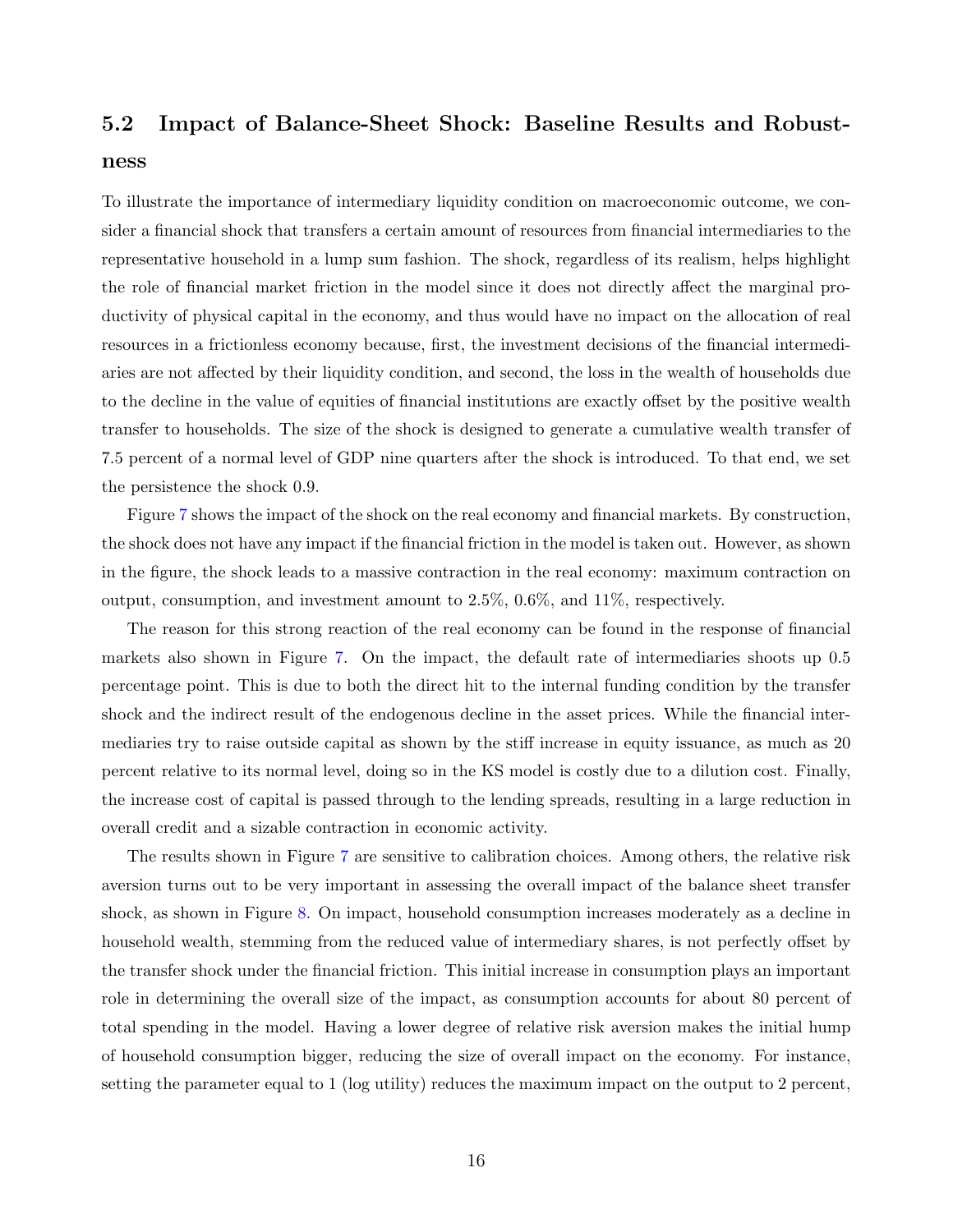## **5.2 Impact of Balance-Sheet Shock: Baseline Results and Robustness**

To illustrate the importance of intermediary liquidity condition on macroeconomic outcome, we consider a financial shock that transfers a certain amount of resources from financial intermediaries to the representative household in a lump sum fashion. The shock, regardless of its realism, helps highlight the role of financial market friction in the model since it does not directly affect the marginal productivity of physical capital in the economy, and thus would have no impact on the allocation of real resources in a frictionless economy because, first, the investment decisions of the financial intermediaries are not affected by their liquidity condition, and second, the loss in the wealth of households due to the decline in the value of equities of financial institutions are exactly offset by the positive wealth transfer to households. The size of the shock is designed to generate a cumulative wealth transfer of 7.5 percent of a normal level of GDP nine quarters after the shock is introduced. To that end, we set the persistence the shock 0.9.

Figure [7](#page-37-0) shows the impact of the shock on the real economy and financial markets. By construction, the shock does not have any impact if the financial friction in the model is taken out. However, as shown in the figure, the shock leads to a massive contraction in the real economy: maximum contraction on output, consumption, and investment amount to 2.5%, 0.6%, and 11%, respectively.

The reason for this strong reaction of the real economy can be found in the response of financial markets also shown in Figure [7.](#page-37-0) On the impact, the default rate of intermediaries shoots up 0.5 percentage point. This is due to both the direct hit to the internal funding condition by the transfer shock and the indirect result of the endogenous decline in the asset prices. While the financial intermediaries try to raise outside capital as shown by the stiff increase in equity issuance, as much as 20 percent relative to its normal level, doing so in the KS model is costly due to a dilution cost. Finally, the increase cost of capital is passed through to the lending spreads, resulting in a large reduction in overall credit and a sizable contraction in economic activity.

The results shown in Figure [7](#page-37-0) are sensitive to calibration choices. Among others, the relative risk aversion turns out to be very important in assessing the overall impact of the balance sheet transfer shock, as shown in Figure [8.](#page-38-0) On impact, household consumption increases moderately as a decline in household wealth, stemming from the reduced value of intermediary shares, is not perfectly offset by the transfer shock under the financial friction. This initial increase in consumption plays an important role in determining the overall size of the impact, as consumption accounts for about 80 percent of total spending in the model. Having a lower degree of relative risk aversion makes the initial hump of household consumption bigger, reducing the size of overall impact on the economy. For instance, setting the parameter equal to 1 (log utility) reduces the maximum impact on the output to 2 percent,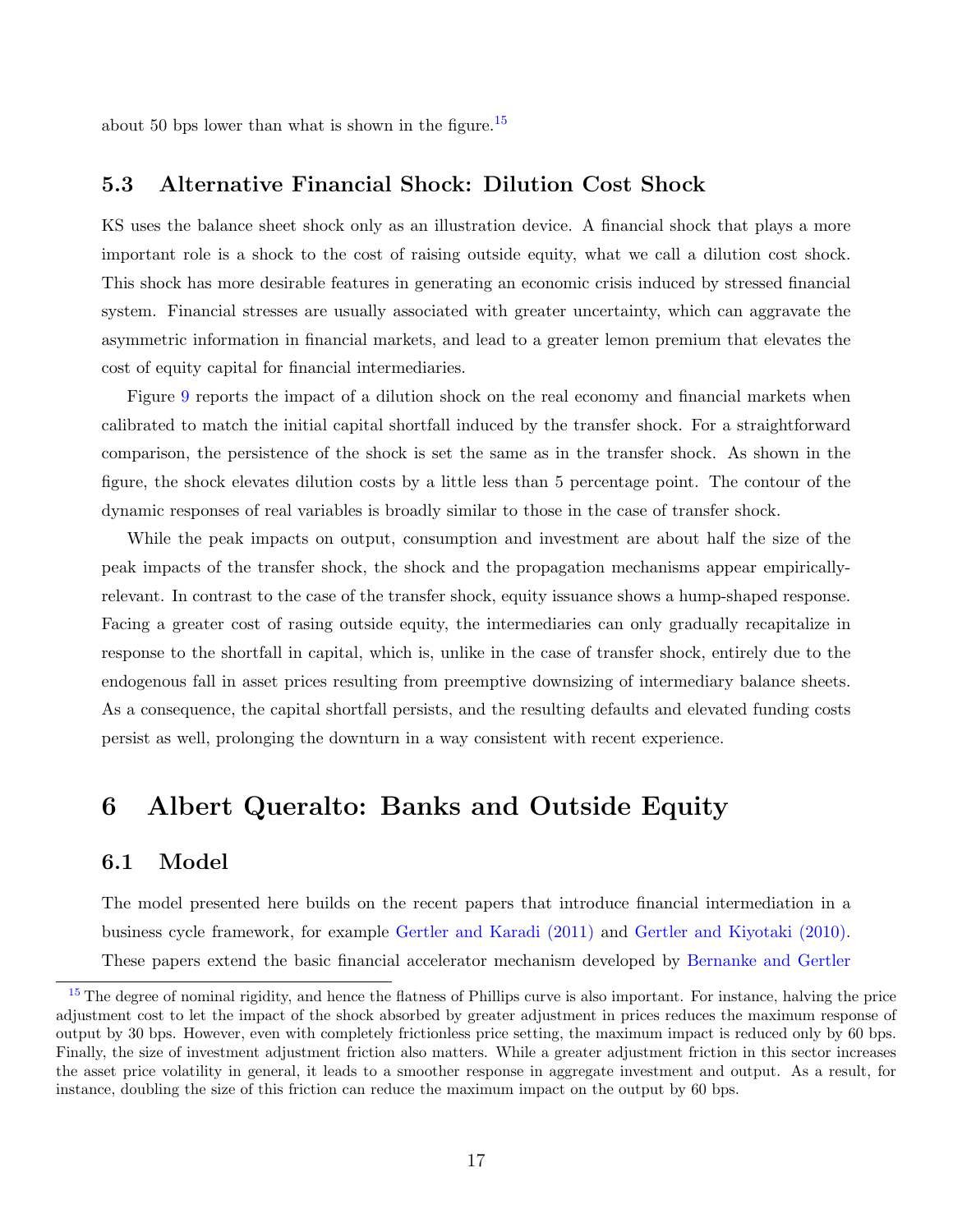<span id="page-16-1"></span>about 50 bps lower than what is shown in the figure.<sup>[15](#page-16-0)</sup>

#### **5.3 Alternative Financial Shock: Dilution Cost Shock**

KS uses the balance sheet shock only as an illustration device. A financial shock that plays a more important role is a shock to the cost of raising outside equity, what we call a dilution cost shock. This shock has more desirable features in generating an economic crisis induced by stressed financial system. Financial stresses are usually associated with greater uncertainty, which can aggravate the asymmetric information in financial markets, and lead to a greater lemon premium that elevates the cost of equity capital for financial intermediaries.

Figure [9](#page-39-0) reports the impact of a dilution shock on the real economy and financial markets when calibrated to match the initial capital shortfall induced by the transfer shock. For a straightforward comparison, the persistence of the shock is set the same as in the transfer shock. As shown in the figure, the shock elevates dilution costs by a little less than 5 percentage point. The contour of the dynamic responses of real variables is broadly similar to those in the case of transfer shock.

While the peak impacts on output, consumption and investment are about half the size of the peak impacts of the transfer shock, the shock and the propagation mechanisms appear empiricallyrelevant. In contrast to the case of the transfer shock, equity issuance shows a hump-shaped response. Facing a greater cost of rasing outside equity, the intermediaries can only gradually recapitalize in response to the shortfall in capital, which is, unlike in the case of transfer shock, entirely due to the endogenous fall in asset prices resulting from preemptive downsizing of intermediary balance sheets. As a consequence, the capital shortfall persists, and the resulting defaults and elevated funding costs persist as well, prolonging the downturn in a way consistent with recent experience.

## **6 Albert Queralto: Banks and Outside Equity**

## **6.1 Model**

The model presented here builds on the recent papers that introduce financial intermediation in a business cycle framework, for example [Gertler and Karadi \(2011\)](#page-49-8) and [Gertler and Kiyotaki \(2010\).](#page-49-9) These papers extend the basic financial accelerator mechanism developed by [Bernanke and Gertler](#page-49-10)

<span id="page-16-0"></span><sup>&</sup>lt;sup>[15](#page-49-10)</sup> The degree of nominal rigidity, and hence the flatness of Phillips curve is also important. For instance, halving the price adjustment cost to let the impact of the shock absorbed by greater adjustment in prices reduces the maximum response of output by 30 bps. However, even with completely frictionless price setting, the maximum impact is reduced only by 60 bps. Finally, the size of investment adjustment friction also matters. While a greater adjustment friction in this sector increases the asset price volatility in general, it leads to a smoother response in aggregate investment and output. As a result, for instance, doubling the size of this friction can reduce the maximum impact on the output by 60 bps.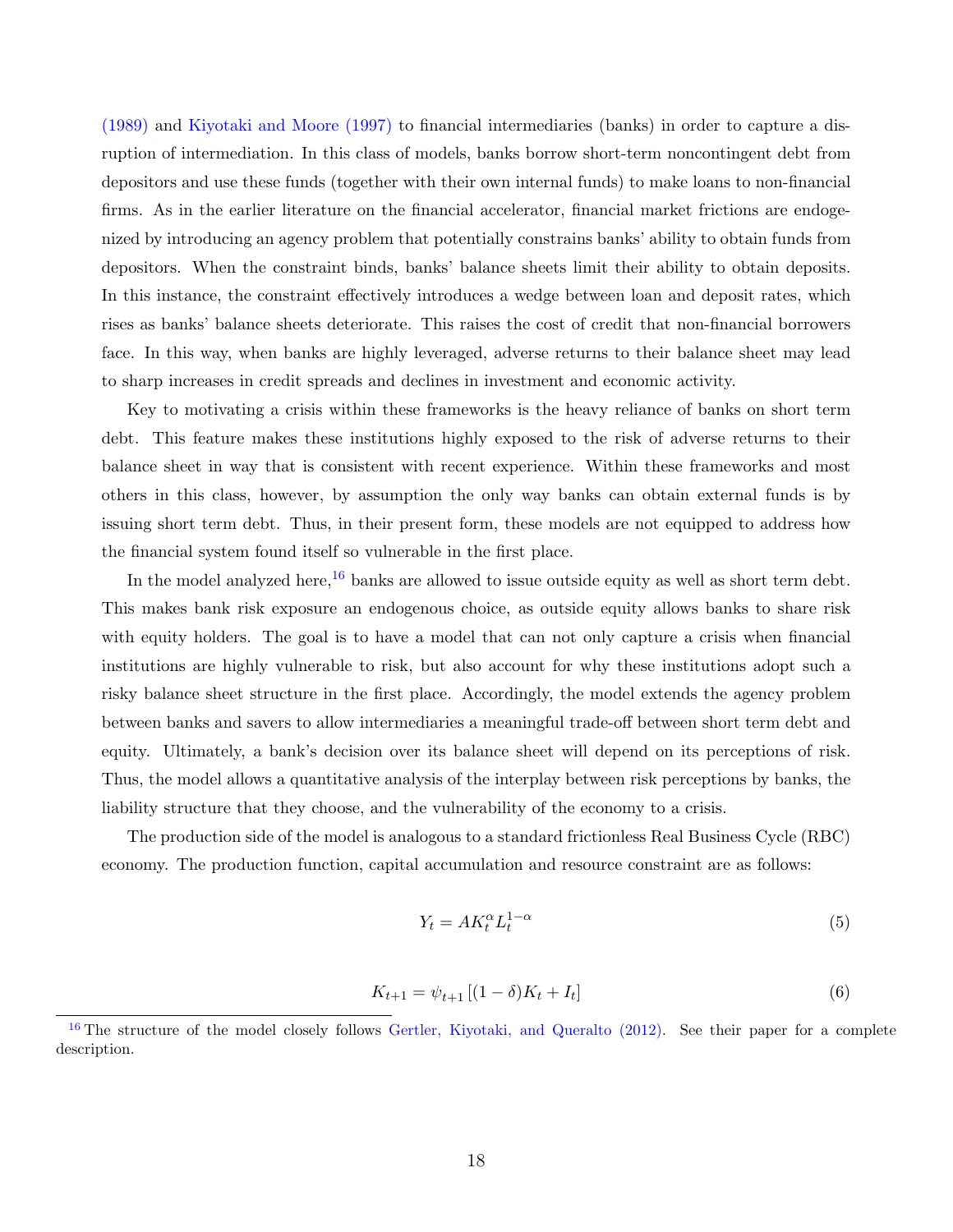<span id="page-17-3"></span>(1989) and [Kiyotaki and Moore \(1997\)](#page-50-6) to financial intermediaries (banks) in order to capture a disruption of intermediation. In this class of models, banks borrow short-term noncontingent debt from depositors and use these funds (together with their own internal funds) to make loans to non-financial firms. As in the earlier literature on the financial accelerator, financial market frictions are endogenized by introducing an agency problem that potentially constrains banks' ability to obtain funds from depositors. When the constraint binds, banks' balance sheets limit their ability to obtain deposits. In this instance, the constraint effectively introduces a wedge between loan and deposit rates, which rises as banks' balance sheets deteriorate. This raises the cost of credit that non-financial borrowers face. In this way, when banks are highly leveraged, adverse returns to their balance sheet may lead to sharp increases in credit spreads and declines in investment and economic activity.

Key to motivating a crisis within these frameworks is the heavy reliance of banks on short term debt. This feature makes these institutions highly exposed to the risk of adverse returns to their balance sheet in way that is consistent with recent experience. Within these frameworks and most others in this class, however, by assumption the only way banks can obtain external funds is by issuing short term debt. Thus, in their present form, these models are not equipped to address how the financial system found itself so vulnerable in the first place.

<span id="page-17-1"></span>In the model analyzed here,  $\frac{16}{6}$  $\frac{16}{6}$  $\frac{16}{6}$  banks are allowed to issue outside equity as well as short term debt. This makes bank risk exposure an endogenous choice, as outside equity allows banks to share risk with equity holders. The goal is to have a model that can not only capture a crisis when financial institutions are highly vulnerable to risk, but also account for why these institutions adopt such a risky balance sheet structure in the first place. Accordingly, the model extends the agency problem between banks and savers to allow intermediaries a meaningful trade-off between short term debt and equity. Ultimately, a bank's decision over its balance sheet will depend on its perceptions of risk. Thus, the model allows a quantitative analysis of the interplay between risk perceptions by banks, the liability structure that they choose, and the vulnerability of the economy to a crisis.

The production side of the model is analogous to a standard frictionless Real Business Cycle (RBC) economy. The production function, capital accumulation and resource constraint are as follows:

$$
Y_t = A K_t^{\alpha} L_t^{1-\alpha} \tag{5}
$$

<span id="page-17-2"></span>
$$
K_{t+1} = \psi_{t+1} \left[ (1 - \delta) K_t + I_t \right] \tag{6}
$$

<span id="page-17-0"></span><sup>&</sup>lt;sup>[16](#page-17-1)</sup> The structure of the model closely follows [Gertler, Kiyotaki, and Queralto \(2012\).](#page-49-11) See their paper for a complete description.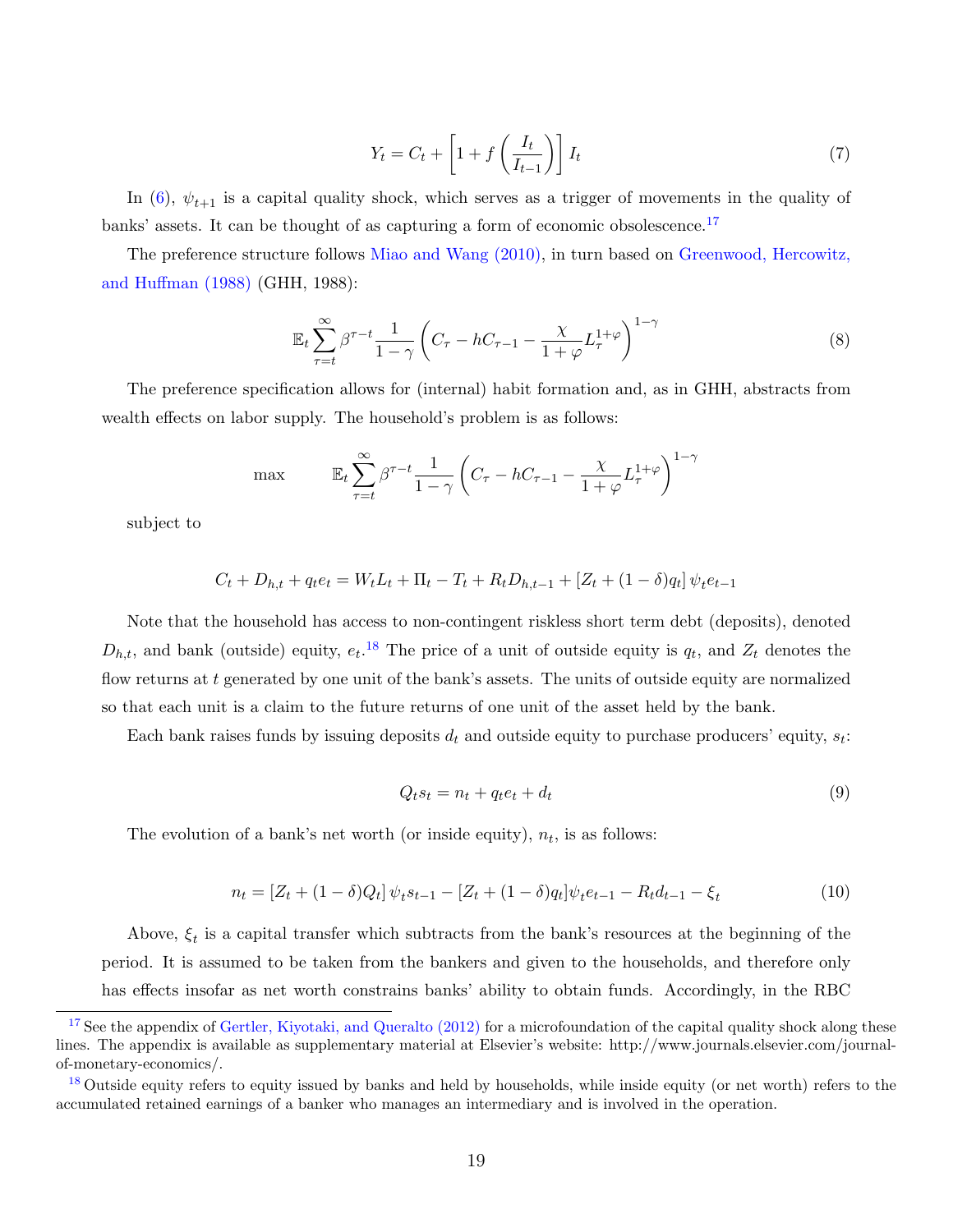<span id="page-18-2"></span>
$$
Y_t = C_t + \left[1 + f\left(\frac{I_t}{I_{t-1}}\right)\right] I_t \tag{7}
$$

<span id="page-18-4"></span>In [\(6\)](#page-17-2),  $\psi_{t+1}$  is a capital quality shock, which serves as a trigger of movements in the quality of banks' assets. It can be thought of as capturing a form of economic obsolescence.<sup>[17](#page-18-0)</sup>

The preference structure follows [Miao and Wang \(2010\),](#page-50-7) in turn based on [Greenwood, Hercowitz,](#page-50-8) [and Huffman \(1988\)](#page-50-8) (GHH, 1988):

$$
\mathbb{E}_t \sum_{\tau=t}^{\infty} \beta^{\tau-t} \frac{1}{1-\gamma} \left( C_{\tau} - hC_{\tau-1} - \frac{\chi}{1+\varphi} L_{\tau}^{1+\varphi} \right)^{1-\gamma} \tag{8}
$$

The preference specification allows for (internal) habit formation and, as in GHH, abstracts from wealth effects on labor supply. The household's problem is as follows:

$$
\max \qquad \mathbb{E}_t \sum_{\tau=t}^{\infty} \beta^{\tau-t} \frac{1}{1-\gamma} \left( C_{\tau} - hC_{\tau-1} - \frac{\chi}{1+\varphi} L_{\tau}^{1+\varphi} \right)^{1-\gamma}
$$

subject to

<span id="page-18-3"></span>
$$
C_t + D_{h,t} + q_t e_t = W_t L_t + \Pi_t - T_t + R_t D_{h,t-1} + [Z_t + (1 - \delta) q_t] \psi_t e_{t-1}
$$

Note that the household has access to non-contingent riskless short term debt (deposits), denoted  $D_{h,t}$ , and bank (outside) equity,  $e_t$ <sup>[18](#page-18-1)</sup>. The price of a unit of outside equity is  $q_t$ , and  $Z_t$  denotes the flow returns at *t* generated by one unit of the bank's assets. The units of outside equity are normalized so that each unit is a claim to the future returns of one unit of the asset held by the bank.

Each bank raises funds by issuing deposits  $d_t$  and outside equity to purchase producers' equity,  $s_t$ .

$$
Q_t s_t = n_t + q_t e_t + d_t \tag{9}
$$

The evolution of a bank's net worth (or inside equity),  $n_t$ , is as follows:

$$
n_t = [Z_t + (1 - \delta)Q_t] \psi_t s_{t-1} - [Z_t + (1 - \delta)q_t] \psi_t e_{t-1} - R_t d_{t-1} - \xi_t
$$
\n(10)

Above,  $\xi_t$  is a capital transfer which subtracts from the bank's resources at the beginning of the period. It is assumed to be taken from the bankers and given to the households, and therefore only has effects insofar as net worth constrains banks' ability to obtain funds. Accordingly, in the RBC

<span id="page-18-0"></span> $17$  See the appendix of [Gertler, Kiyotaki, and Queralto \(2012\)](#page-49-11) for a microfoundation of the capital quality shock along these lines. The appendix is available as supplementary material at Elsevier's website: http://www.journals.elsevier.com/journalof-monetary-economics/.

<span id="page-18-1"></span><sup>&</sup>lt;sup>[18](#page-18-3)</sup> Outside equity refers to equity issued by banks and held by households, while inside equity (or net worth) refers to the accumulated retained earnings of a banker who manages an intermediary and is involved in the operation.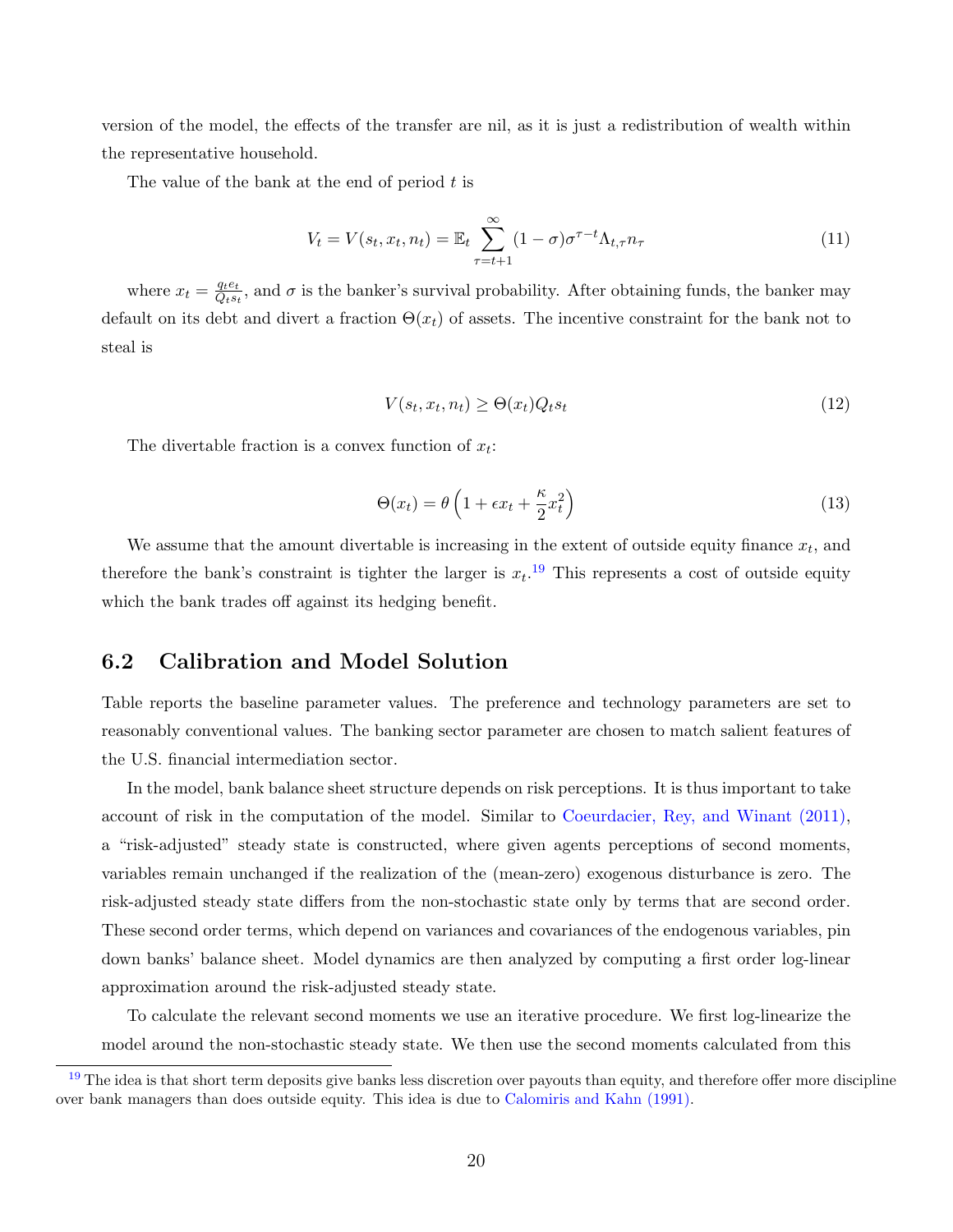<span id="page-19-2"></span>version of the model, the effects of the transfer are nil, as it is just a redistribution of wealth within the representative household.

The value of the bank at the end of period *t* is

$$
V_t = V(s_t, x_t, n_t) = \mathbb{E}_t \sum_{\tau=t+1}^{\infty} (1 - \sigma) \sigma^{\tau - t} \Lambda_{t, \tau} n_{\tau}
$$
\n(11)

where  $x_t = \frac{q_t e_t}{Q_t s_t}$  $\frac{q_t e_t}{Q_t s_t}$ , and  $\sigma$  is the banker's survival probability. After obtaining funds, the banker may default on its debt and divert a fraction  $\Theta(x_t)$  of assets. The incentive constraint for the bank not to steal is

$$
V(s_t, x_t, n_t) \ge \Theta(x_t) Q_t s_t \tag{12}
$$

The divertable fraction is a convex function of  $x_t$ :

<span id="page-19-1"></span>
$$
\Theta(x_t) = \theta \left( 1 + \epsilon x_t + \frac{\kappa}{2} x_t^2 \right) \tag{13}
$$

We assume that the amount divertable is increasing in the extent of outside equity finance  $x_t$ , and therefore the bank's constraint is tighter the larger is  $x_t$ <sup>[19](#page-19-0)</sup>. This represents a cost of outside equity which the bank trades off against its hedging benefit.

### **6.2 Calibration and Model Solution**

Table reports the baseline parameter values. The preference and technology parameters are set to reasonably conventional values. The banking sector parameter are chosen to match salient features of the U.S. financial intermediation sector.

In the model, bank balance sheet structure depends on risk perceptions. It is thus important to take account of risk in the computation of the model. Similar to [Coeurdacier, Rey, and Winant \(2011\),](#page-49-12) a "risk-adjusted" steady state is constructed, where given agents perceptions of second moments, variables remain unchanged if the realization of the (mean-zero) exogenous disturbance is zero. The risk-adjusted steady state differs from the non-stochastic state only by terms that are second order. These second order terms, which depend on variances and covariances of the endogenous variables, pin down banks' balance sheet. Model dynamics are then analyzed by computing a first order log-linear approximation around the risk-adjusted steady state.

To calculate the relevant second moments we use an iterative procedure. We first log-linearize the model around the non-stochastic steady state. We then use the second moments calculated from this

<span id="page-19-0"></span><sup>&</sup>lt;sup>[19](#page-19-1)</sup> The idea is that short term deposits give banks less discretion over payouts than equity, and therefore offer more discipline over bank managers than does outside equity. This idea is due to [Calomiris and Kahn \(1991\).](#page-49-13)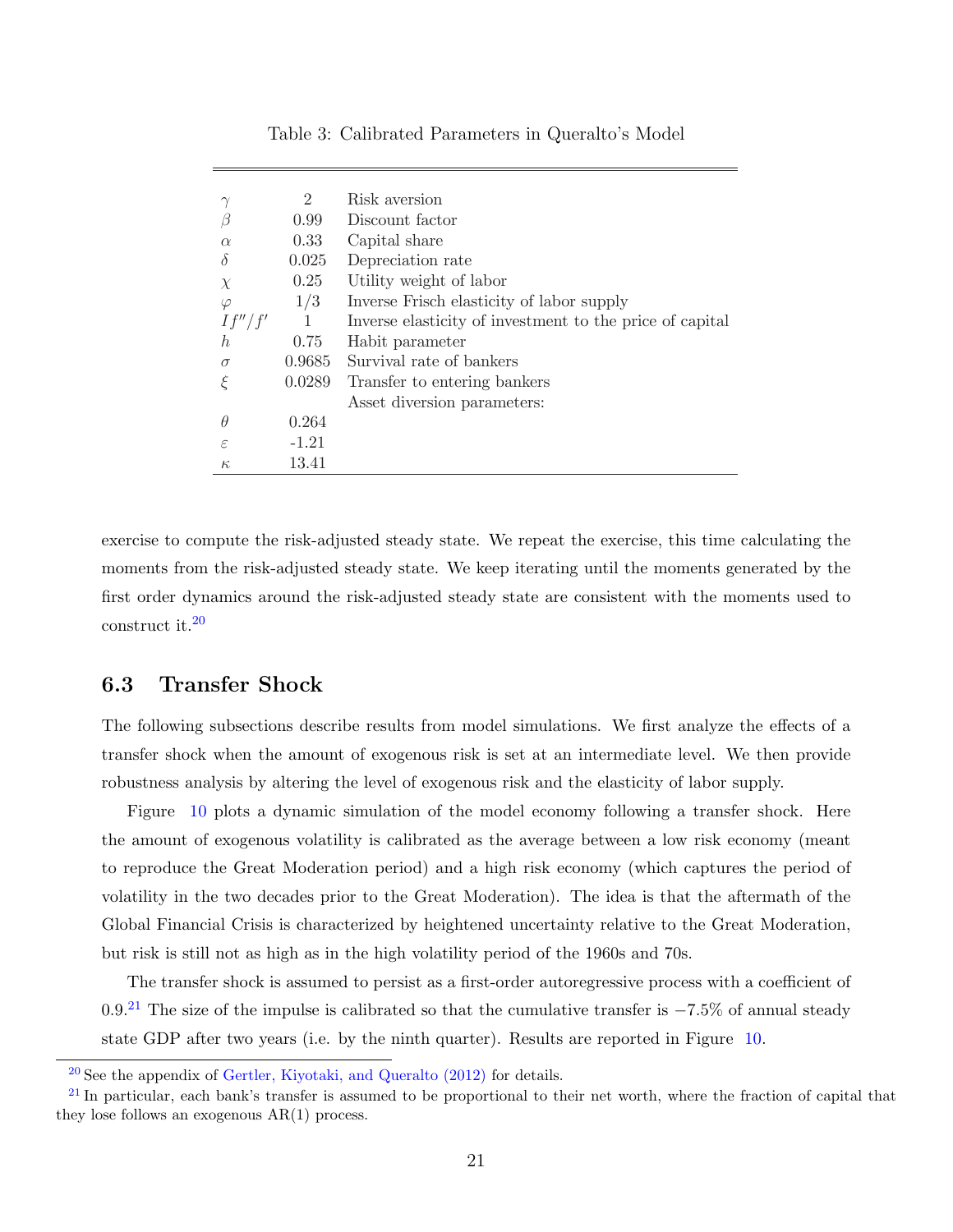<span id="page-20-4"></span>

| $\gamma$   | $\mathcal{D}_{\mathcal{L}}$ | Risk aversion                                            |
|------------|-----------------------------|----------------------------------------------------------|
| β          | 0.99                        | Discount factor                                          |
| $\alpha$   | 0.33                        | Capital share                                            |
| $\delta$   | 0.025                       | Depreciation rate                                        |
| $\chi$     | 0.25                        | Utility weight of labor                                  |
| $\varphi$  | 1/3                         | Inverse Frisch elasticity of labor supply                |
| If''/f'    | 1                           | Inverse elasticity of investment to the price of capital |
| $\hbar$    | 0.75                        | Habit parameter                                          |
| $\sigma$   | 0.9685                      | Survival rate of bankers                                 |
| ξ          | 0.0289                      | Transfer to entering bankers                             |
|            |                             | Asset diversion parameters:                              |
| $\theta$   | 0.264                       |                                                          |
| $\epsilon$ | $-1.21$                     |                                                          |
| $\kappa$   | 13.41                       |                                                          |

#### Table 3: Calibrated Parameters in Queralto's Model

<span id="page-20-2"></span>exercise to compute the risk-adjusted steady state. We repeat the exercise, this time calculating the moments from the risk-adjusted steady state. We keep iterating until the moments generated by the first order dynamics around the risk-adjusted steady state are consistent with the moments used to construct it.<sup>[20](#page-20-0)</sup>

## **6.3 Transfer Shock**

The following subsections describe results from model simulations. We first analyze the effects of a transfer shock when the amount of exogenous risk is set at an intermediate level. We then provide robustness analysis by altering the level of exogenous risk and the elasticity of labor supply.

Figure [10](#page-40-0) plots a dynamic simulation of the model economy following a transfer shock. Here the amount of exogenous volatility is calibrated as the average between a low risk economy (meant to reproduce the Great Moderation period) and a high risk economy (which captures the period of volatility in the two decades prior to the Great Moderation). The idea is that the aftermath of the Global Financial Crisis is characterized by heightened uncertainty relative to the Great Moderation, but risk is still not as high as in the high volatility period of the 1960s and 70s.

<span id="page-20-3"></span>The transfer shock is assumed to persist as a first-order autoregressive process with a coefficient of 0.9.[21](#page-20-1) The size of the impulse is calibrated so that the cumulative transfer is *<sup>−</sup>*7*.*5% of annual steady state GDP after two years (i.e. by the ninth quarter). Results are reported in Figure [10](#page-40-0).

<span id="page-20-1"></span><span id="page-20-0"></span> $20$  See the appendix of [Gertler, Kiyotaki, and Queralto \(2012\)](#page-49-11) for details.

 $^{21}$  $^{21}$  $^{21}$  In particular, each bank's transfer is assumed to be proportional to their net worth, where the fraction of capital that they lose follows an exogenous  $AR(1)$  process.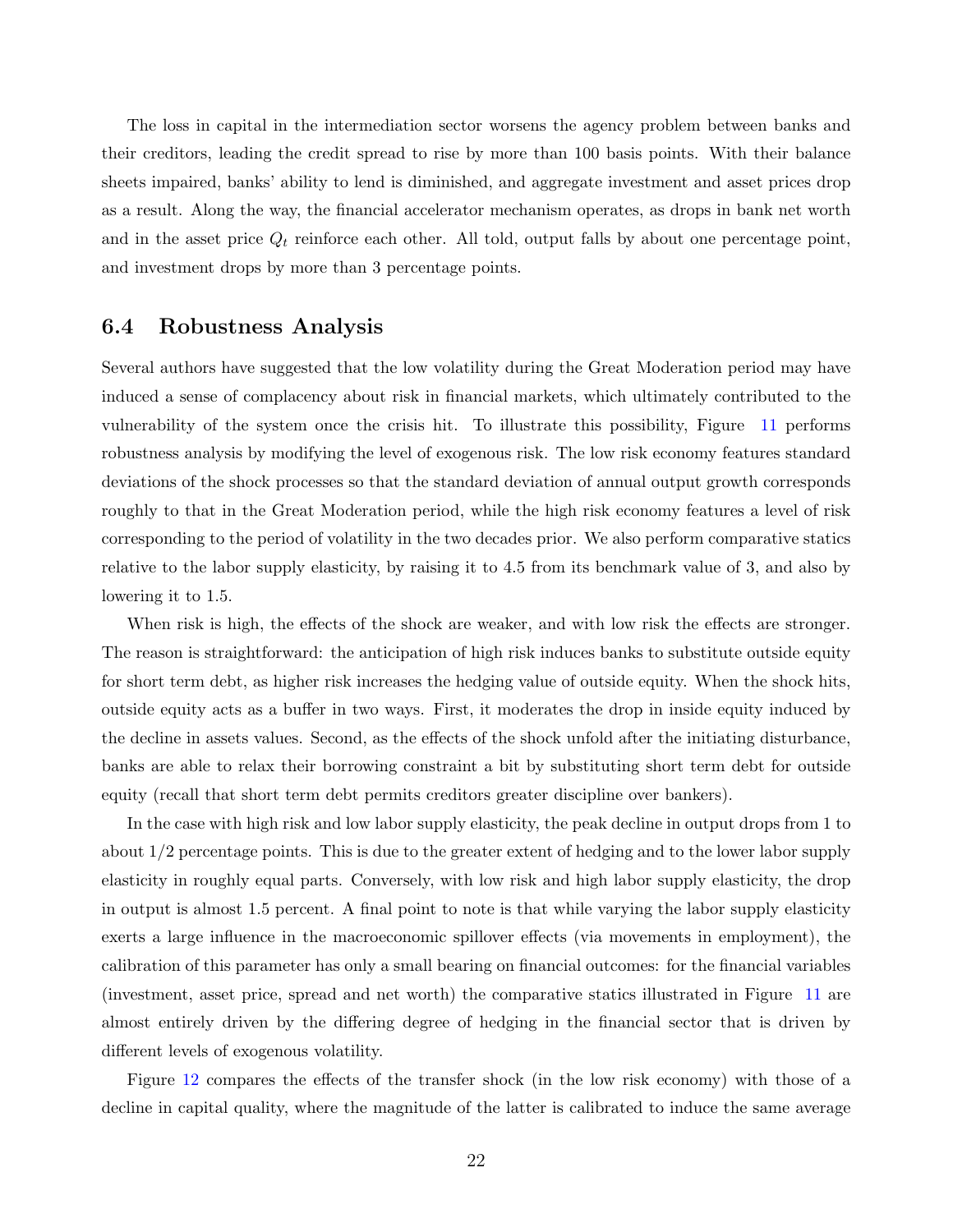The loss in capital in the intermediation sector worsens the agency problem between banks and their creditors, leading the credit spread to rise by more than 100 basis points. With their balance sheets impaired, banks' ability to lend is diminished, and aggregate investment and asset prices drop as a result. Along the way, the financial accelerator mechanism operates, as drops in bank net worth and in the asset price *Q<sup>t</sup>* reinforce each other. All told, output falls by about one percentage point, and investment drops by more than 3 percentage points.

### **6.4 Robustness Analysis**

Several authors have suggested that the low volatility during the Great Moderation period may have induced a sense of complacency about risk in financial markets, which ultimately contributed to the vulnerability of the system once the crisis hit. To illustrate this possibility, Figure [11](#page-41-0) performs robustness analysis by modifying the level of exogenous risk. The low risk economy features standard deviations of the shock processes so that the standard deviation of annual output growth corresponds roughly to that in the Great Moderation period, while the high risk economy features a level of risk corresponding to the period of volatility in the two decades prior. We also perform comparative statics relative to the labor supply elasticity, by raising it to 4.5 from its benchmark value of 3, and also by lowering it to 1.5.

When risk is high, the effects of the shock are weaker, and with low risk the effects are stronger. The reason is straightforward: the anticipation of high risk induces banks to substitute outside equity for short term debt, as higher risk increases the hedging value of outside equity. When the shock hits, outside equity acts as a buffer in two ways. First, it moderates the drop in inside equity induced by the decline in assets values. Second, as the effects of the shock unfold after the initiating disturbance, banks are able to relax their borrowing constraint a bit by substituting short term debt for outside equity (recall that short term debt permits creditors greater discipline over bankers).

In the case with high risk and low labor supply elasticity, the peak decline in output drops from 1 to about 1/2 percentage points. This is due to the greater extent of hedging and to the lower labor supply elasticity in roughly equal parts. Conversely, with low risk and high labor supply elasticity, the drop in output is almost 1.5 percent. A final point to note is that while varying the labor supply elasticity exerts a large influence in the macroeconomic spillover effects (via movements in employment), the calibration of this parameter has only a small bearing on financial outcomes: for the financial variables (investment, asset price, spread and net worth) the comparative statics illustrated in Figure [11](#page-41-0) are almost entirely driven by the differing degree of hedging in the financial sector that is driven by different levels of exogenous volatility.

Figure [12](#page-42-0) compares the effects of the transfer shock (in the low risk economy) with those of a decline in capital quality, where the magnitude of the latter is calibrated to induce the same average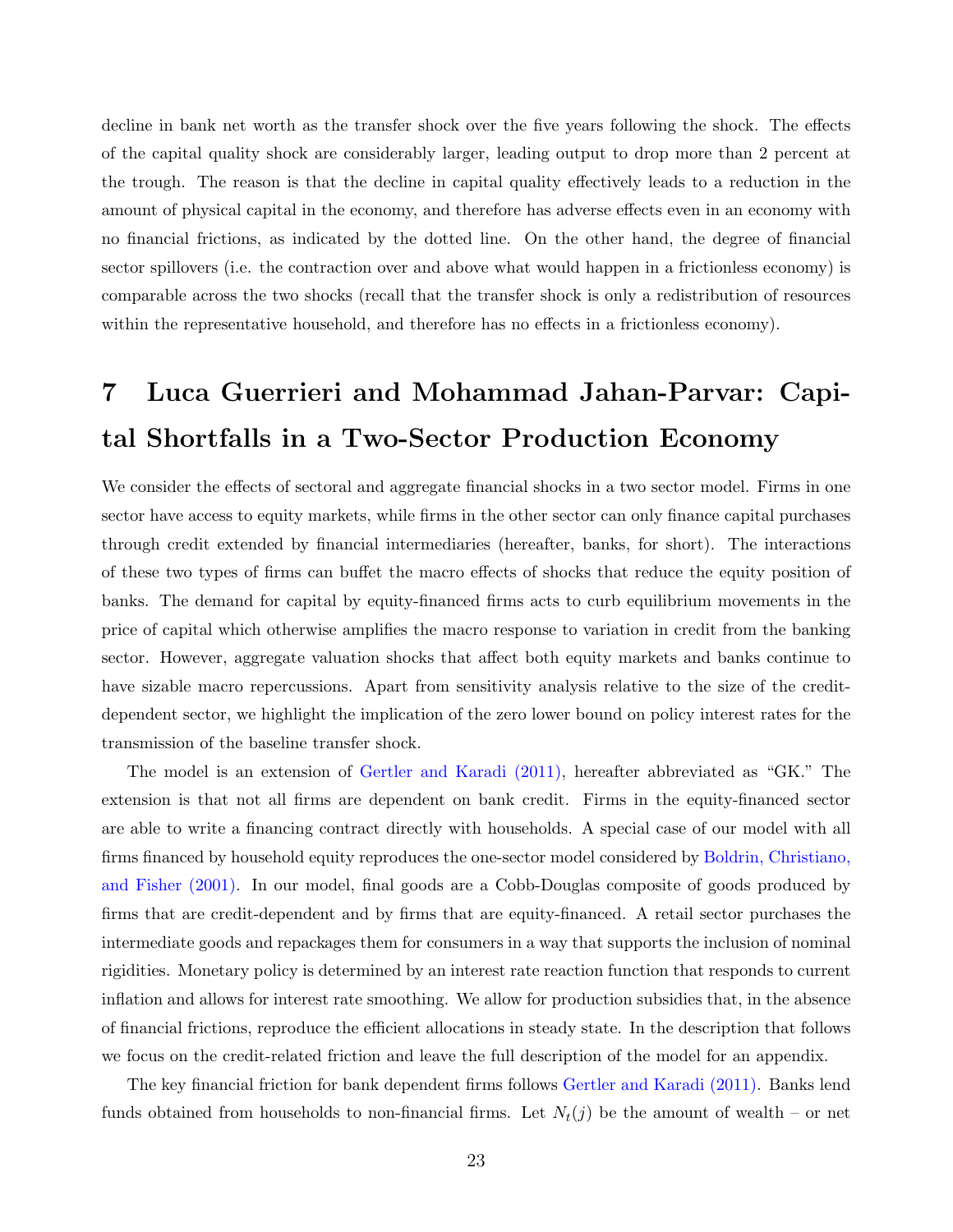<span id="page-22-1"></span>decline in bank net worth as the transfer shock over the five years following the shock. The effects of the capital quality shock are considerably larger, leading output to drop more than 2 percent at the trough. The reason is that the decline in capital quality effectively leads to a reduction in the amount of physical capital in the economy, and therefore has adverse effects even in an economy with no financial frictions, as indicated by the dotted line. On the other hand, the degree of financial sector spillovers (i.e. the contraction over and above what would happen in a frictionless economy) is comparable across the two shocks (recall that the transfer shock is only a redistribution of resources within the representative household, and therefore has no effects in a frictionless economy).

## <span id="page-22-0"></span>**7 Luca Guerrieri and Mohammad Jahan-Parvar: Capital Shortfalls in a Two-Sector Production Economy**

We consider the effects of sectoral and aggregate financial shocks in a two sector model. Firms in one sector have access to equity markets, while firms in the other sector can only finance capital purchases through credit extended by financial intermediaries (hereafter, banks, for short). The interactions of these two types of firms can buffet the macro effects of shocks that reduce the equity position of banks. The demand for capital by equity-financed firms acts to curb equilibrium movements in the price of capital which otherwise amplifies the macro response to variation in credit from the banking sector. However, aggregate valuation shocks that affect both equity markets and banks continue to have sizable macro repercussions. Apart from sensitivity analysis relative to the size of the creditdependent sector, we highlight the implication of the zero lower bound on policy interest rates for the transmission of the baseline transfer shock.

The model is an extension of [Gertler and Karadi \(2011\),](#page-49-8) hereafter abbreviated as "GK." The extension is that not all firms are dependent on bank credit. Firms in the equity-financed sector are able to write a financing contract directly with households. A special case of our model with all firms financed by household equity reproduces the one-sector model considered by [Boldrin, Christiano,](#page-49-14) [and Fisher \(2001\).](#page-49-14) In our model, final goods are a Cobb-Douglas composite of goods produced by firms that are credit-dependent and by firms that are equity-financed. A retail sector purchases the intermediate goods and repackages them for consumers in a way that supports the inclusion of nominal rigidities. Monetary policy is determined by an interest rate reaction function that responds to current inflation and allows for interest rate smoothing. We allow for production subsidies that, in the absence of financial frictions, reproduce the efficient allocations in steady state. In the description that follows we focus on the credit-related friction and leave the full description of the model for an appendix.

The key financial friction for bank dependent firms follows [Gertler and Karadi \(2011\)](#page-49-8). Banks lend funds obtained from households to non-financial firms. Let  $N_t(j)$  be the amount of wealth – or net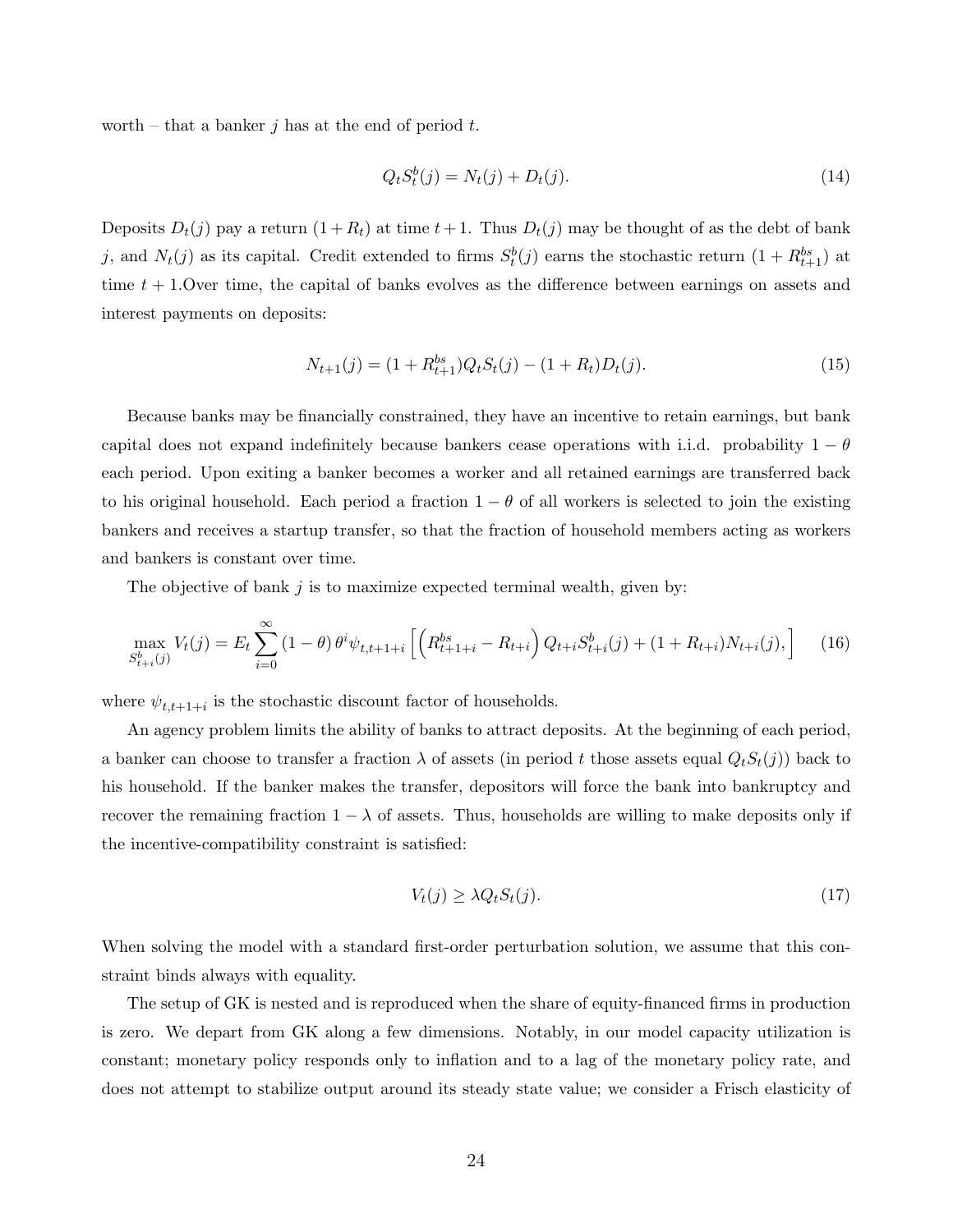worth – that a banker *j* has at the end of period *t*.

$$
Q_t S_t^b(j) = N_t(j) + D_t(j).
$$
\n(14)

Deposits  $D_t(j)$  pay a return  $(1 + R_t)$  at time  $t + 1$ . Thus  $D_t(j)$  may be thought of as the debt of bank *j*, and  $N_t(j)$  as its capital. Credit extended to firms  $S_t^b(j)$  earns the stochastic return  $(1 + R_{t+1}^{bs})$  at time *t* + 1.Over time, the capital of banks evolves as the difference between earnings on assets and interest payments on deposits:

$$
N_{t+1}(j) = (1 + R_{t+1}^{bs})Q_t S_t(j) - (1 + R_t)D_t(j).
$$
\n(15)

Because banks may be financially constrained, they have an incentive to retain earnings, but bank capital does not expand indefinitely because bankers cease operations with i.i.d. probability  $1 - \theta$ each period. Upon exiting a banker becomes a worker and all retained earnings are transferred back to his original household. Each period a fraction  $1 - \theta$  of all workers is selected to join the existing bankers and receives a startup transfer, so that the fraction of household members acting as workers and bankers is constant over time.

The objective of bank *j* is to maximize expected terminal wealth, given by:

$$
\max_{S_{t+i}^b(j)} V_t(j) = E_t \sum_{i=0}^{\infty} (1 - \theta) \theta^i \psi_{t,t+1+i} \left[ \left( R_{t+1+i}^{bs} - R_{t+i} \right) Q_{t+i} S_{t+i}^b(j) + (1 + R_{t+i}) N_{t+i}(j) \right], \tag{16}
$$

where  $\psi_{t,t+1+i}$  is the stochastic discount factor of households.

An agency problem limits the ability of banks to attract deposits. At the beginning of each period, a banker can choose to transfer a fraction  $\lambda$  of assets (in period t those assets equal  $Q_t S_t(j)$ ) back to his household. If the banker makes the transfer, depositors will force the bank into bankruptcy and recover the remaining fraction  $1 - \lambda$  of assets. Thus, households are willing to make deposits only if the incentive-compatibility constraint is satisfied:

$$
V_t(j) \ge \lambda Q_t S_t(j). \tag{17}
$$

When solving the model with a standard first-order perturbation solution, we assume that this constraint binds always with equality.

The setup of GK is nested and is reproduced when the share of equity-financed firms in production is zero. We depart from GK along a few dimensions. Notably, in our model capacity utilization is constant; monetary policy responds only to inflation and to a lag of the monetary policy rate, and does not attempt to stabilize output around its steady state value; we consider a Frisch elasticity of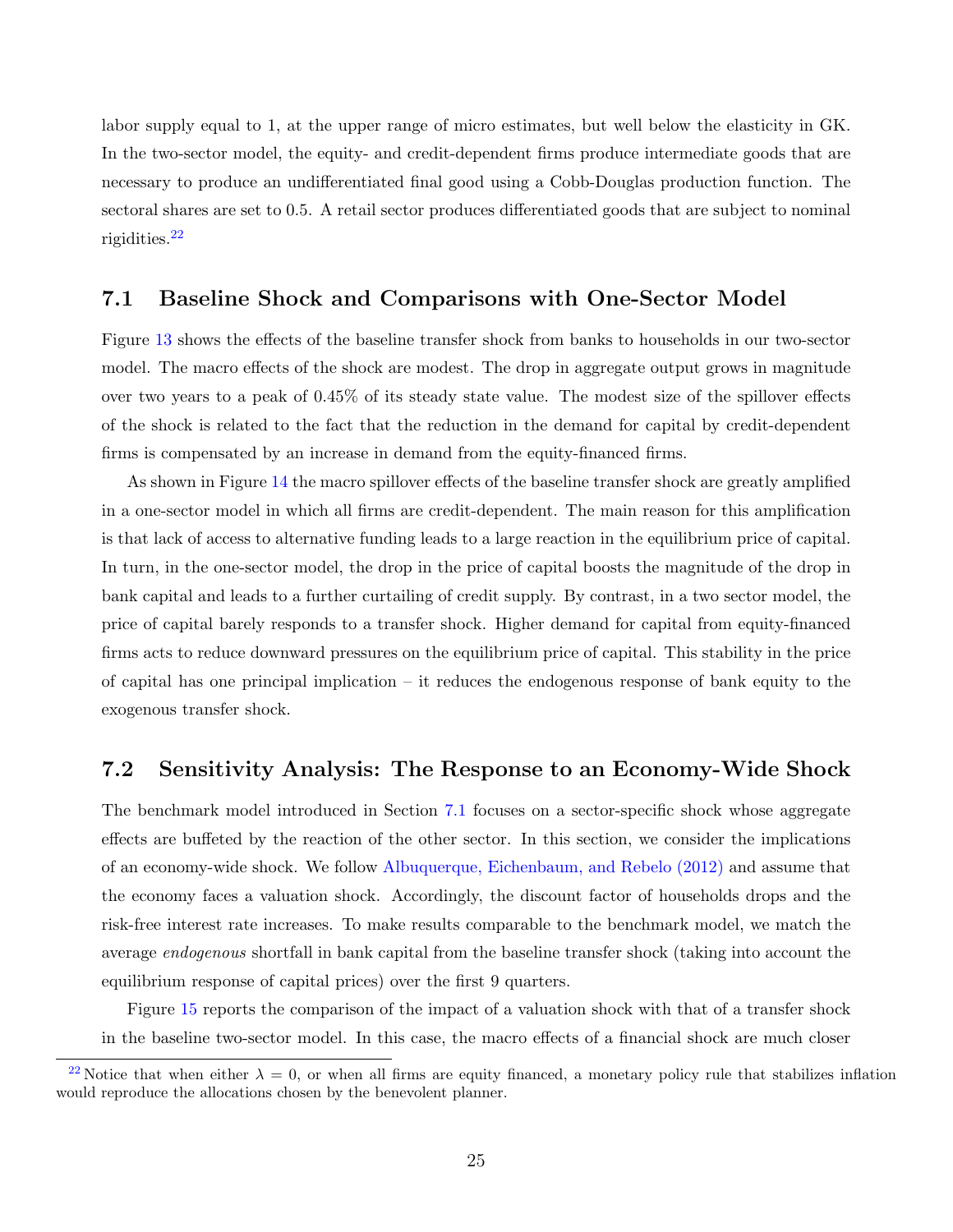<span id="page-24-3"></span>labor supply equal to 1, at the upper range of micro estimates, but well below the elasticity in GK. In the two-sector model, the equity- and credit-dependent firms produce intermediate goods that are necessary to produce an undifferentiated final good using a Cobb-Douglas production function. The sectoral shares are set to 0.5. A retail sector produces differentiated goods that are subject to nominal rigidities.[22](#page-24-0)

#### <span id="page-24-2"></span><span id="page-24-1"></span>**7.1 Baseline Shock and Comparisons with One-Sector Model**

Figure [13](#page-43-0) shows the effects of the baseline transfer shock from banks to households in our two-sector model. The macro effects of the shock are modest. The drop in aggregate output grows in magnitude over two years to a peak of 0.45% of its steady state value. The modest size of the spillover effects of the shock is related to the fact that the reduction in the demand for capital by credit-dependent firms is compensated by an increase in demand from the equity-financed firms.

As shown in Figure [14](#page-44-0) the macro spillover effects of the baseline transfer shock are greatly amplified in a one-sector model in which all firms are credit-dependent. The main reason for this amplification is that lack of access to alternative funding leads to a large reaction in the equilibrium price of capital. In turn, in the one-sector model, the drop in the price of capital boosts the magnitude of the drop in bank capital and leads to a further curtailing of credit supply. By contrast, in a two sector model, the price of capital barely responds to a transfer shock. Higher demand for capital from equity-financed firms acts to reduce downward pressures on the equilibrium price of capital. This stability in the price of capital has one principal implication – it reduces the endogenous response of bank equity to the exogenous transfer shock.

### **7.2 Sensitivity Analysis: The Response to an Economy-Wide Shock**

The benchmark model introduced in Section [7.1](#page-24-1) focuses on a sector-specific shock whose aggregate effects are buffeted by the reaction of the other sector. In this section, we consider the implications of an economy-wide shock. We follow [Albuquerque, Eichenbaum, and Rebelo \(2012\)](#page-49-15) and assume that the economy faces a valuation shock. Accordingly, the discount factor of households drops and the risk-free interest rate increases. To make results comparable to the benchmark model, we match the average *endogenous* shortfall in bank capital from the baseline transfer shock (taking into account the equilibrium response of capital prices) over the first 9 quarters.

Figure [15](#page-45-0) reports the comparison of the impact of a valuation shock with that of a transfer shock in the baseline two-sector model. In this case, the macro effects of a financial shock are much closer

<span id="page-24-0"></span><sup>&</sup>lt;sup>[22](#page-24-2)</sup> Notice that when either  $\lambda = 0$ , or when all firms are equity financed, a monetary policy rule that stabilizes inflation would reproduce the allocations chosen by the benevolent planner.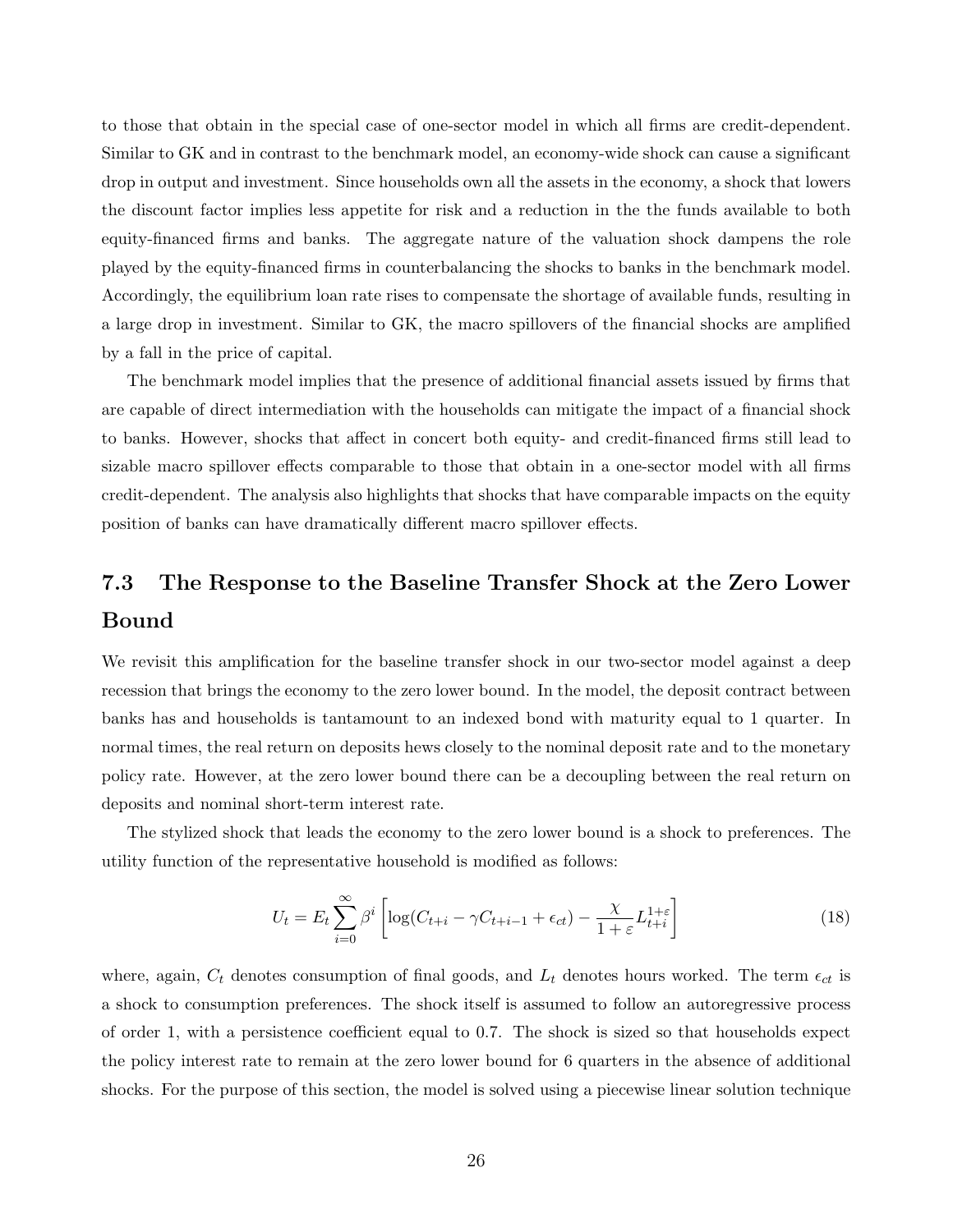to those that obtain in the special case of one-sector model in which all firms are credit-dependent. Similar to GK and in contrast to the benchmark model, an economy-wide shock can cause a significant drop in output and investment. Since households own all the assets in the economy, a shock that lowers the discount factor implies less appetite for risk and a reduction in the the funds available to both equity-financed firms and banks. The aggregate nature of the valuation shock dampens the role played by the equity-financed firms in counterbalancing the shocks to banks in the benchmark model. Accordingly, the equilibrium loan rate rises to compensate the shortage of available funds, resulting in a large drop in investment. Similar to GK, the macro spillovers of the financial shocks are amplified by a fall in the price of capital.

The benchmark model implies that the presence of additional financial assets issued by firms that are capable of direct intermediation with the households can mitigate the impact of a financial shock to banks. However, shocks that affect in concert both equity- and credit-financed firms still lead to sizable macro spillover effects comparable to those that obtain in a one-sector model with all firms credit-dependent. The analysis also highlights that shocks that have comparable impacts on the equity position of banks can have dramatically different macro spillover effects.

## **7.3 The Response to the Baseline Transfer Shock at the Zero Lower Bound**

We revisit this amplification for the baseline transfer shock in our two-sector model against a deep recession that brings the economy to the zero lower bound. In the model, the deposit contract between banks has and households is tantamount to an indexed bond with maturity equal to 1 quarter. In normal times, the real return on deposits hews closely to the nominal deposit rate and to the monetary policy rate. However, at the zero lower bound there can be a decoupling between the real return on deposits and nominal short-term interest rate.

The stylized shock that leads the economy to the zero lower bound is a shock to preferences. The utility function of the representative household is modified as follows:

$$
U_t = E_t \sum_{i=0}^{\infty} \beta^i \left[ \log(C_{t+i} - \gamma C_{t+i-1} + \epsilon_{ct}) - \frac{\chi}{1+\varepsilon} L_{t+i}^{1+\varepsilon} \right]
$$
(18)

where, again,  $C_t$  denotes consumption of final goods, and  $L_t$  denotes hours worked. The term  $\epsilon_{ct}$  is a shock to consumption preferences. The shock itself is assumed to follow an autoregressive process of order 1, with a persistence coefficient equal to 0.7. The shock is sized so that households expect the policy interest rate to remain at the zero lower bound for 6 quarters in the absence of additional shocks. For the purpose of this section, the model is solved using a piecewise linear solution technique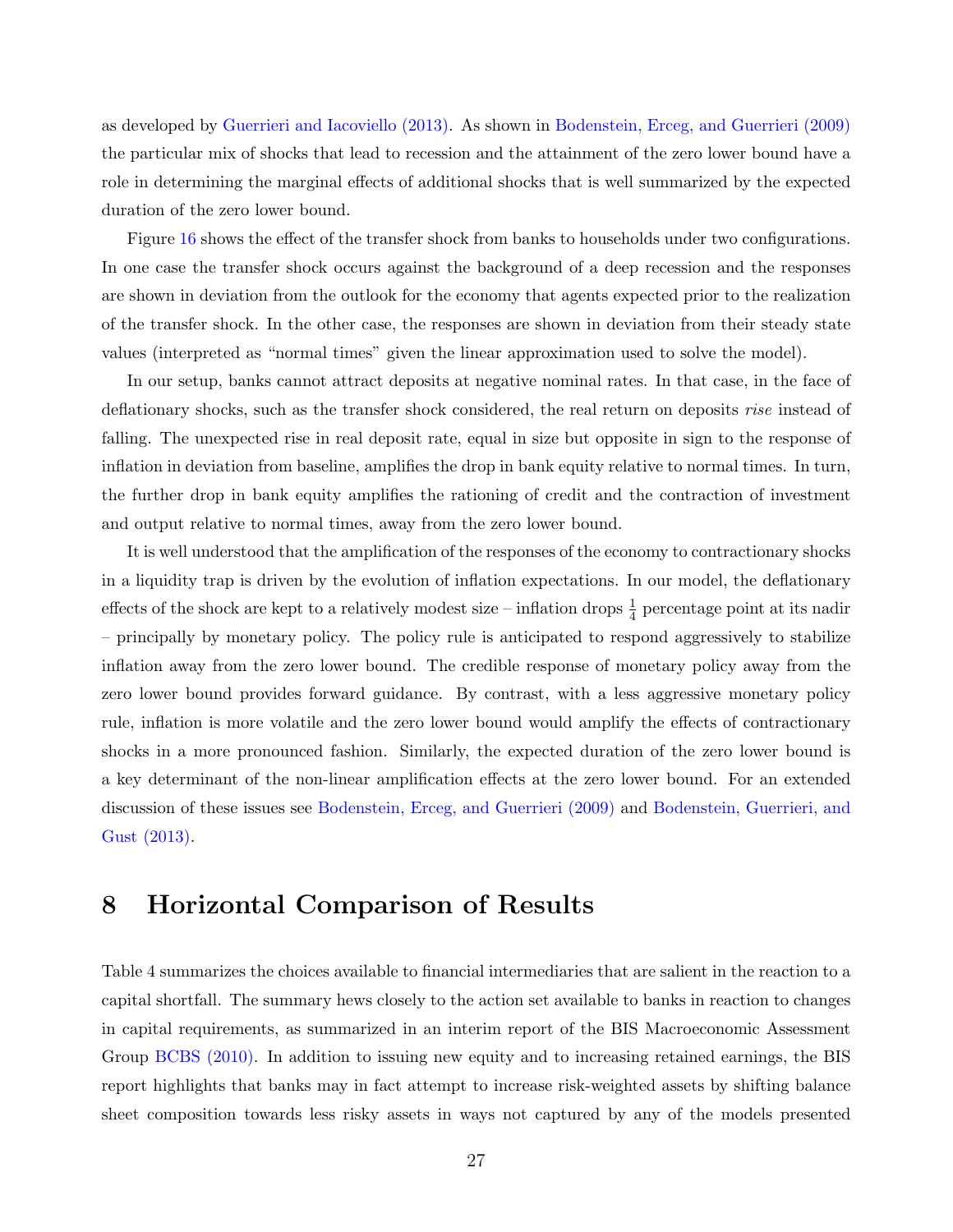<span id="page-26-1"></span>as developed by [Guerrieri and Iacoviello \(2013\)](#page-50-9). As shown in [Bodenstein, Erceg, and Guerrieri \(2009\)](#page-49-16) the particular mix of shocks that lead to recession and the attainment of the zero lower bound have a role in determining the marginal effects of additional shocks that is well summarized by the expected duration of the zero lower bound.

Figure [16](#page-46-0) shows the effect of the transfer shock from banks to households under two configurations. In one case the transfer shock occurs against the background of a deep recession and the responses are shown in deviation from the outlook for the economy that agents expected prior to the realization of the transfer shock. In the other case, the responses are shown in deviation from their steady state values (interpreted as "normal times" given the linear approximation used to solve the model).

In our setup, banks cannot attract deposits at negative nominal rates. In that case, in the face of deflationary shocks, such as the transfer shock considered, the real return on deposits *rise* instead of falling. The unexpected rise in real deposit rate, equal in size but opposite in sign to the response of inflation in deviation from baseline, amplifies the drop in bank equity relative to normal times. In turn, the further drop in bank equity amplifies the rationing of credit and the contraction of investment and output relative to normal times, away from the zero lower bound.

It is well understood that the amplification of the responses of the economy to contractionary shocks in a liquidity trap is driven by the evolution of inflation expectations. In our model, the deflationary effects of the shock are kept to a relatively modest size – inflation drops  $\frac{1}{4}$  percentage point at its nadir – principally by monetary policy. The policy rule is anticipated to respond aggressively to stabilize inflation away from the zero lower bound. The credible response of monetary policy away from the zero lower bound provides forward guidance. By contrast, with a less aggressive monetary policy rule, inflation is more volatile and the zero lower bound would amplify the effects of contractionary shocks in a more pronounced fashion. Similarly, the expected duration of the zero lower bound is a key determinant of the non-linear amplification effects at the zero lower bound. For an extended discussion of these issues see [Bodenstein, Erceg, and Guerrieri \(2009\)](#page-49-16) and [Bodenstein, Guerrieri, and](#page-49-17) [Gust \(2013\)](#page-49-17).

## <span id="page-26-0"></span>**8 Horizontal Comparison of Results**

Table 4 summarizes the choices available to financial intermediaries that are salient in the reaction to a capital shortfall. The summary hews closely to the action set available to banks in reaction to changes in capital requirements, as summarized in an interim report of the BIS Macroeconomic Assessment Group [BCBS \(2010\)](#page-49-18). In addition to issuing new equity and to increasing retained earnings, the BIS report highlights that banks may in fact attempt to increase risk-weighted assets by shifting balance sheet composition towards less risky assets in ways not captured by any of the models presented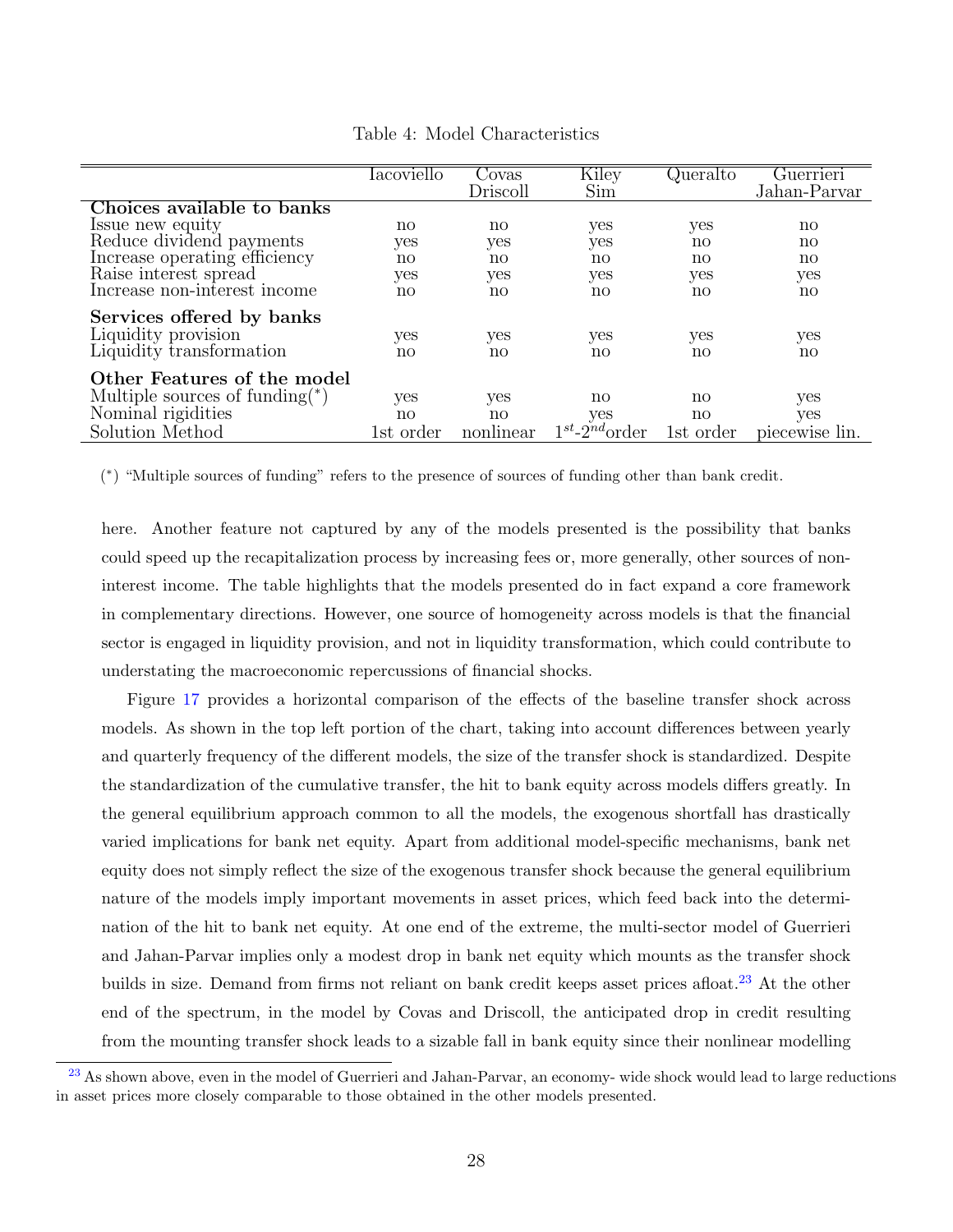|                                                  | Iacoviello | Covas<br>Driscoll      | Kiley<br>Sim                    | Queralto     | Guerrieri<br>Jahan-Parvar |
|--------------------------------------------------|------------|------------------------|---------------------------------|--------------|---------------------------|
| Choices available to banks                       |            |                        |                                 |              |                           |
| Issue new equity                                 | no         | no                     | yes                             | yes          | $\mathbf{n}$              |
| Reduce dividend payments                         | yes        | yes                    | yes                             | no           | $\mathbf{n}$              |
| Increase operating efficiency                    | no         | no                     | no                              | $\mathbf{n}$ | $\mathbf{n}$              |
| Raise interest spread                            | yes        | yes                    | yes                             | yes          | yes                       |
| Increase non-interest income                     | no         | $\mathbf{n}\mathbf{o}$ | no                              | no           | no                        |
| Services offered by banks<br>Liquidity provision | yes        | yes                    | yes                             | yes          | yes                       |
| Liquidity transformation                         | no         | no                     | no                              | no           | no                        |
| Other Features of the model                      |            |                        |                                 |              |                           |
| Multiple sources of funding( $*$ )               | yes        | yes                    | no                              | no           | yes                       |
| Nominal rigidities                               | no         | $\mathbf{n}$           | yes                             | $\mathbf{n}$ | yes                       |
| Solution Method                                  | lst order  | nonlinear              | $1^{st}$ -2 <sup>nd</sup> order | 1st order    | piecewise lin.            |

Table 4: Model Characteristics

( *∗* ) "Multiple sources of funding" refers to the presence of sources of funding other than bank credit.

here. Another feature not captured by any of the models presented is the possibility that banks could speed up the recapitalization process by increasing fees or, more generally, other sources of noninterest income. The table highlights that the models presented do in fact expand a core framework in complementary directions. However, one source of homogeneity across models is that the financial sector is engaged in liquidity provision, and not in liquidity transformation, which could contribute to understating the macroeconomic repercussions of financial shocks.

<span id="page-27-1"></span>Figure [17](#page-47-0) provides a horizontal comparison of the effects of the baseline transfer shock across models. As shown in the top left portion of the chart, taking into account differences between yearly and quarterly frequency of the different models, the size of the transfer shock is standardized. Despite the standardization of the cumulative transfer, the hit to bank equity across models differs greatly. In the general equilibrium approach common to all the models, the exogenous shortfall has drastically varied implications for bank net equity. Apart from additional model-specific mechanisms, bank net equity does not simply reflect the size of the exogenous transfer shock because the general equilibrium nature of the models imply important movements in asset prices, which feed back into the determination of the hit to bank net equity. At one end of the extreme, the multi-sector model of Guerrieri and Jahan-Parvar implies only a modest drop in bank net equity which mounts as the transfer shock builds in size. Demand from firms not reliant on bank credit keeps asset prices afloat.<sup>[23](#page-27-0)</sup> At the other end of the spectrum, in the model by Covas and Driscoll, the anticipated drop in credit resulting from the mounting transfer shock leads to a sizable fall in bank equity since their nonlinear modelling

<span id="page-27-0"></span><sup>&</sup>lt;sup>[23](#page-27-1)</sup> As shown above, even in the model of Guerrieri and Jahan-Parvar, an economy- wide shock would lead to large reductions in asset prices more closely comparable to those obtained in the other models presented.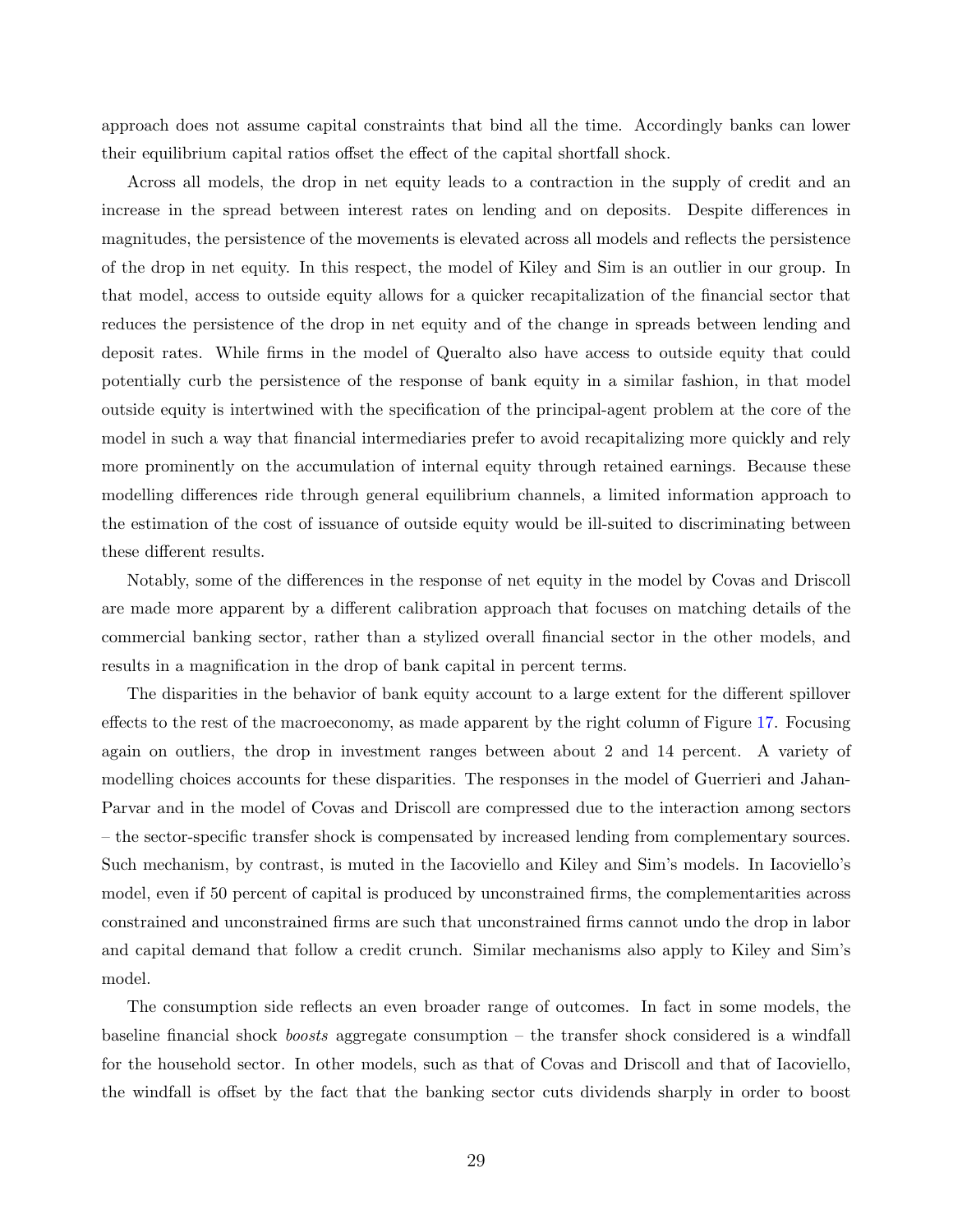approach does not assume capital constraints that bind all the time. Accordingly banks can lower their equilibrium capital ratios offset the effect of the capital shortfall shock.

Across all models, the drop in net equity leads to a contraction in the supply of credit and an increase in the spread between interest rates on lending and on deposits. Despite differences in magnitudes, the persistence of the movements is elevated across all models and reflects the persistence of the drop in net equity. In this respect, the model of Kiley and Sim is an outlier in our group. In that model, access to outside equity allows for a quicker recapitalization of the financial sector that reduces the persistence of the drop in net equity and of the change in spreads between lending and deposit rates. While firms in the model of Queralto also have access to outside equity that could potentially curb the persistence of the response of bank equity in a similar fashion, in that model outside equity is intertwined with the specification of the principal-agent problem at the core of the model in such a way that financial intermediaries prefer to avoid recapitalizing more quickly and rely more prominently on the accumulation of internal equity through retained earnings. Because these modelling differences ride through general equilibrium channels, a limited information approach to the estimation of the cost of issuance of outside equity would be ill-suited to discriminating between these different results.

Notably, some of the differences in the response of net equity in the model by Covas and Driscoll are made more apparent by a different calibration approach that focuses on matching details of the commercial banking sector, rather than a stylized overall financial sector in the other models, and results in a magnification in the drop of bank capital in percent terms.

The disparities in the behavior of bank equity account to a large extent for the different spillover effects to the rest of the macroeconomy, as made apparent by the right column of Figure [17](#page-47-0). Focusing again on outliers, the drop in investment ranges between about 2 and 14 percent. A variety of modelling choices accounts for these disparities. The responses in the model of Guerrieri and Jahan-Parvar and in the model of Covas and Driscoll are compressed due to the interaction among sectors – the sector-specific transfer shock is compensated by increased lending from complementary sources. Such mechanism, by contrast, is muted in the Iacoviello and Kiley and Sim's models. In Iacoviello's model, even if 50 percent of capital is produced by unconstrained firms, the complementarities across constrained and unconstrained firms are such that unconstrained firms cannot undo the drop in labor and capital demand that follow a credit crunch. Similar mechanisms also apply to Kiley and Sim's model.

The consumption side reflects an even broader range of outcomes. In fact in some models, the baseline financial shock *boosts* aggregate consumption – the transfer shock considered is a windfall for the household sector. In other models, such as that of Covas and Driscoll and that of Iacoviello, the windfall is offset by the fact that the banking sector cuts dividends sharply in order to boost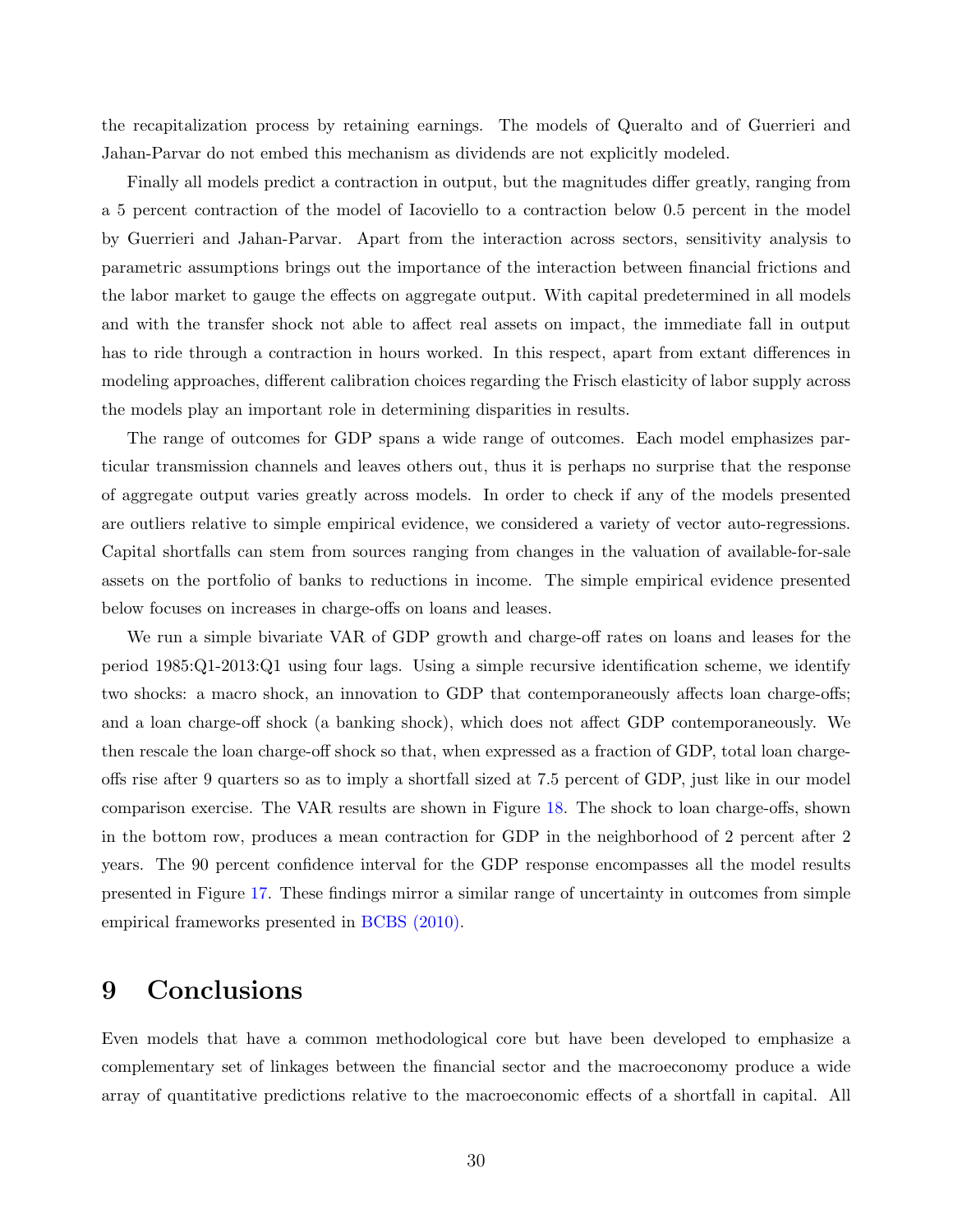<span id="page-29-1"></span>the recapitalization process by retaining earnings. The models of Queralto and of Guerrieri and Jahan-Parvar do not embed this mechanism as dividends are not explicitly modeled.

Finally all models predict a contraction in output, but the magnitudes differ greatly, ranging from a 5 percent contraction of the model of Iacoviello to a contraction below 0.5 percent in the model by Guerrieri and Jahan-Parvar. Apart from the interaction across sectors, sensitivity analysis to parametric assumptions brings out the importance of the interaction between financial frictions and the labor market to gauge the effects on aggregate output. With capital predetermined in all models and with the transfer shock not able to affect real assets on impact, the immediate fall in output has to ride through a contraction in hours worked. In this respect, apart from extant differences in modeling approaches, different calibration choices regarding the Frisch elasticity of labor supply across the models play an important role in determining disparities in results.

The range of outcomes for GDP spans a wide range of outcomes. Each model emphasizes particular transmission channels and leaves others out, thus it is perhaps no surprise that the response of aggregate output varies greatly across models. In order to check if any of the models presented are outliers relative to simple empirical evidence, we considered a variety of vector auto-regressions. Capital shortfalls can stem from sources ranging from changes in the valuation of available-for-sale assets on the portfolio of banks to reductions in income. The simple empirical evidence presented below focuses on increases in charge-offs on loans and leases.

We run a simple bivariate VAR of GDP growth and charge-off rates on loans and leases for the period 1985:Q1-2013:Q1 using four lags. Using a simple recursive identification scheme, we identify two shocks: a macro shock, an innovation to GDP that contemporaneously affects loan charge-offs; and a loan charge-off shock (a banking shock), which does not affect GDP contemporaneously. We then rescale the loan charge-off shock so that, when expressed as a fraction of GDP, total loan chargeoffs rise after 9 quarters so as to imply a shortfall sized at 7.5 percent of GDP, just like in our model comparison exercise. The VAR results are shown in Figure [18](#page-48-0). The shock to loan charge-offs, shown in the bottom row, produces a mean contraction for GDP in the neighborhood of 2 percent after 2 years. The 90 percent confidence interval for the GDP response encompasses all the model results presented in Figure [17.](#page-47-0) These findings mirror a similar range of uncertainty in outcomes from simple empirical frameworks presented in [BCBS \(2010\).](#page-49-18)

## <span id="page-29-0"></span>**9 Conclusions**

Even models that have a common methodological core but have been developed to emphasize a complementary set of linkages between the financial sector and the macroeconomy produce a wide array of quantitative predictions relative to the macroeconomic effects of a shortfall in capital. All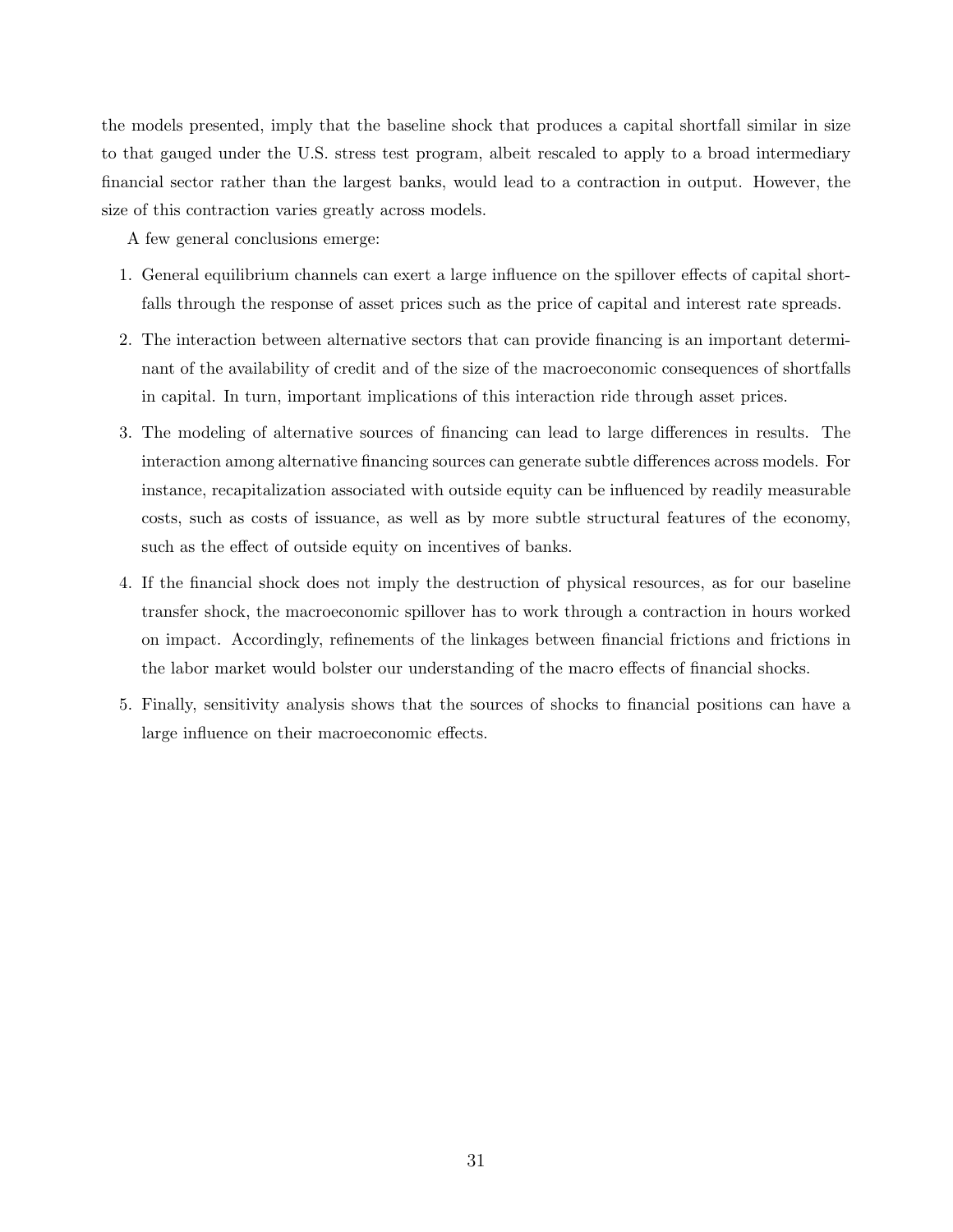the models presented, imply that the baseline shock that produces a capital shortfall similar in size to that gauged under the U.S. stress test program, albeit rescaled to apply to a broad intermediary financial sector rather than the largest banks, would lead to a contraction in output. However, the size of this contraction varies greatly across models.

A few general conclusions emerge:

- 1. General equilibrium channels can exert a large influence on the spillover effects of capital shortfalls through the response of asset prices such as the price of capital and interest rate spreads.
- 2. The interaction between alternative sectors that can provide financing is an important determinant of the availability of credit and of the size of the macroeconomic consequences of shortfalls in capital. In turn, important implications of this interaction ride through asset prices.
- 3. The modeling of alternative sources of financing can lead to large differences in results. The interaction among alternative financing sources can generate subtle differences across models. For instance, recapitalization associated with outside equity can be influenced by readily measurable costs, such as costs of issuance, as well as by more subtle structural features of the economy, such as the effect of outside equity on incentives of banks.
- 4. If the financial shock does not imply the destruction of physical resources, as for our baseline transfer shock, the macroeconomic spillover has to work through a contraction in hours worked on impact. Accordingly, refinements of the linkages between financial frictions and frictions in the labor market would bolster our understanding of the macro effects of financial shocks.
- 5. Finally, sensitivity analysis shows that the sources of shocks to financial positions can have a large influence on their macroeconomic effects.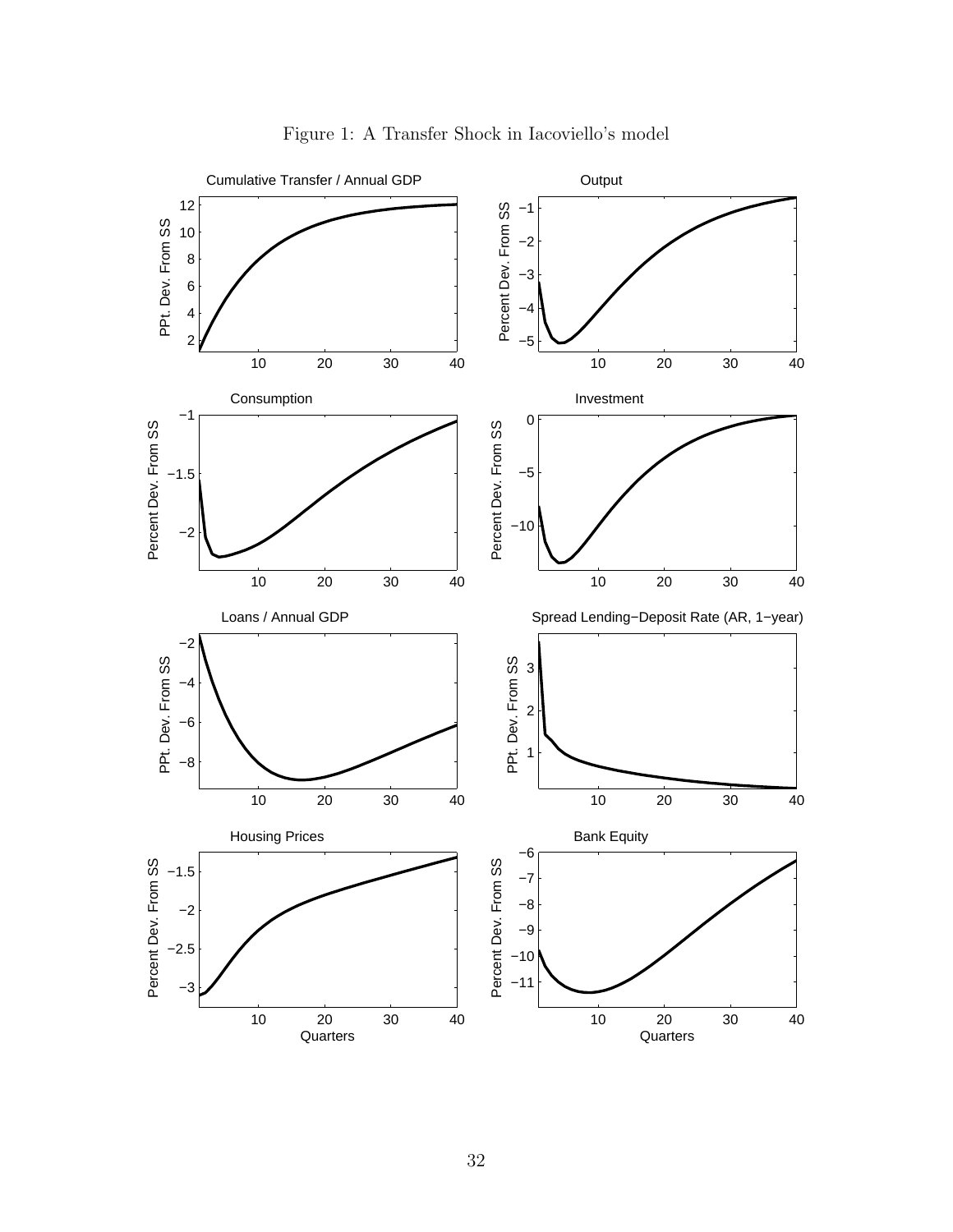

<span id="page-31-0"></span>Figure 1: A Transfer Shock in Iacoviello's model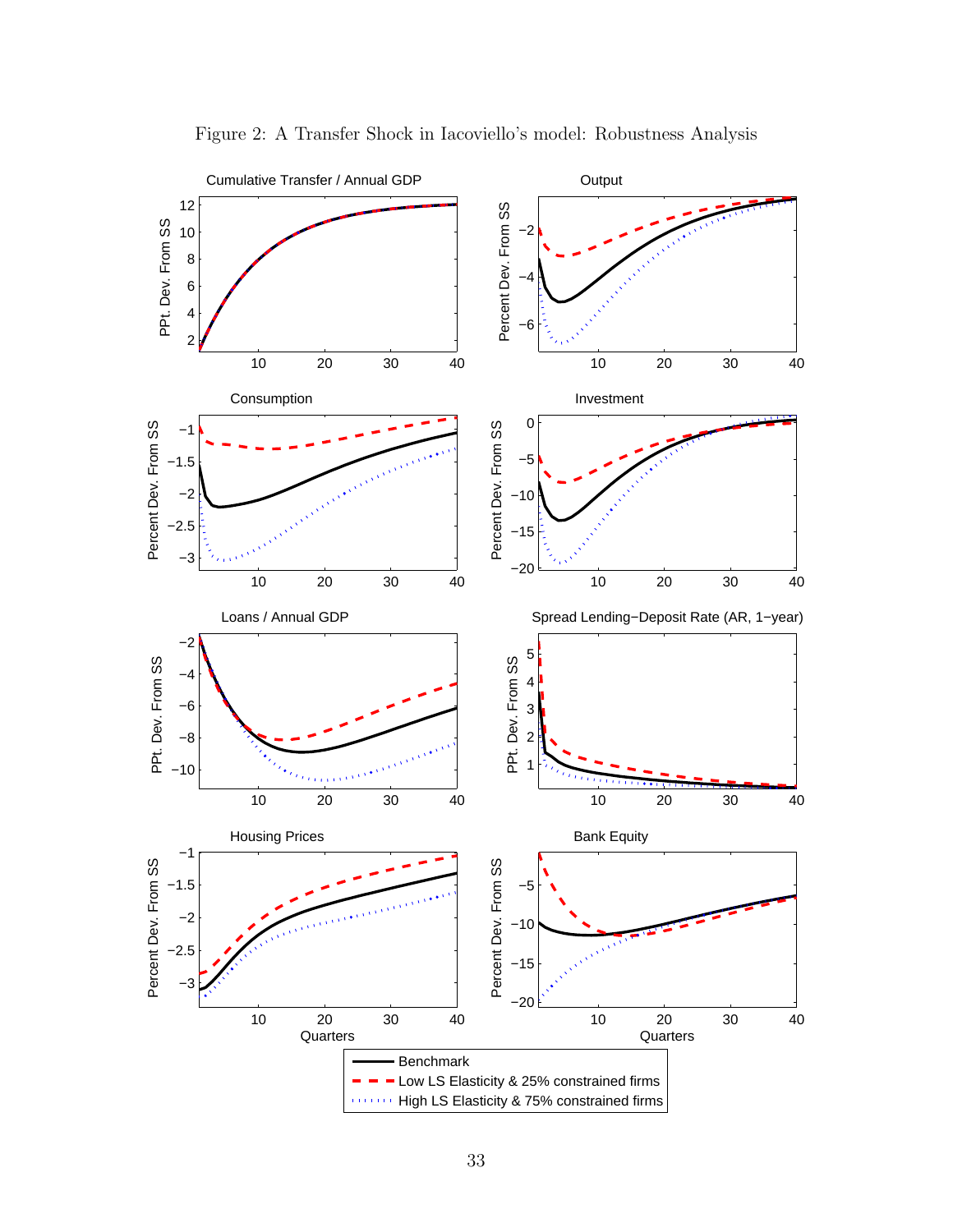

<span id="page-32-0"></span>Figure 2: A Transfer Shock in Iacoviello's model: Robustness Analysis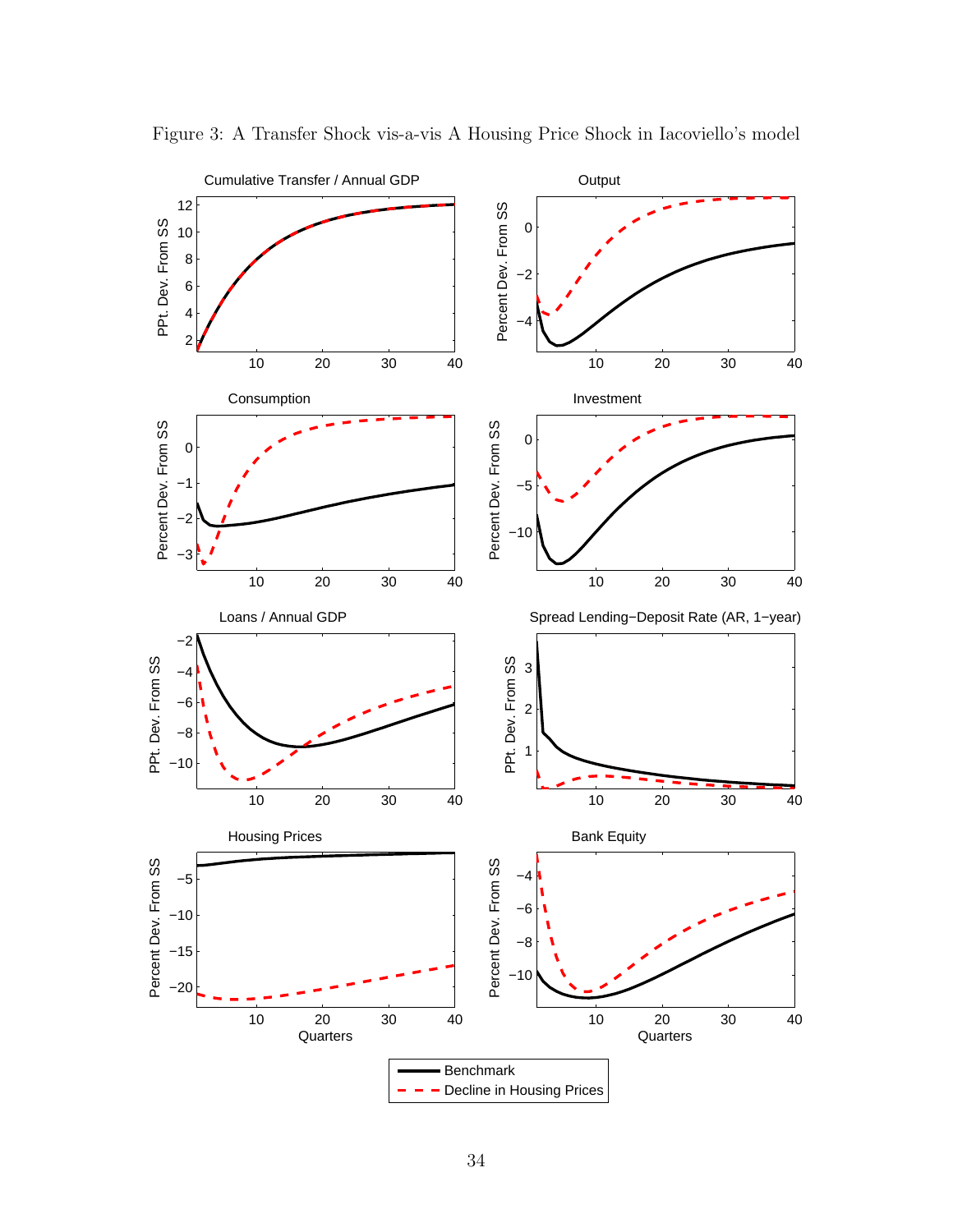

<span id="page-33-0"></span>Figure 3: A Transfer Shock vis-a-vis A Housing Price Shock in Iacoviello's model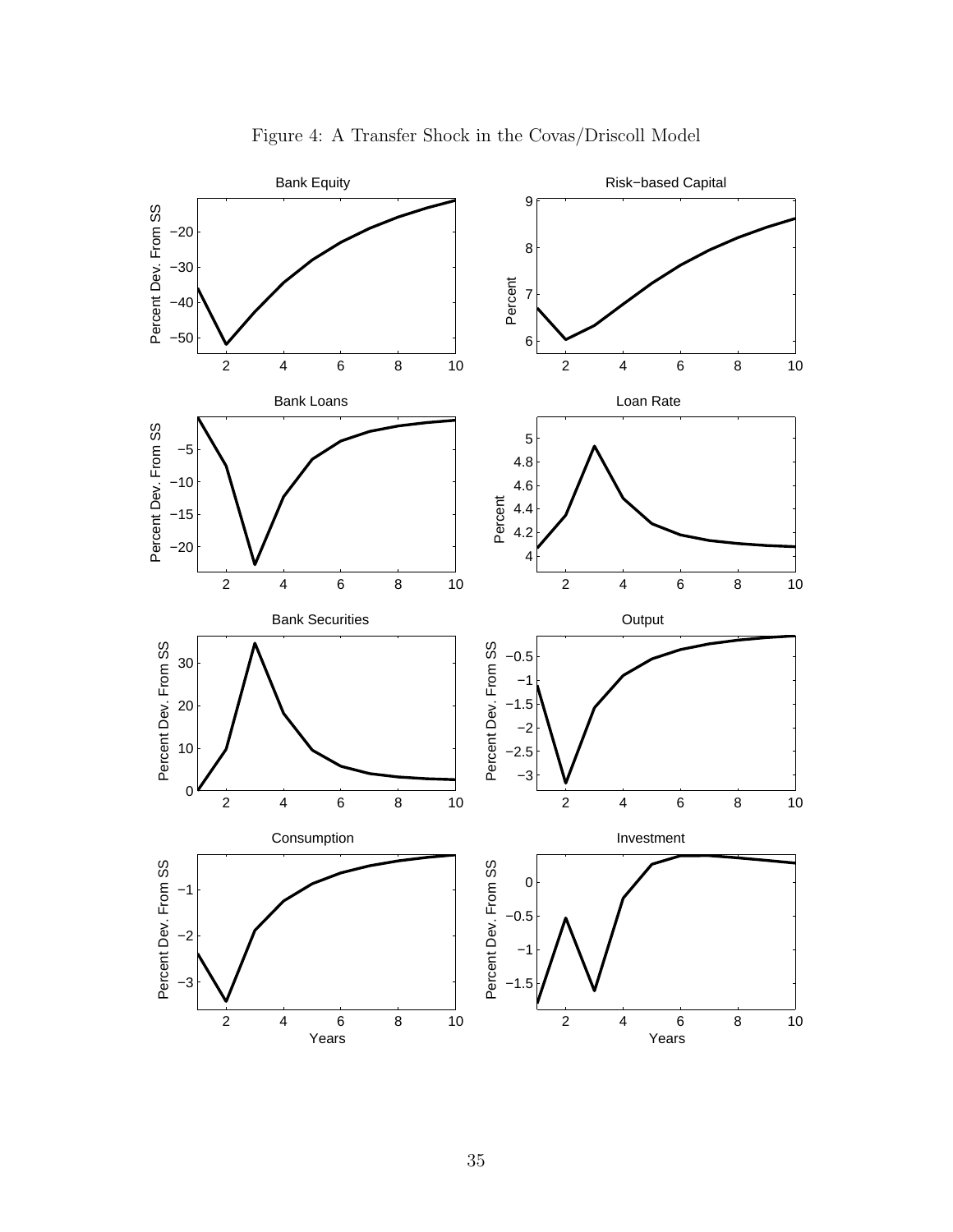

<span id="page-34-0"></span>Figure 4: A Transfer Shock in the Covas/Driscoll Model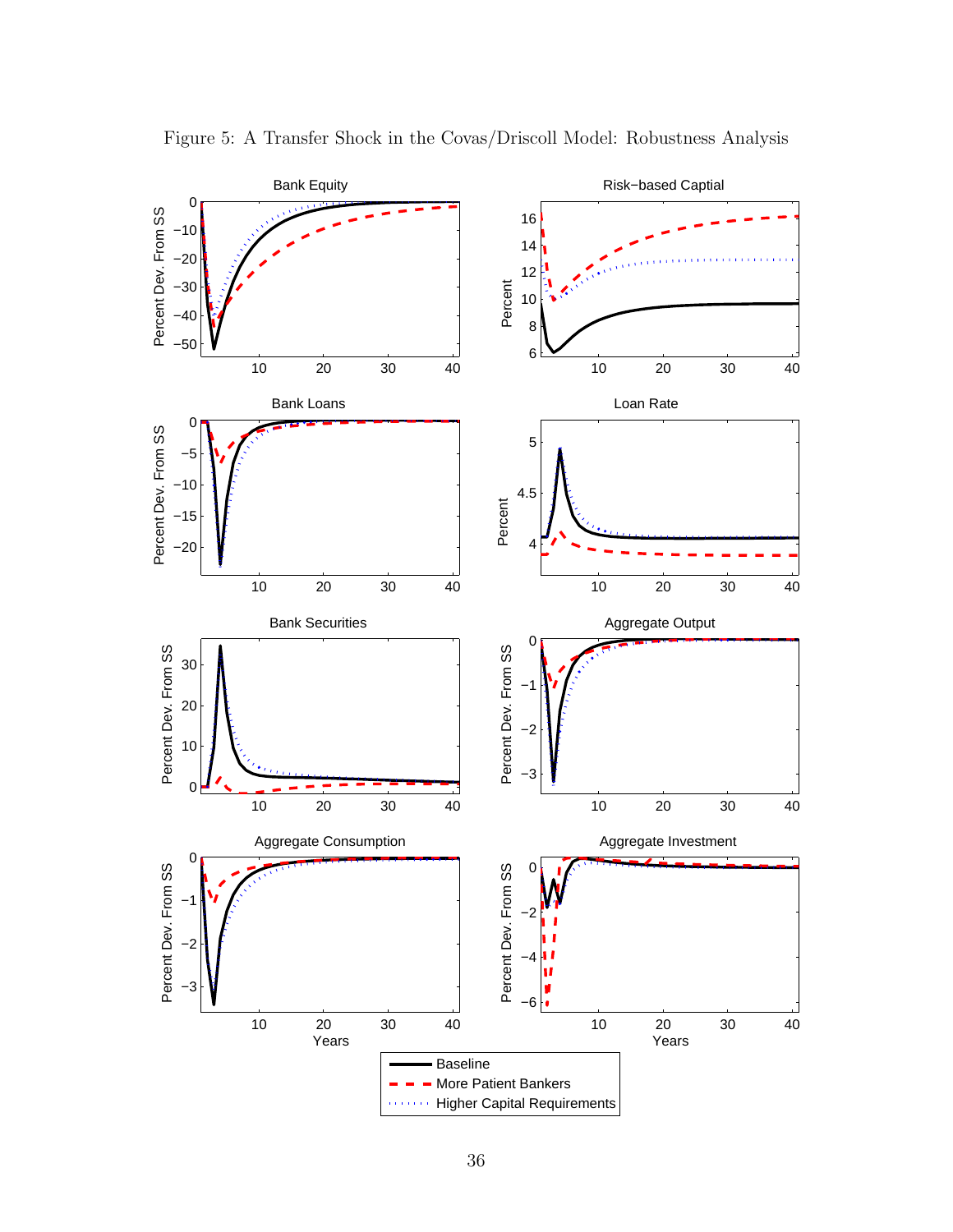

<span id="page-35-0"></span>Figure 5: A Transfer Shock in the Covas/Driscoll Model: Robustness Analysis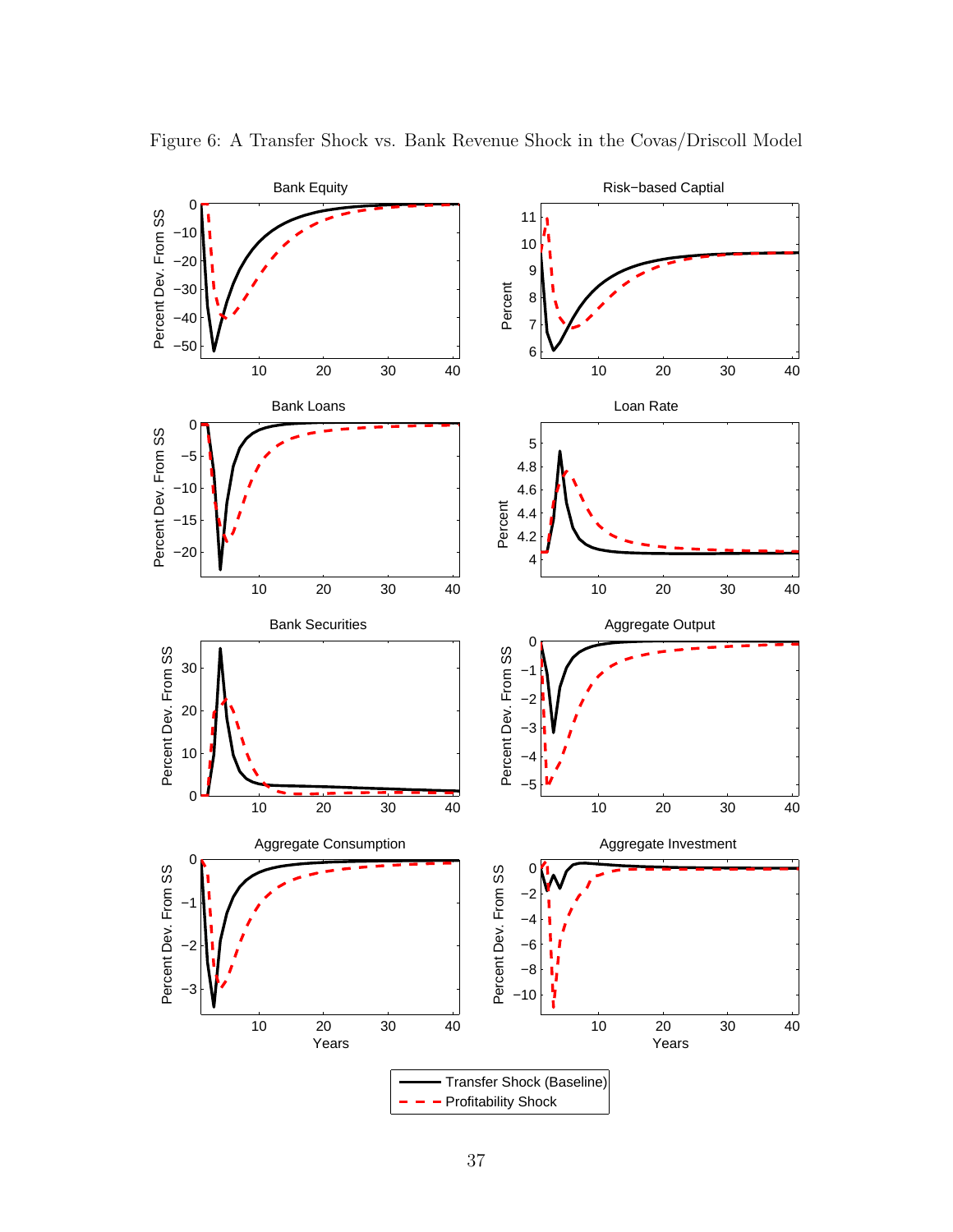

<span id="page-36-0"></span>Figure 6: A Transfer Shock vs. Bank Revenue Shock in the Covas/Driscoll Model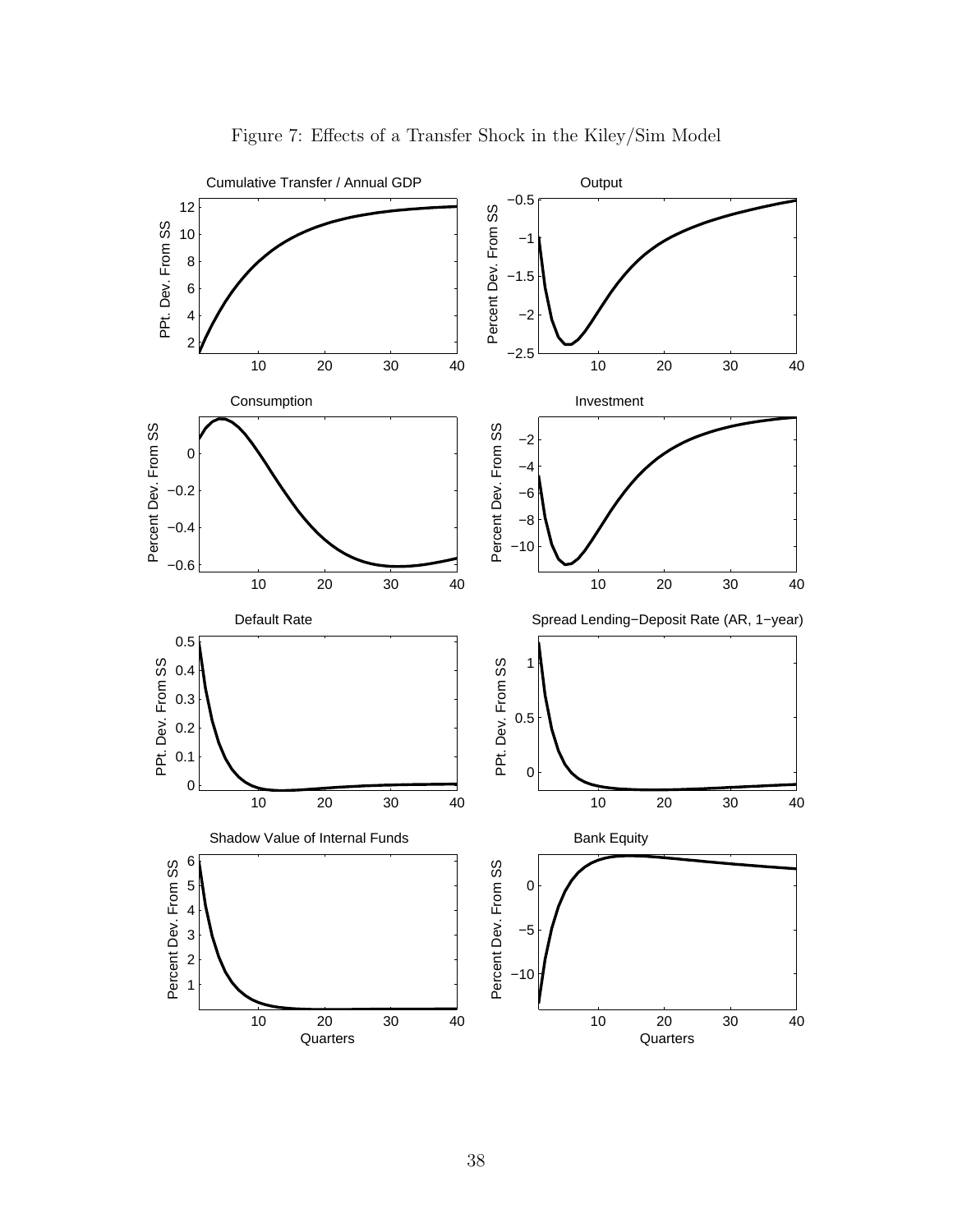

<span id="page-37-0"></span>Figure 7: Effects of a Transfer Shock in the Kiley/Sim Model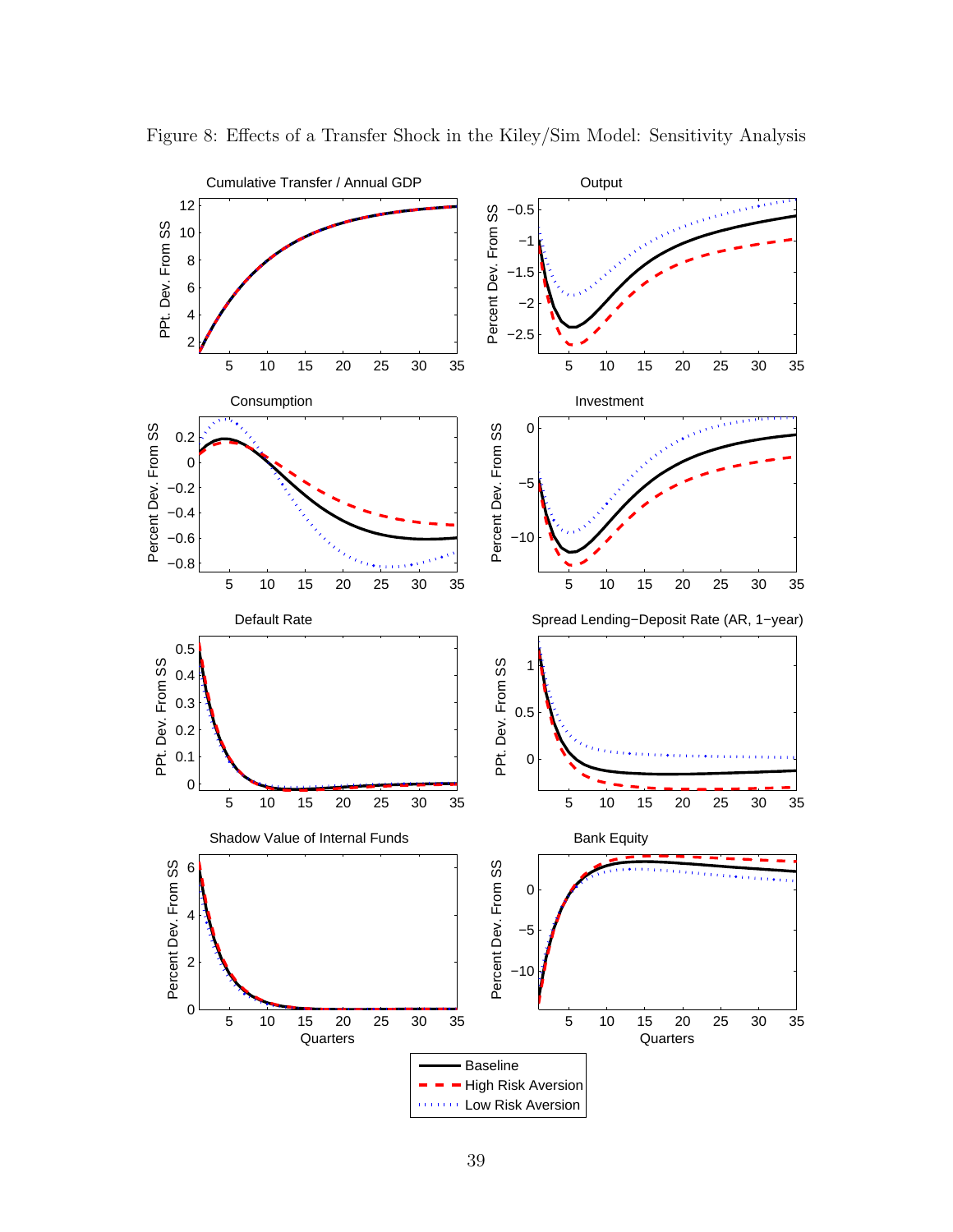

<span id="page-38-0"></span>Figure 8: Effects of a Transfer Shock in the Kiley/Sim Model: Sensitivity Analysis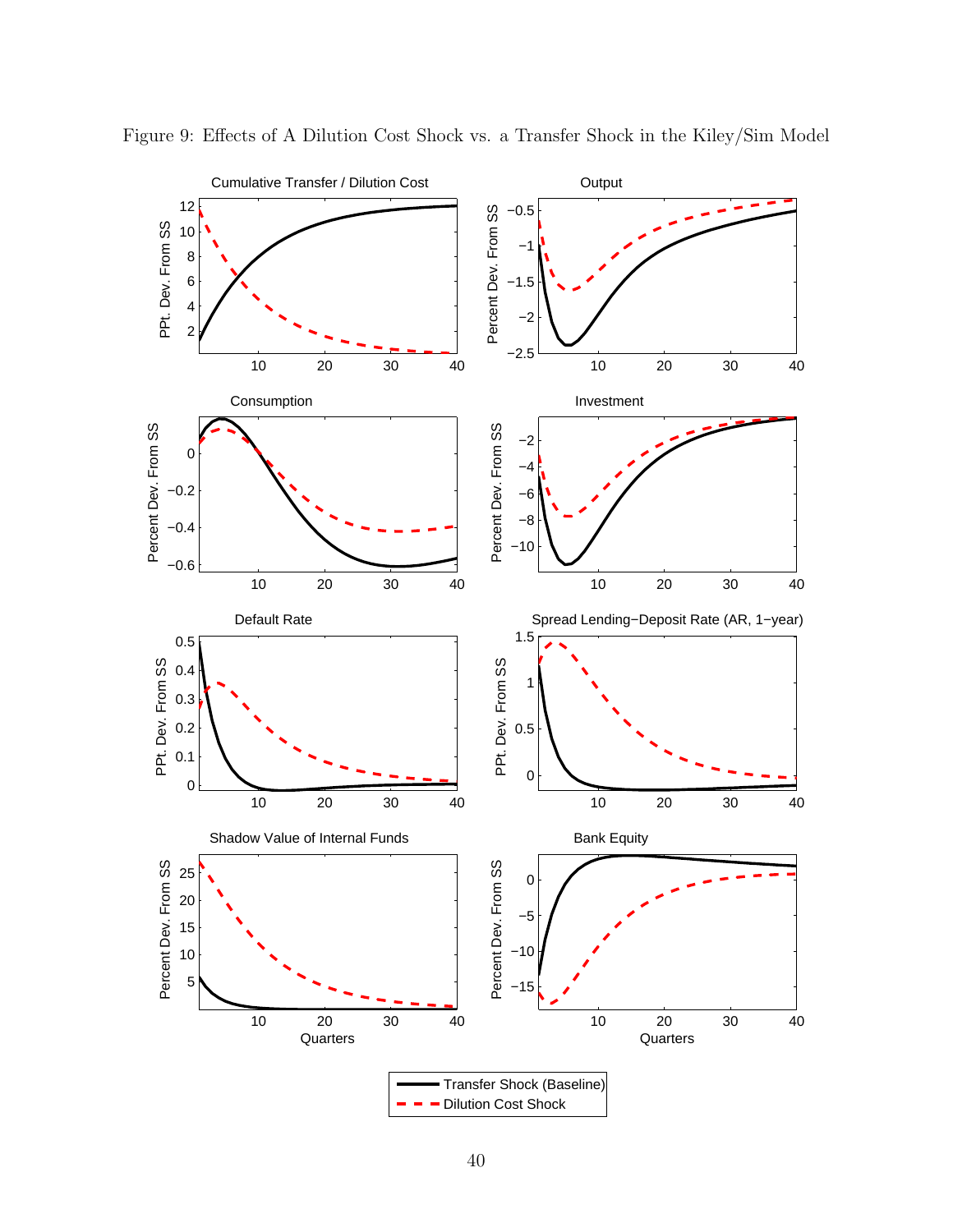

<span id="page-39-0"></span>Figure 9: Effects of A Dilution Cost Shock vs. a Transfer Shock in the Kiley/Sim Model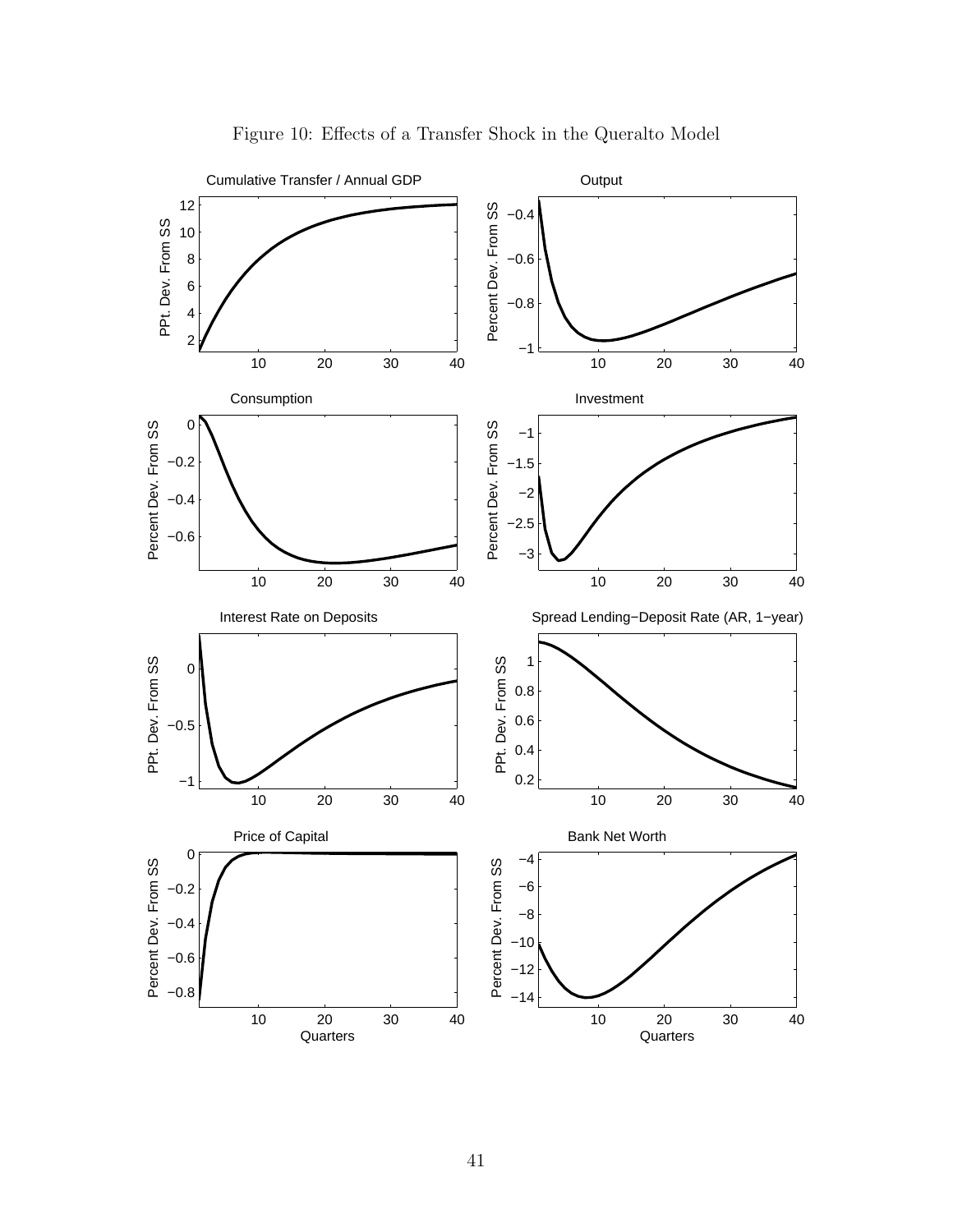

<span id="page-40-0"></span>Figure 10: Effects of a Transfer Shock in the Queralto Model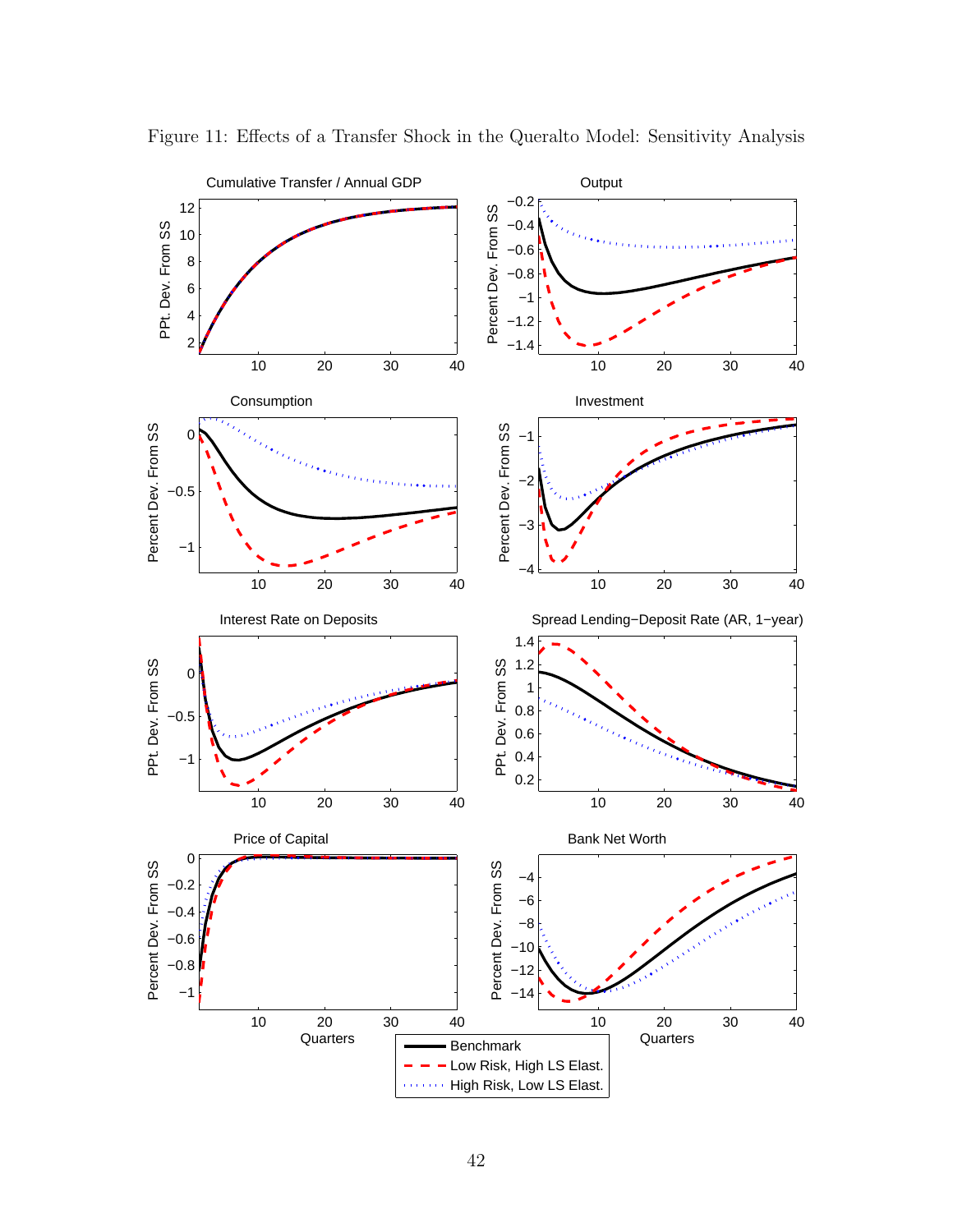

<span id="page-41-0"></span>Figure 11: Effects of a Transfer Shock in the Queralto Model: Sensitivity Analysis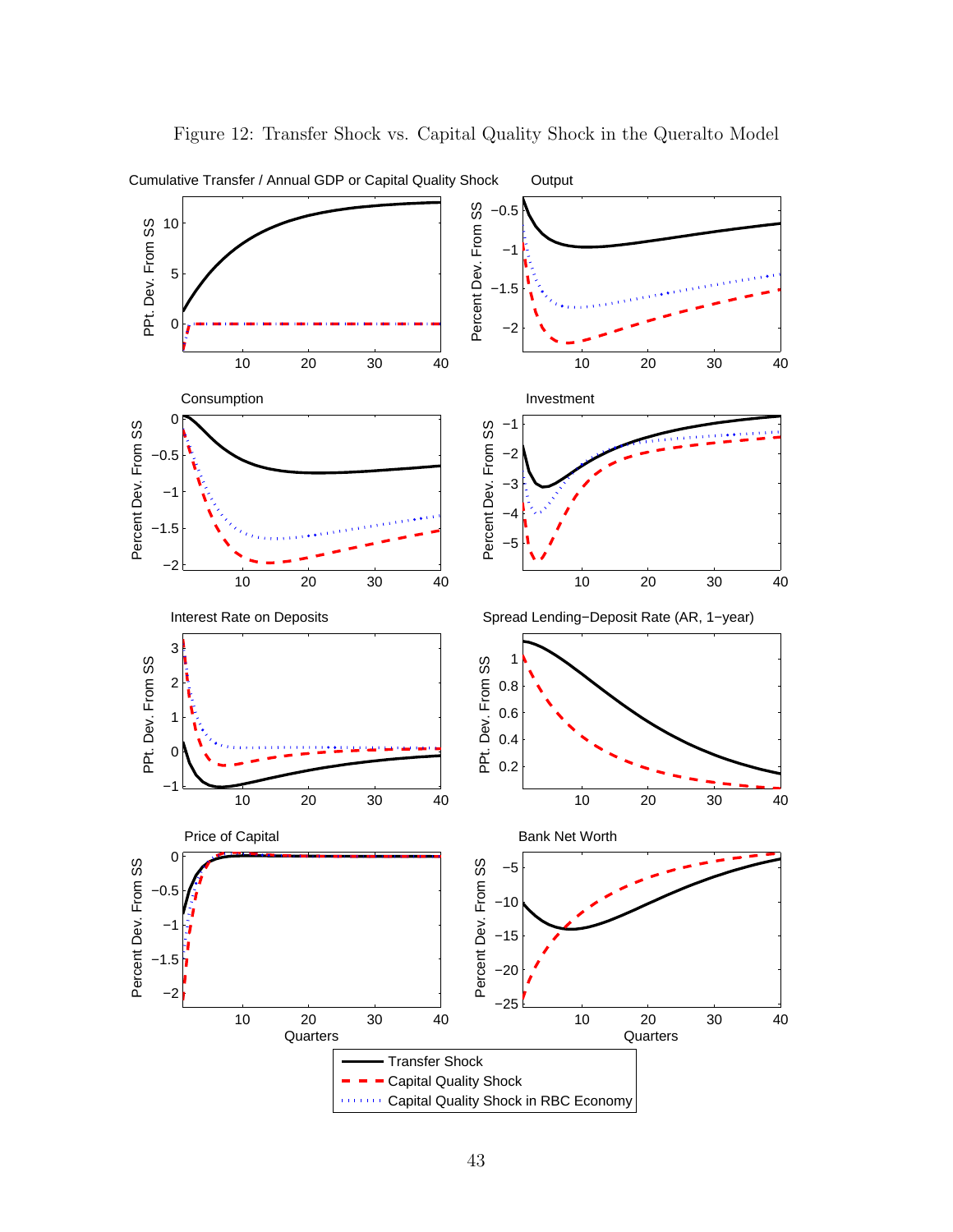

<span id="page-42-0"></span>Figure 12: Transfer Shock vs. Capital Quality Shock in the Queralto Model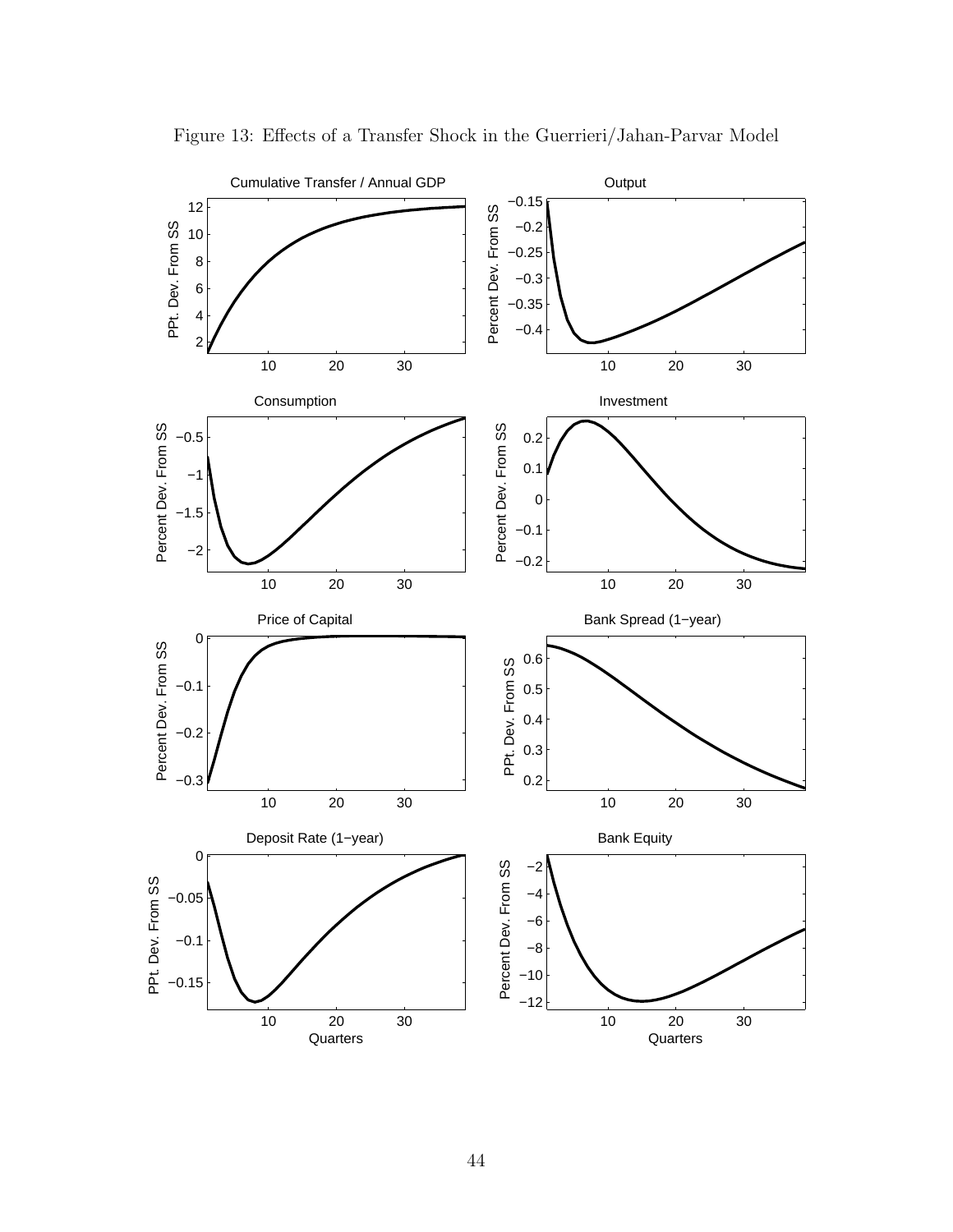

<span id="page-43-0"></span>Figure 13: Effects of a Transfer Shock in the Guerrieri/Jahan-Parvar Model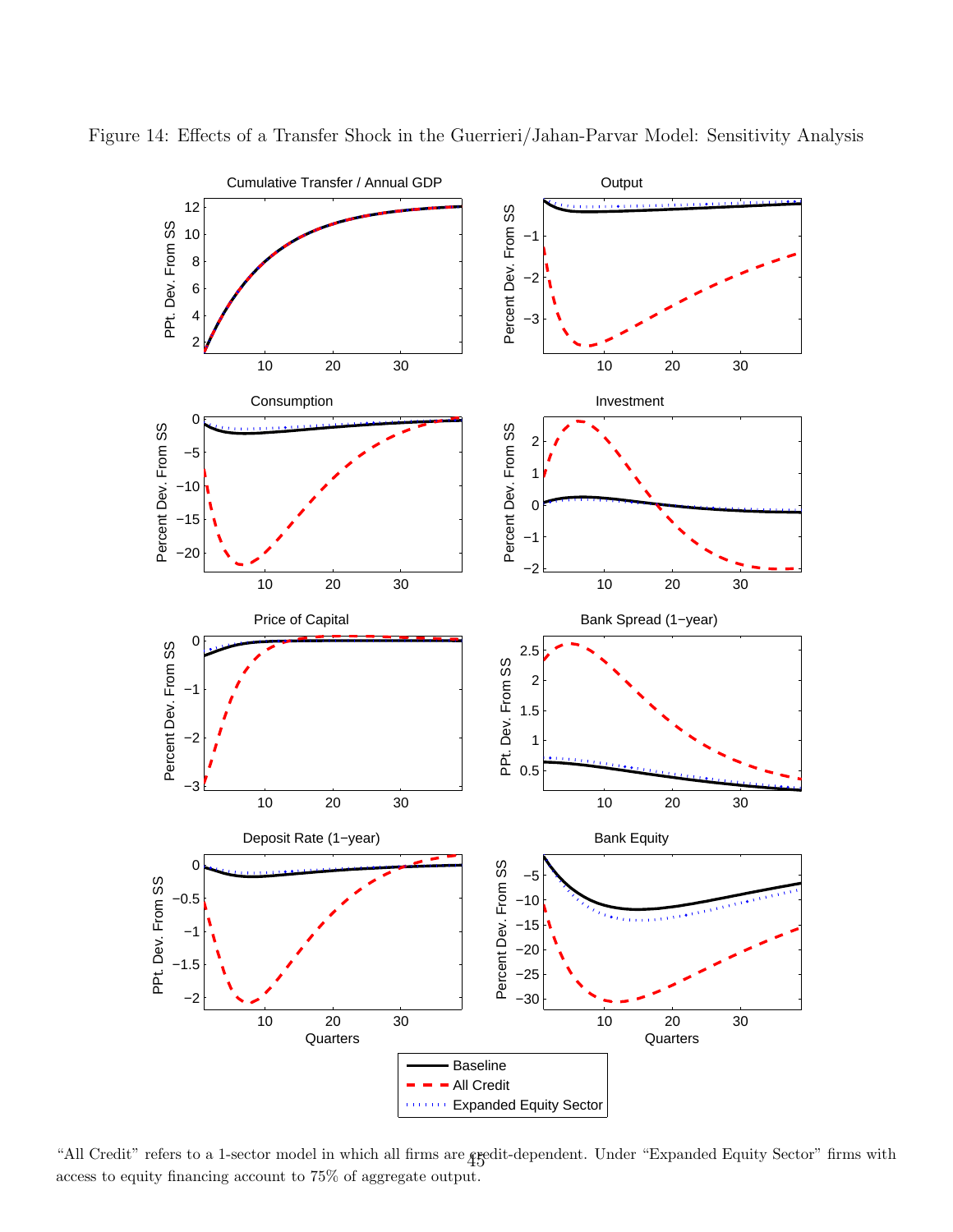<span id="page-44-0"></span>

Figure 14: Effects of a Transfer Shock in the Guerrieri/Jahan-Parvar Model: Sensitivity Analysis

"All Credit" refers to a 1-sector model in which all firms are *evedit*-dependent. Under "Expanded Equity Sector" firms with access to equity financing account to 75% of aggregate output.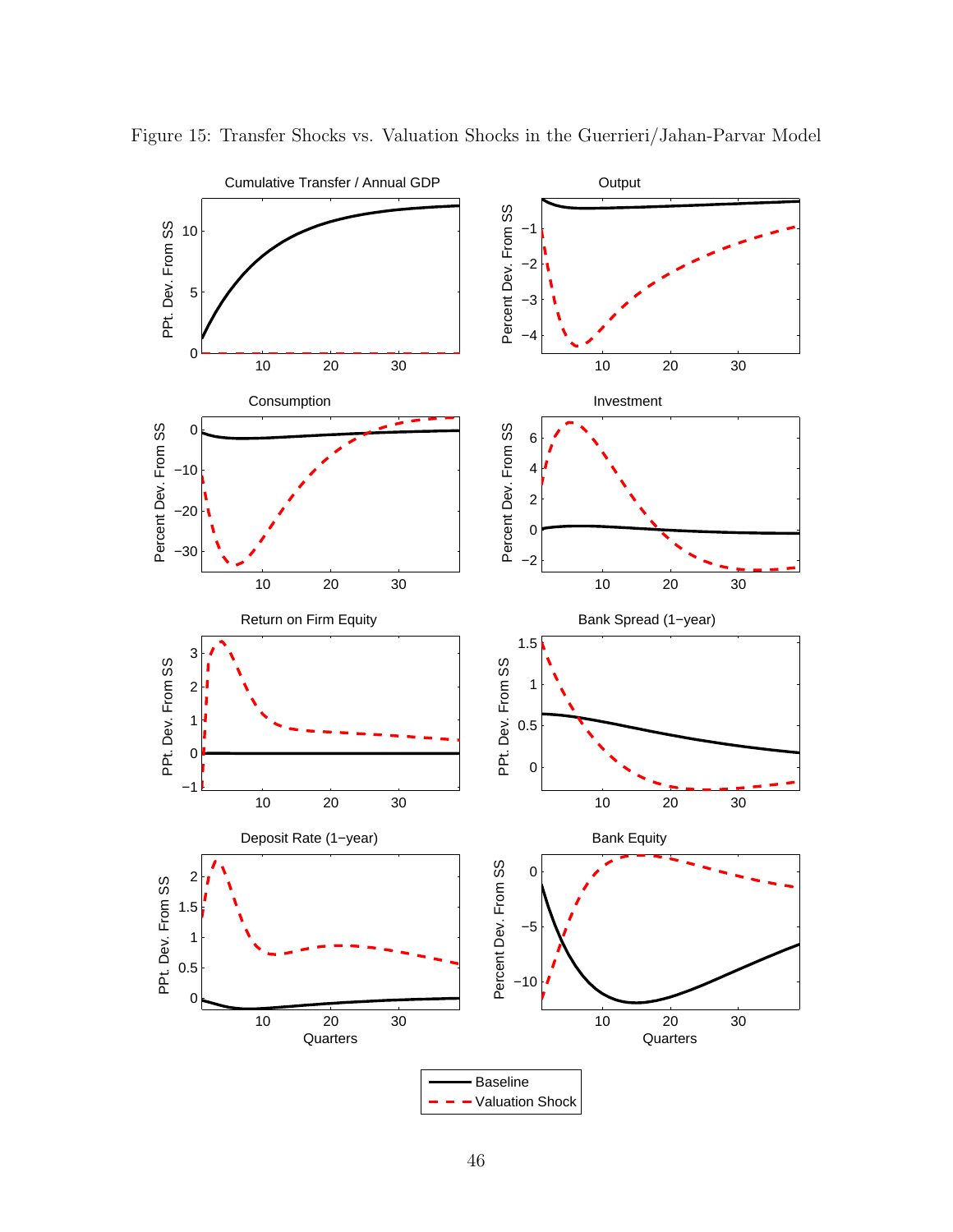

<span id="page-45-0"></span>Figure 15: Transfer Shocks vs. Valuation Shocks in the Guerrieri/Jahan-Parvar Model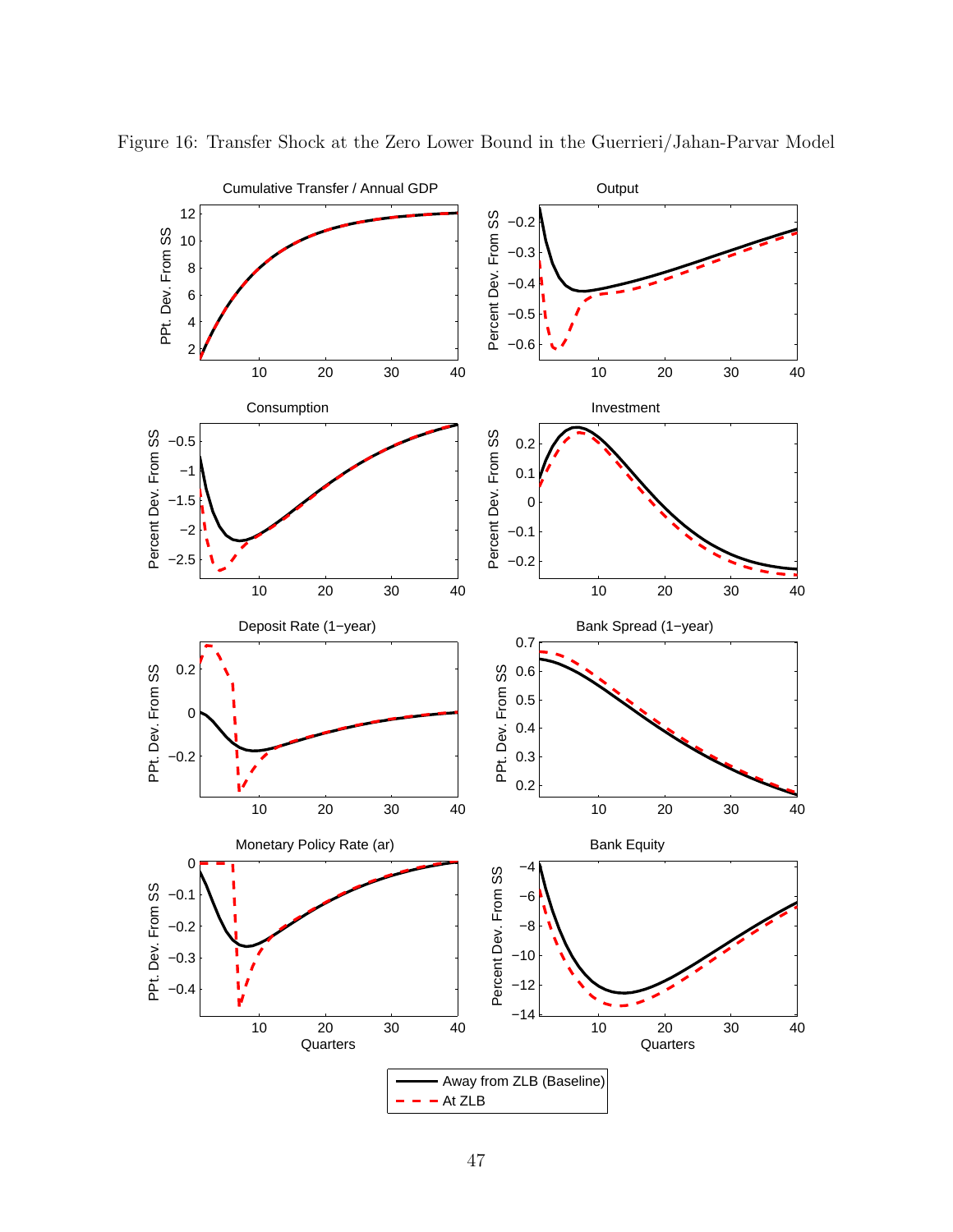

<span id="page-46-0"></span>Figure 16: Transfer Shock at the Zero Lower Bound in the Guerrieri/Jahan-Parvar Model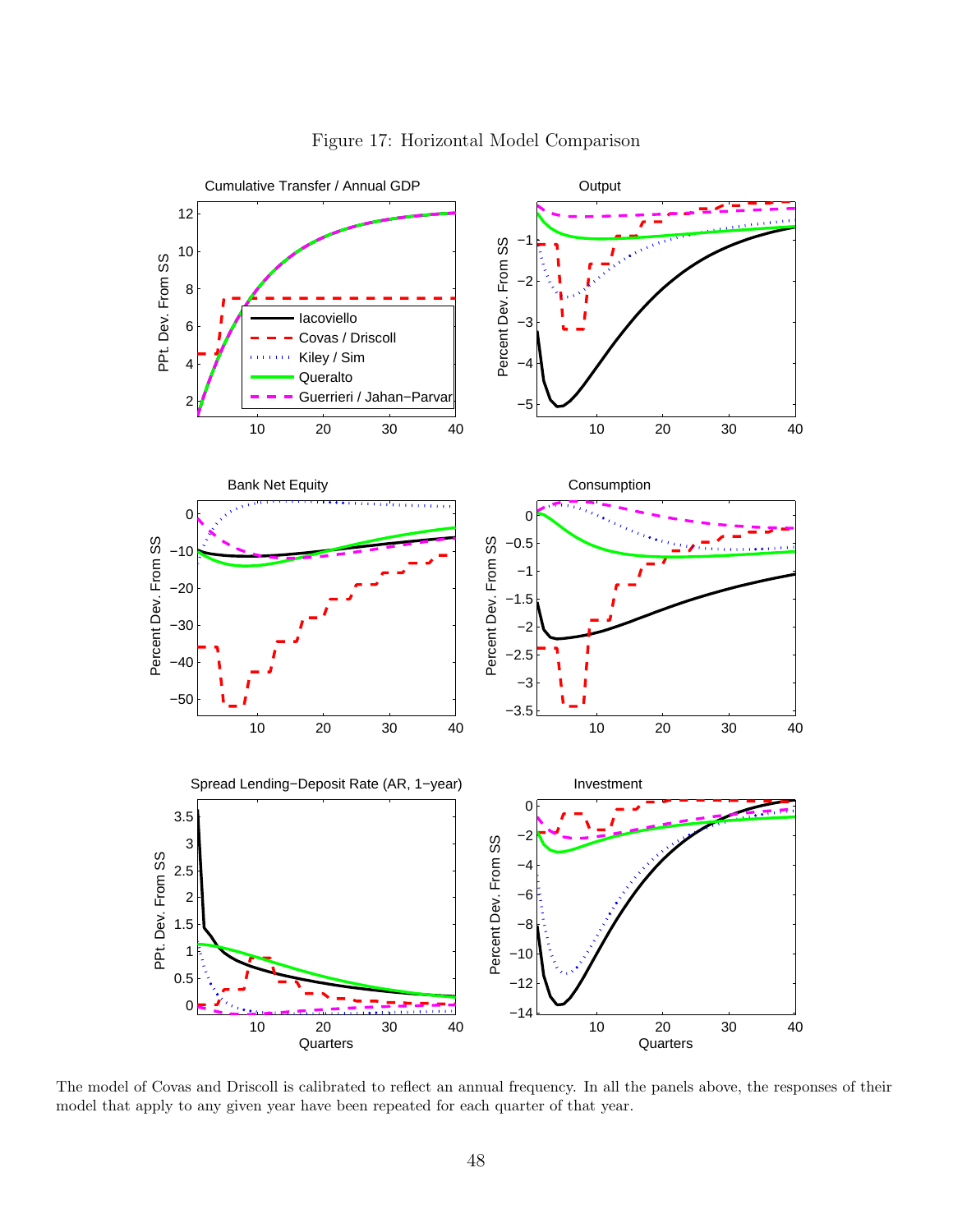

<span id="page-47-0"></span>Figure 17: Horizontal Model Comparison

The model of Covas and Driscoll is calibrated to reflect an annual frequency. In all the panels above, the responses of their model that apply to any given year have been repeated for each quarter of that year.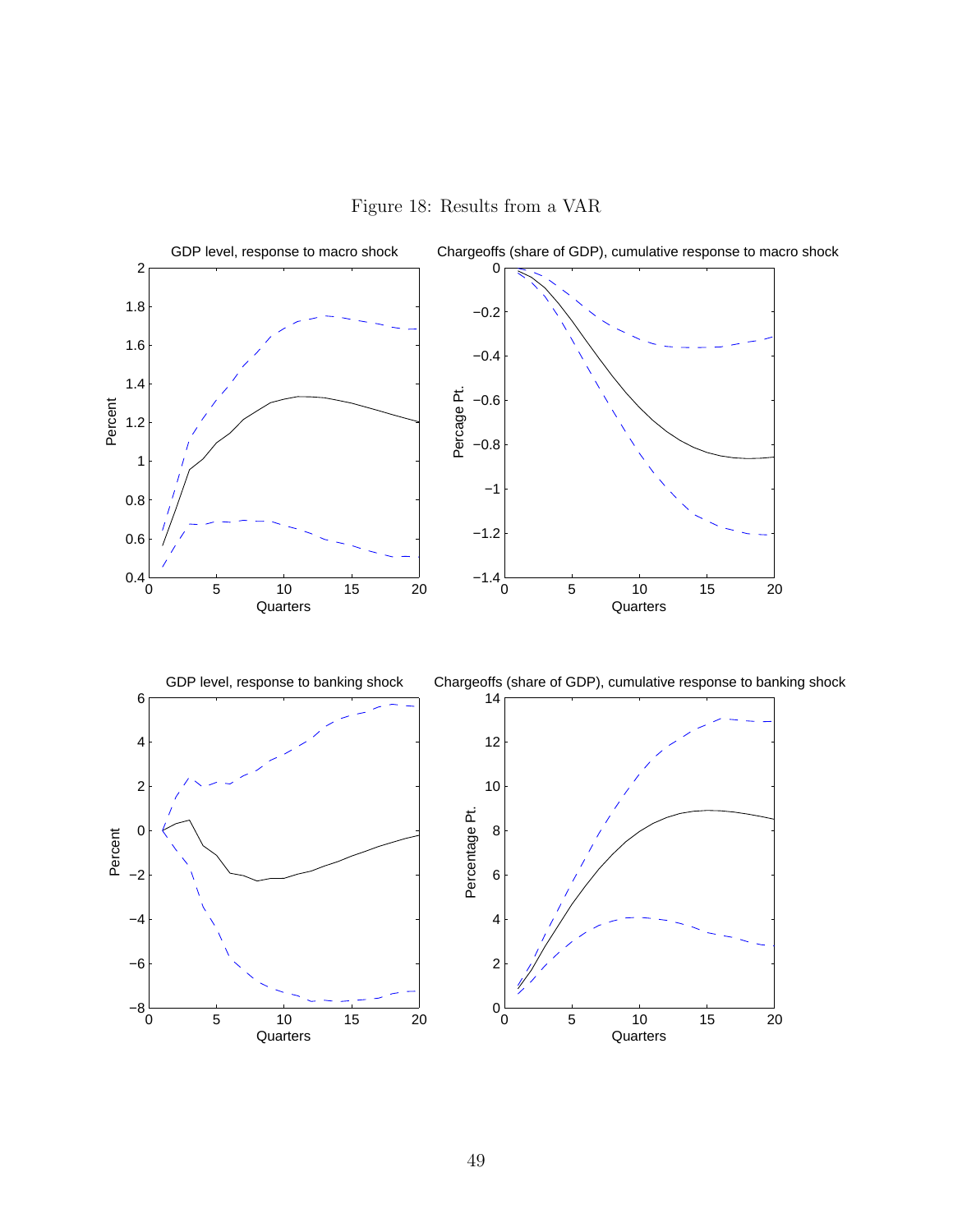<span id="page-48-0"></span>Figure 18: Results from a VAR

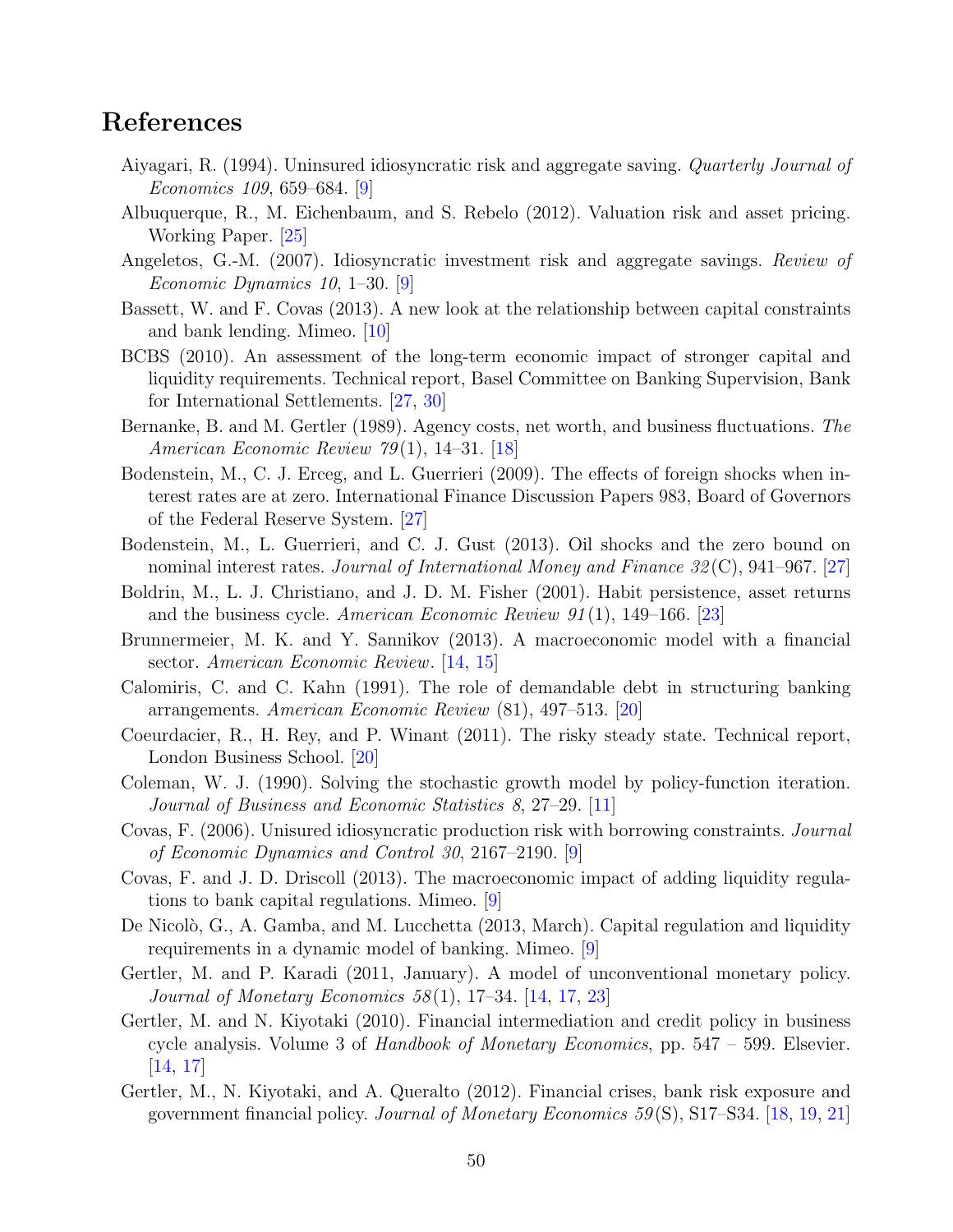## **References**

- <span id="page-49-1"></span>Aiyagari, R. (1994). Uninsured idiosyncratic risk and aggregate saving. *Quarterly Journal of Economics 109*, 659–684. [\[9\]](#page-8-4)
- <span id="page-49-15"></span>Albuquerque, R., M. Eichenbaum, and S. Rebelo (2012). Valuation risk and asset pricing. Working Paper. [[25\]](#page-24-3)
- <span id="page-49-3"></span>Angeletos, G.-M. (2007). Idiosyncratic investment risk and aggregate savings. *Review of Economic Dynamics 10*, 1–30. [\[9](#page-8-4)]
- <span id="page-49-5"></span>Bassett, W. and F. Covas (2013). A new look at the relationship between capital constraints and bank lending. Mimeo. [\[10](#page-9-1)]
- <span id="page-49-18"></span>BCBS (2010). An assessment of the long-term economic impact of stronger capital and liquidity requirements. Technical report, Basel Committee on Banking Supervision, Bank for International Settlements. [\[27,](#page-26-1) [30\]](#page-29-1)
- <span id="page-49-10"></span>Bernanke, B. and M. Gertler (1989). Agency costs, net worth, and business fluctuations. *The American Economic Review 79* (1), 14–31. [\[18](#page-17-3)]
- <span id="page-49-16"></span>Bodenstein, M., C. J. Erceg, and L. Guerrieri (2009). The effects of foreign shocks when interest rates are at zero. International Finance Discussion Papers 983, Board of Governors of the Federal Reserve System. [\[27\]](#page-26-1)
- <span id="page-49-17"></span>Bodenstein, M., L. Guerrieri, and C. J. Gust (2013). Oil shocks and the zero bound on nominal interest rates. *Journal of International Money and Finance 32* (C), 941–967. [[27](#page-26-1)]
- <span id="page-49-14"></span>Boldrin, M., L. J. Christiano, and J. D. M. Fisher (2001). Habit persistence, asset returns and the business cycle. *American Economic Review 91* (1), 149–166. [\[23\]](#page-22-1)
- <span id="page-49-7"></span>Brunnermeier, M. K. and Y. Sannikov (2013). A macroeconomic model with a financial sector. *American Economic Review*. [[14](#page-13-3), [15](#page-14-6)]
- <span id="page-49-13"></span>Calomiris, C. and C. Kahn (1991). The role of demandable debt in structuring banking arrangements. *American Economic Review* (81), 497–513. [\[20](#page-19-2)]
- <span id="page-49-12"></span>Coeurdacier, R., H. Rey, and P. Winant (2011). The risky steady state. Technical report, London Business School. [[20](#page-19-2)]
- <span id="page-49-6"></span>Coleman, W. J. (1990). Solving the stochastic growth model by policy-function iteration. *Journal of Business and Economic Statistics 8*, 27–29. [\[11\]](#page-10-3)
- <span id="page-49-2"></span>Covas, F. (2006). Unisured idiosyncratic production risk with borrowing constraints. *Journal of Economic Dynamics and Control 30*, 2167–2190. [[9](#page-8-4)]
- <span id="page-49-0"></span>Covas, F. and J. D. Driscoll (2013). The macroeconomic impact of adding liquidity regulations to bank capital regulations. Mimeo. [[9\]](#page-8-4)
- <span id="page-49-4"></span>De Nicolò, G., A. Gamba, and M. Lucchetta (2013, March). Capital regulation and liquidity requirements in a dynamic model of banking. Mimeo. [[9](#page-8-4)]
- <span id="page-49-8"></span>Gertler, M. and P. Karadi (2011, January). A model of unconventional monetary policy. *Journal of Monetary Economics 58* (1), 17–34. [[14,](#page-13-3) [17](#page-16-1), [23](#page-22-1)]
- <span id="page-49-9"></span>Gertler, M. and N. Kiyotaki (2010). Financial intermediation and credit policy in business cycle analysis. Volume 3 of *Handbook of Monetary Economics*, pp. 547 – 599. Elsevier.  $[14, 17]$  $[14, 17]$  $[14, 17]$  $[14, 17]$
- <span id="page-49-11"></span>Gertler, M., N. Kiyotaki, and A. Queralto (2012). Financial crises, bank risk exposure and government financial policy. *Journal of Monetary Economics 59* (S), S17–S34. [\[18,](#page-17-3) [19](#page-18-4), [21](#page-20-4)]